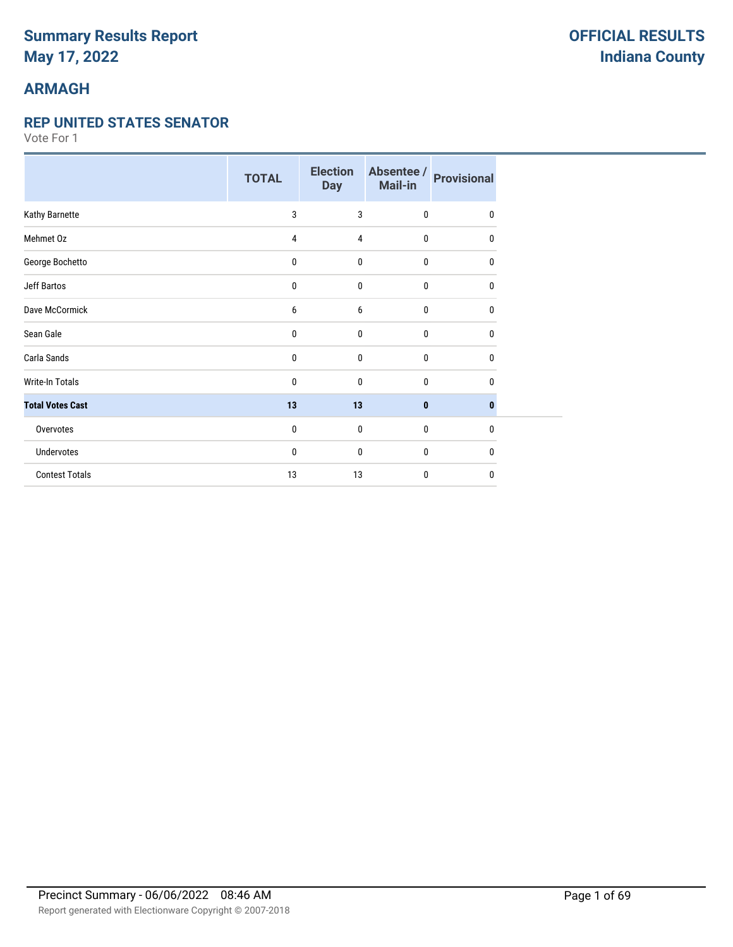# **ARMAGH**

#### **REP UNITED STATES SENATOR**

|                         | <b>TOTAL</b> | <b>Election</b><br><b>Day</b> | Absentee /<br>Mail-in | <b>Provisional</b> |
|-------------------------|--------------|-------------------------------|-----------------------|--------------------|
| Kathy Barnette          | 3            | 3                             | $\mathbf{0}$          | $\Omega$           |
| Mehmet Oz               | 4            | 4                             | 0                     | 0                  |
| George Bochetto         | 0            | $\mathbf{0}$                  | $\pmb{0}$             | 0                  |
| Jeff Bartos             | 0            | $\mathbf{0}$                  | 0                     | 0                  |
| Dave McCormick          | 6            | 6                             | $\mathbf{0}$          | 0                  |
| Sean Gale               | 0            | $\mathbf{0}$                  | $\mathbf{0}$          | $\mathbf{0}$       |
| Carla Sands             | 0            | $\mathbf 0$                   | $\mathbf 0$           | 0                  |
| <b>Write-In Totals</b>  | 0            | $\mathbf{0}$                  | $\mathbf 0$           | 0                  |
| <b>Total Votes Cast</b> | 13           | 13                            | $\bf{0}$              | $\bf{0}$           |
| Overvotes               | 0            | $\bf{0}$                      | $\bf{0}$              | $\mathbf{0}$       |
| Undervotes              | 0            | $\mathbf{0}$                  | 0                     | 0                  |
| <b>Contest Totals</b>   | 13           | 13                            | $\mathbf{0}$          | $\mathbf{0}$       |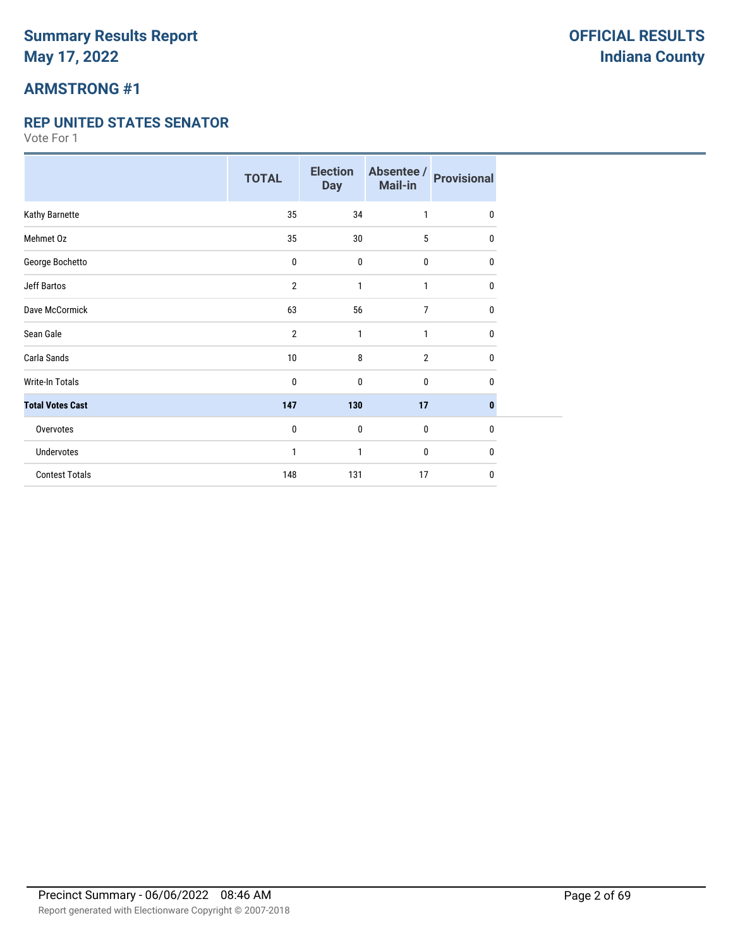# **ARMSTRONG #1**

#### **REP UNITED STATES SENATOR**

|                         | <b>TOTAL</b>   | <b>Election</b><br><b>Day</b> | Absentee /<br>Mail-in | <b>Provisional</b> |
|-------------------------|----------------|-------------------------------|-----------------------|--------------------|
| Kathy Barnette          | 35             | 34                            | 1                     | $\mathbf{0}$       |
| Mehmet Oz               | 35             | 30                            | 5                     | 0                  |
| George Bochetto         | 0              | $\mathbf{0}$                  | $\mathbf 0$           | $\mathbf{0}$       |
| <b>Jeff Bartos</b>      | $\overline{2}$ | 1                             | 1                     | 0                  |
| Dave McCormick          | 63             | 56                            | 7                     | 0                  |
| Sean Gale               | $\overline{2}$ | 1                             | 1                     | $\bf{0}$           |
| Carla Sands             | $10$           | 8                             | $\overline{2}$        | 0                  |
| <b>Write-In Totals</b>  | 0              | 0                             | $\mathbf 0$           | 0                  |
| <b>Total Votes Cast</b> | 147            | 130                           | 17                    | $\bf{0}$           |
| Overvotes               | 0              | $\mathbf{0}$                  | $\mathbf 0$           | $\mathbf 0$        |
| Undervotes              | 1              | 1                             | $\mathbf 0$           | $\mathbf{0}$       |
| <b>Contest Totals</b>   | 148            | 131                           | 17                    | 0                  |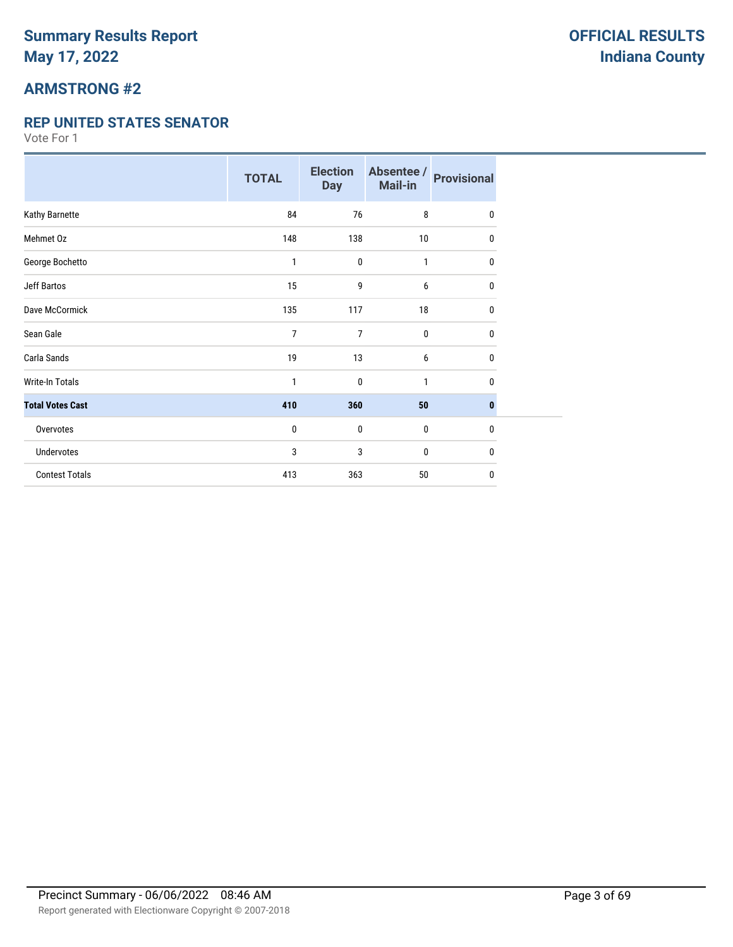## **ARMSTRONG #2**

#### **REP UNITED STATES SENATOR**

|                         | <b>TOTAL</b> | <b>Election</b><br><b>Day</b> | Absentee /<br>Mail-in | <b>Provisional</b> |
|-------------------------|--------------|-------------------------------|-----------------------|--------------------|
| Kathy Barnette          | 84           | 76                            | 8                     | $\mathbf{0}$       |
| Mehmet Oz               | 148          | 138                           | 10                    | 0                  |
| George Bochetto         | 1            | $\mathbf{0}$                  | 1                     | 0                  |
| <b>Jeff Bartos</b>      | 15           | 9                             | 6                     | 0                  |
| Dave McCormick          | 135          | 117                           | 18                    | 0                  |
| Sean Gale               | 7            | 7                             | $\mathbf 0$           | 0                  |
| Carla Sands             | 19           | 13                            | 6                     | 0                  |
| <b>Write-In Totals</b>  | 1            | 0                             | 1                     | 0                  |
| <b>Total Votes Cast</b> | 410          | 360                           | 50                    | $\bf{0}$           |
| Overvotes               | 0            | $\mathbf{0}$                  | $\mathbf 0$           | $\bf{0}$           |
| Undervotes              | 3            | 3                             | 0                     | 0                  |
| <b>Contest Totals</b>   | 413          | 363                           | 50                    | 0                  |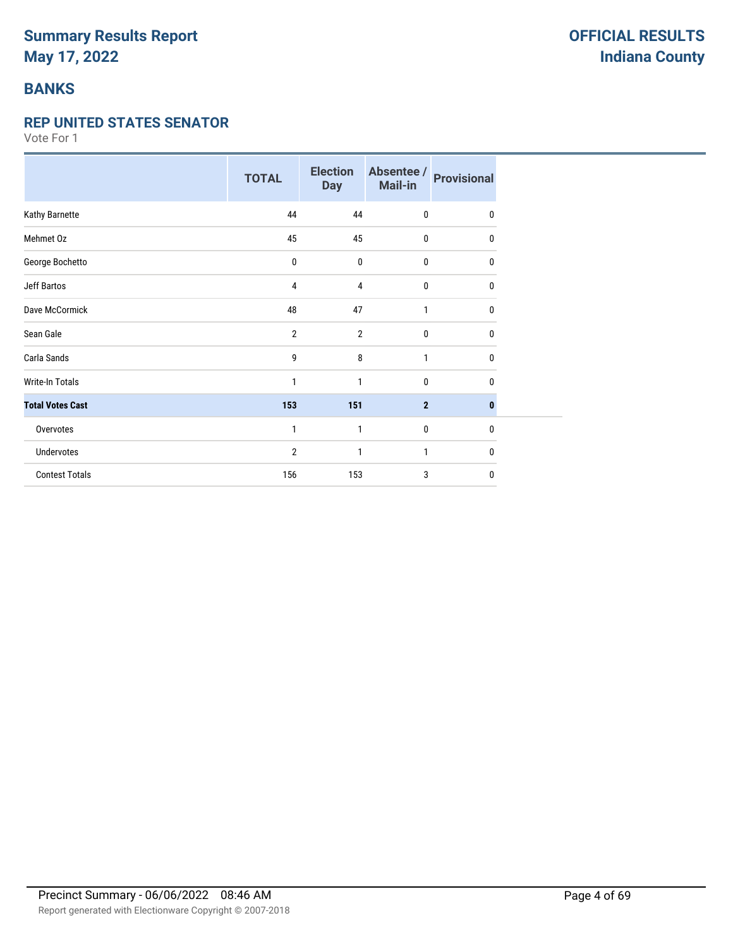### **BANKS**

#### **REP UNITED STATES SENATOR**

|                         | <b>TOTAL</b>   | <b>Election</b><br><b>Day</b> | Absentee /<br>Mail-in | <b>Provisional</b> |
|-------------------------|----------------|-------------------------------|-----------------------|--------------------|
| Kathy Barnette          | 44             | 44                            | $\bf{0}$              | $\mathbf 0$        |
| Mehmet Oz               | 45             | 45                            | 0                     | 0                  |
| George Bochetto         | 0              | 0                             | 0                     | $\mathbf{0}$       |
| <b>Jeff Bartos</b>      | 4              | 4                             | 0                     | 0                  |
| Dave McCormick          | 48             | 47                            | 1                     | 0                  |
| Sean Gale               | $\overline{2}$ | $\overline{2}$                | 0                     | $\mathbf{0}$       |
| Carla Sands             | 9              | 8                             | $\mathbf{1}$          | 0                  |
| <b>Write-In Totals</b>  | 1              | 1                             | 0                     | $\mathbf{0}$       |
| <b>Total Votes Cast</b> | 153            | 151                           | $\mathbf{2}$          | $\bf{0}$           |
| Overvotes               | 1              | $\mathbf{1}$                  | 0                     | $\mathbf{0}$       |
| <b>Undervotes</b>       | $\overline{2}$ | 1                             | 1                     | 0                  |
| <b>Contest Totals</b>   | 156            | 153                           | 3                     | $\mathbf{0}$       |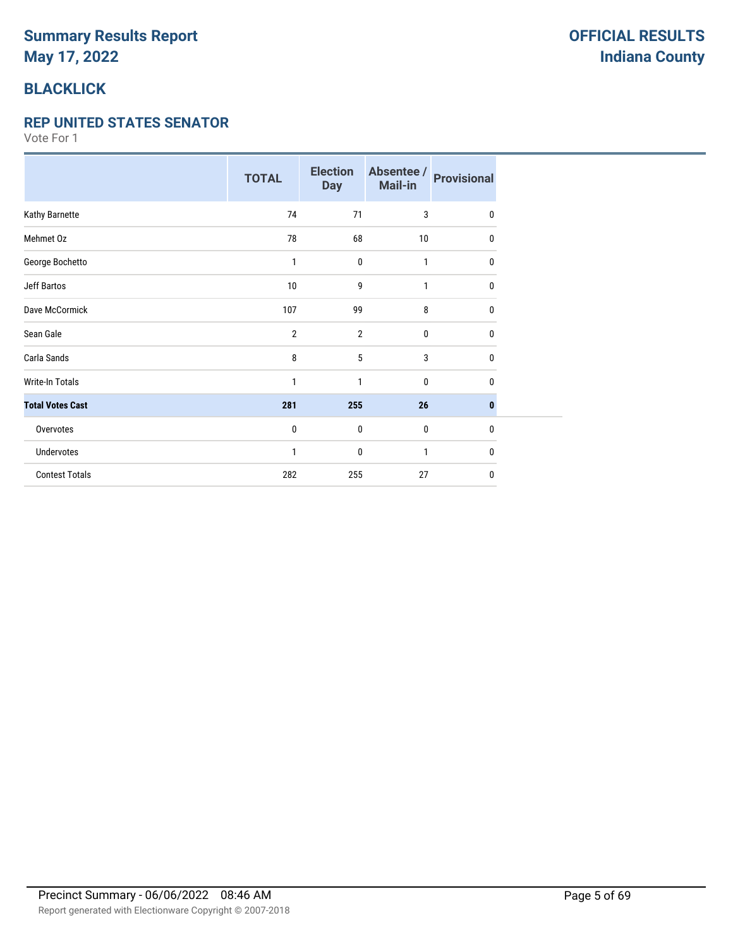# **BLACKLICK**

#### **REP UNITED STATES SENATOR**

|                         | <b>TOTAL</b>   | <b>Election</b><br><b>Day</b> | Absentee /<br>Mail-in | <b>Provisional</b> |
|-------------------------|----------------|-------------------------------|-----------------------|--------------------|
| Kathy Barnette          | 74             | 71                            | 3                     | $\mathbf{0}$       |
| Mehmet Oz               | 78             | 68                            | 10                    | 0                  |
| George Bochetto         | 1              | $\mathbf{0}$                  | 1                     | 0                  |
| <b>Jeff Bartos</b>      | 10             | 9                             | 1                     | 0                  |
| Dave McCormick          | 107            | 99                            | 8                     | 0                  |
| Sean Gale               | $\overline{2}$ | $\overline{2}$                | 0                     | 0                  |
| Carla Sands             | 8              | 5                             | 3                     | 0                  |
| <b>Write-In Totals</b>  | 1              | 1                             | 0                     | 0                  |
| <b>Total Votes Cast</b> | 281            | 255                           | 26                    | 0                  |
| Overvotes               | 0              | 0                             | 0                     | 0                  |
| Undervotes              | 1              | 0                             | 1                     | 0                  |
| <b>Contest Totals</b>   | 282            | 255                           | 27                    | 0                  |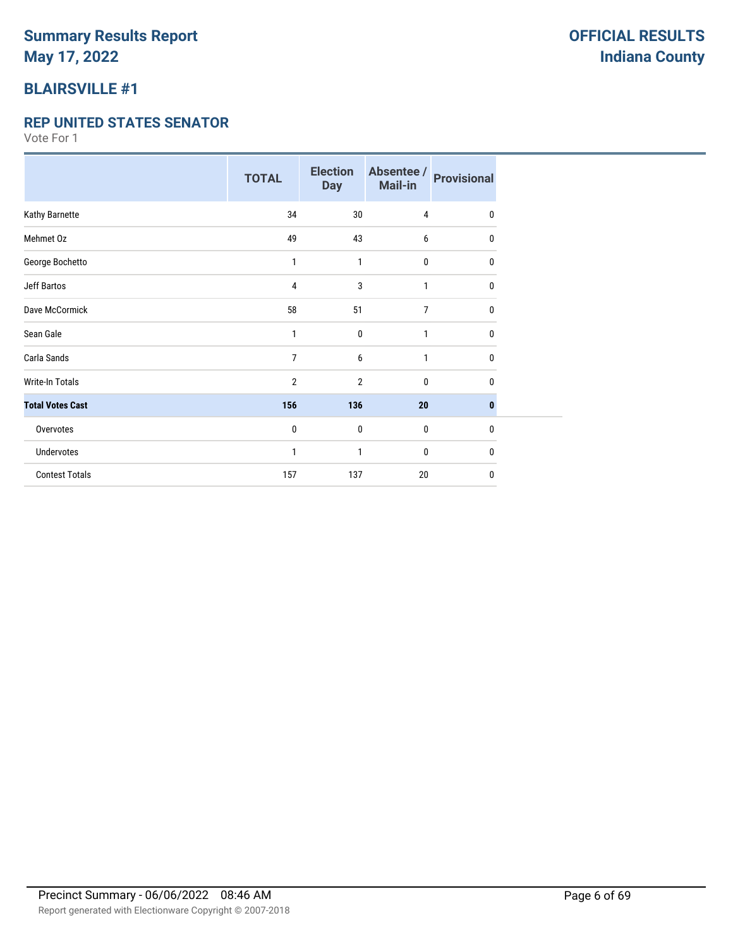## **BLAIRSVILLE #1**

#### **REP UNITED STATES SENATOR**

|                         | <b>TOTAL</b>   | <b>Election</b><br><b>Day</b> | Absentee /<br>Mail-in | <b>Provisional</b> |
|-------------------------|----------------|-------------------------------|-----------------------|--------------------|
| Kathy Barnette          | 34             | 30                            | $\overline{4}$        | $\mathbf{0}$       |
| Mehmet Oz               | 49             | 43                            | 6                     | 0                  |
| George Bochetto         | 1              | 1                             | $\mathbf 0$           | 0                  |
| <b>Jeff Bartos</b>      | 4              | 3                             | 1                     | 0                  |
| Dave McCormick          | 58             | 51                            | $\overline{7}$        | 0                  |
| Sean Gale               | 1              | $\mathbf{0}$                  | 1                     | 0                  |
| Carla Sands             | 7              | 6                             | $\mathbf{1}$          | 0                  |
| <b>Write-In Totals</b>  | $\overline{2}$ | $\overline{2}$                | $\mathbf 0$           | 0                  |
| <b>Total Votes Cast</b> | 156            | 136                           | 20                    | $\mathbf{0}$       |
| Overvotes               | 0              | $\mathbf 0$                   | $\bf{0}$              | $\mathbf{0}$       |
| Undervotes              | 1              | 1                             | $\bf{0}$              | 0                  |
| <b>Contest Totals</b>   | 157            | 137                           | 20                    | 0                  |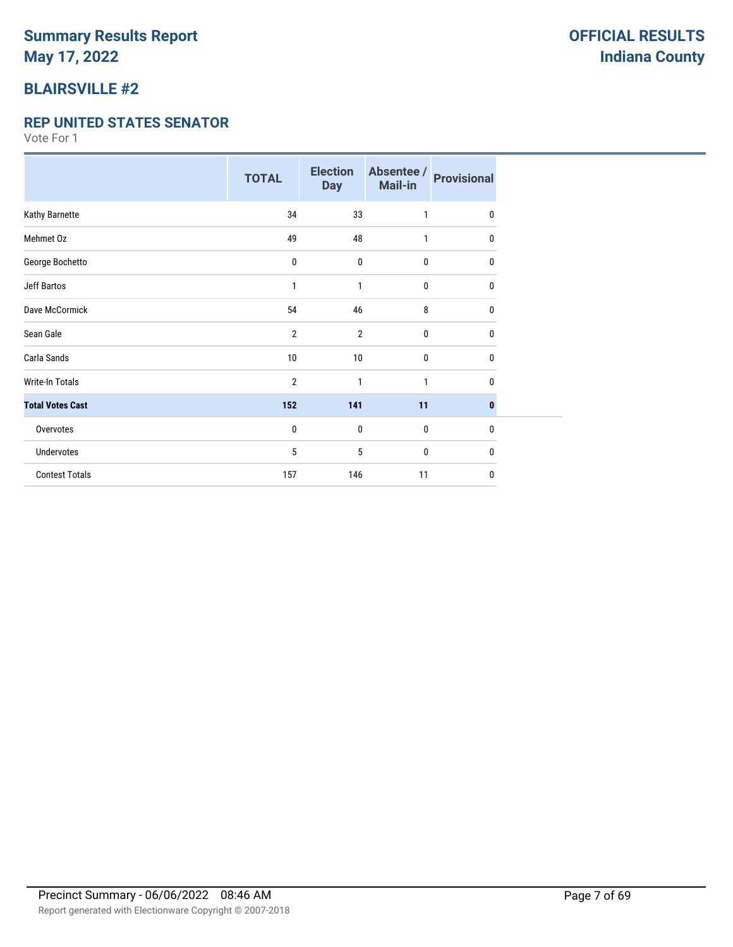### **BLAIRSVILLE #2**

#### **REP UNITED STATES SENATOR**

|                         | <b>TOTAL</b>   | <b>Election</b><br><b>Day</b> | Absentee /<br>Mail-in | <b>Provisional</b> |
|-------------------------|----------------|-------------------------------|-----------------------|--------------------|
| Kathy Barnette          | 34             | 33                            | 1                     | 0                  |
| Mehmet Oz               | 49             | 48                            | 1                     | $\mathbf{0}$       |
| George Bochetto         | 0              | $\mathbf 0$                   | $\mathbf{0}$          | 0                  |
| <b>Jeff Bartos</b>      | 1              | 1                             | $\mathbf{0}$          | 0                  |
| Dave McCormick          | 54             | 46                            | 8                     | 0                  |
| Sean Gale               | $\overline{2}$ | $\overline{2}$                | $\mathbf{0}$          | 0                  |
| Carla Sands             | 10             | 10                            | $\mathbf{0}$          | 0                  |
| <b>Write-In Totals</b>  | 2              | 1                             | 1                     | 0                  |
| <b>Total Votes Cast</b> | 152            | 141                           | 11                    | $\mathbf{0}$       |
| Overvotes               | 0              | $\mathbf 0$                   | $\mathbf{0}$          | $\mathbf{0}$       |
| Undervotes              | 5              | 5                             | 0                     | 0                  |
| <b>Contest Totals</b>   | 157            | 146                           | 11                    | 0                  |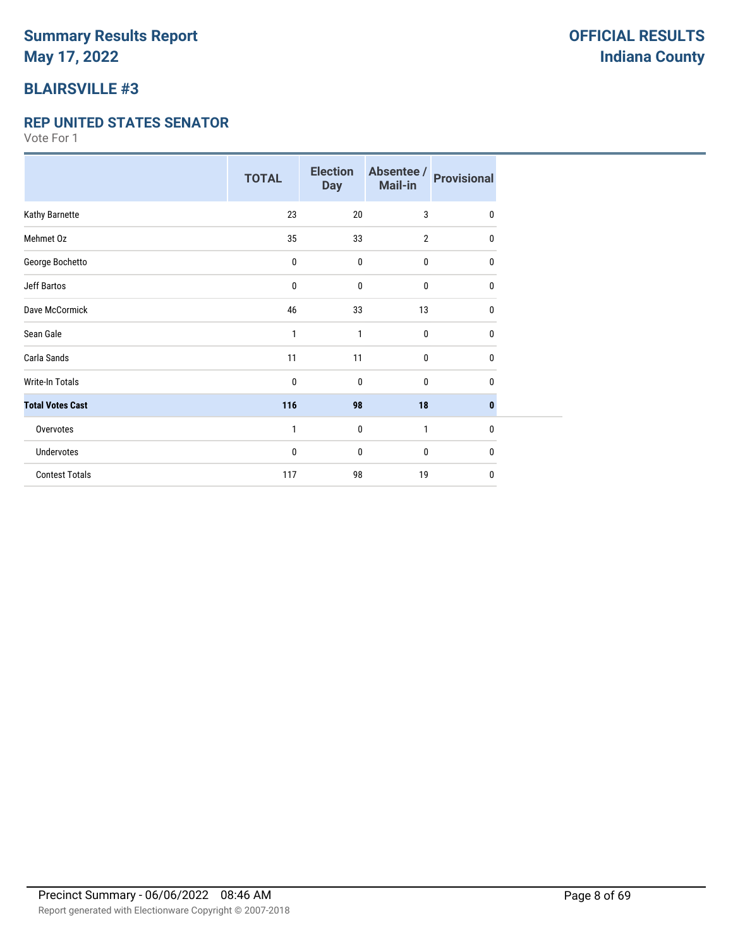## **BLAIRSVILLE #3**

#### **REP UNITED STATES SENATOR**

|                         | <b>TOTAL</b> | <b>Election</b><br><b>Day</b> | Absentee /<br>Mail-in | <b>Provisional</b> |
|-------------------------|--------------|-------------------------------|-----------------------|--------------------|
| Kathy Barnette          | 23           | 20                            | 3                     | 0                  |
| Mehmet Oz               | 35           | 33                            | $\overline{2}$        | 0                  |
| George Bochetto         | 0            | $\mathbf 0$                   | 0                     | 0                  |
| <b>Jeff Bartos</b>      | 0            | $\mathbf 0$                   | 0                     | 0                  |
| Dave McCormick          | 46           | 33                            | 13                    | 0                  |
| Sean Gale               | 1            | $\mathbf{1}$                  | 0                     | 0                  |
| Carla Sands             | 11           | 11                            | 0                     | 0                  |
| <b>Write-In Totals</b>  | 0            | $\mathbf 0$                   | 0                     | 0                  |
| <b>Total Votes Cast</b> | 116          | 98                            | 18                    | 0                  |
| Overvotes               | 1            | $\mathbf 0$                   | 1                     | 0                  |
| Undervotes              | 0            | $\mathbf 0$                   | 0                     | 0                  |
| <b>Contest Totals</b>   | 117          | 98                            | 19                    | 0                  |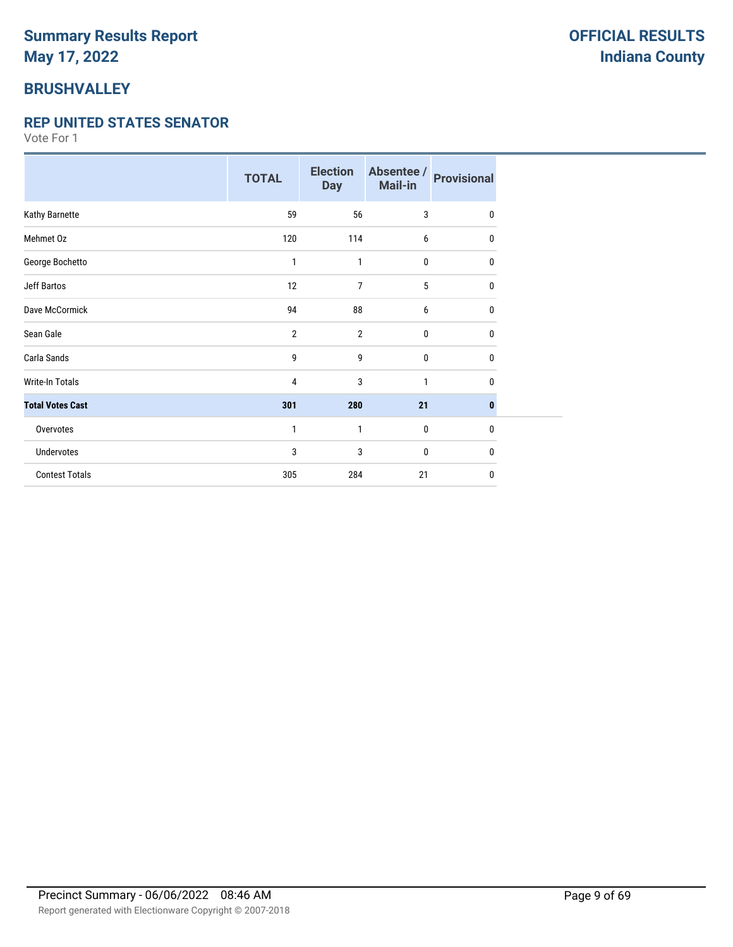## **BRUSHVALLEY**

#### **REP UNITED STATES SENATOR**

|                         | <b>TOTAL</b>   | <b>Election</b><br><b>Day</b> | Absentee /<br>Mail-in | <b>Provisional</b> |
|-------------------------|----------------|-------------------------------|-----------------------|--------------------|
| Kathy Barnette          | 59             | 56                            | 3                     | 0                  |
| Mehmet Oz               | 120            | 114                           | 6                     | 0                  |
| George Bochetto         | 1              | 1                             | 0                     | 0                  |
| <b>Jeff Bartos</b>      | 12             | 7                             | 5                     | 0                  |
| Dave McCormick          | 94             | 88                            | 6                     | 0                  |
| Sean Gale               | $\overline{2}$ | $\overline{2}$                | 0                     | 0                  |
| Carla Sands             | 9              | 9                             | 0                     | $\mathbf{0}$       |
| <b>Write-In Totals</b>  | $\overline{4}$ | 3                             | 1                     | 0                  |
| <b>Total Votes Cast</b> | 301            | 280                           | 21                    | 0                  |
| Overvotes               | 1              | 1                             | 0                     | $\mathbf{0}$       |
| Undervotes              | 3              | 3                             | 0                     | 0                  |
| <b>Contest Totals</b>   | 305            | 284                           | 21                    | $\mathbf{0}$       |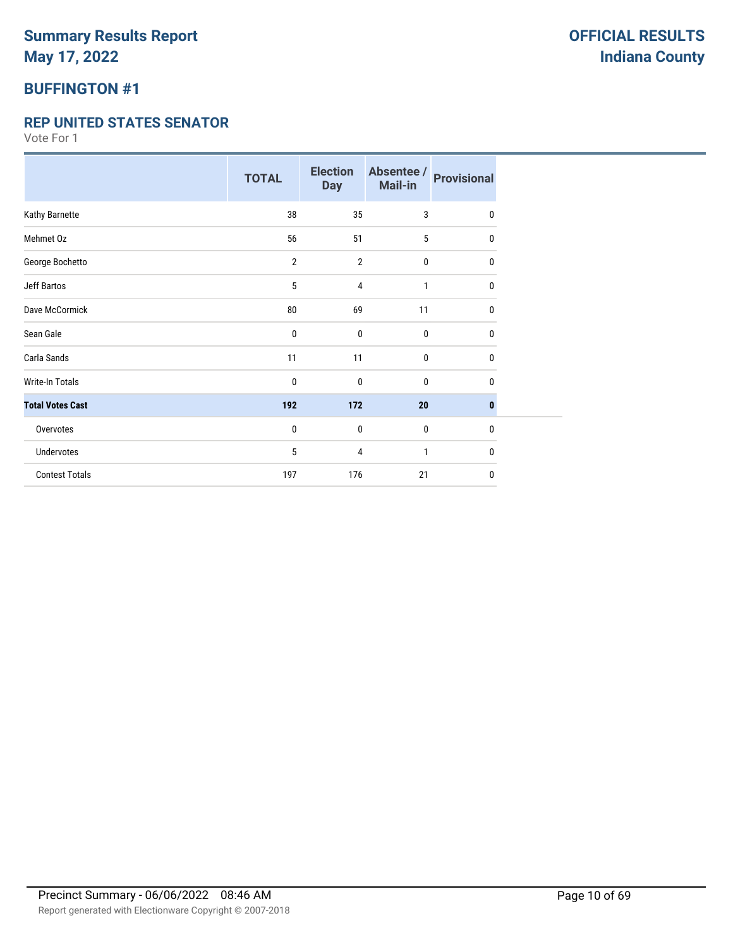### **BUFFINGTON #1**

#### **REP UNITED STATES SENATOR**

|                         | <b>TOTAL</b>   | <b>Election</b><br><b>Day</b> | Absentee /<br>Mail-in | <b>Provisional</b> |
|-------------------------|----------------|-------------------------------|-----------------------|--------------------|
| Kathy Barnette          | 38             | 35                            | 3                     | 0                  |
| Mehmet Oz               | 56             | 51                            | 5                     | 0                  |
| George Bochetto         | $\overline{2}$ | $\overline{2}$                | 0                     | 0                  |
| <b>Jeff Bartos</b>      | 5              | 4                             | 1                     | 0                  |
| Dave McCormick          | 80             | 69                            | 11                    | 0                  |
| Sean Gale               | 0              | 0                             | 0                     | 0                  |
| Carla Sands             | 11             | 11                            | 0                     | 0                  |
| Write-In Totals         | 0              | 0                             | 0                     | 0                  |
| <b>Total Votes Cast</b> | 192            | 172                           | 20                    | 0                  |
| Overvotes               | 0              | $\mathbf 0$                   | $\mathbf{0}$          | $\mathbf{0}$       |
| Undervotes              | 5              | 4                             | 1                     | 0                  |
| <b>Contest Totals</b>   | 197            | 176                           | 21                    | 0                  |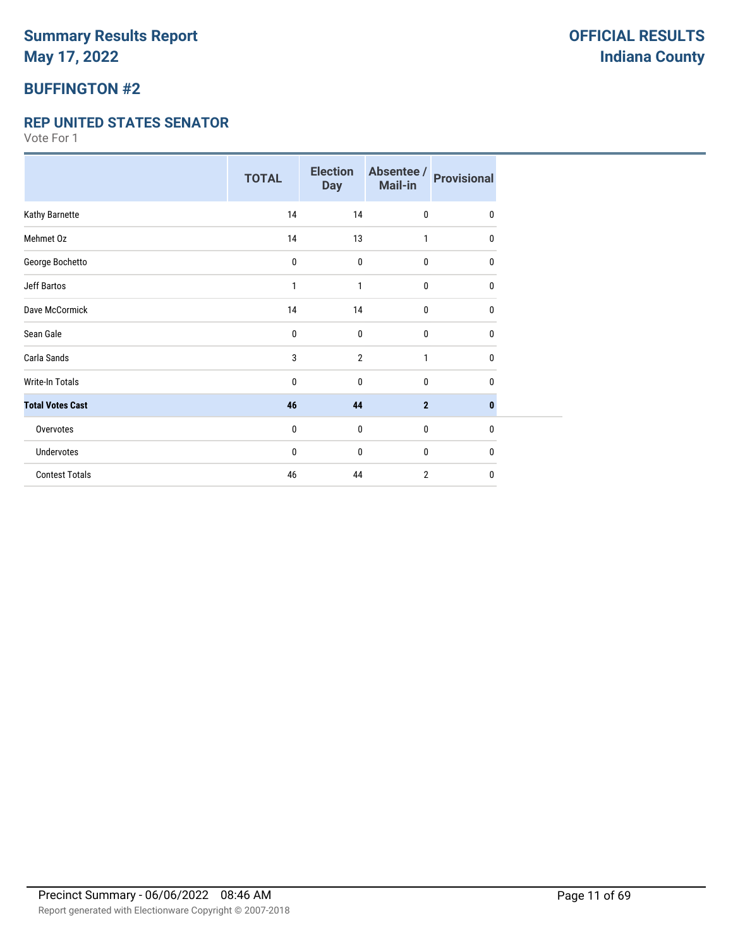### **BUFFINGTON #2**

#### **REP UNITED STATES SENATOR**

|                         | <b>TOTAL</b> | <b>Election</b><br><b>Day</b> | Absentee /<br>Mail-in | <b>Provisional</b> |
|-------------------------|--------------|-------------------------------|-----------------------|--------------------|
| Kathy Barnette          | 14           | 14                            | $\mathbf 0$           | 0                  |
| Mehmet Oz               | 14           | 13                            | $\mathbf{1}$          | 0                  |
| George Bochetto         | 0            | $\mathbf 0$                   | $\mathbf 0$           | 0                  |
| <b>Jeff Bartos</b>      | 1            | 1                             | $\bf{0}$              | 0                  |
| Dave McCormick          | 14           | 14                            | $\mathbf 0$           | $\mathbf{0}$       |
| Sean Gale               | 0            | $\bf{0}$                      | $\pmb{0}$             | $\mathbf{0}$       |
| Carla Sands             | 3            | $\overline{2}$                | 1                     | $\mathbf{0}$       |
| <b>Write-In Totals</b>  | 0            | $\mathbf{0}$                  | $\mathbf 0$           | 0                  |
| <b>Total Votes Cast</b> | 46           | 44                            | $\overline{2}$        | $\bf{0}$           |
| Overvotes               | 0            | $\mathbf{0}$                  | $\mathbf 0$           | $\mathbf{0}$       |
| <b>Undervotes</b>       | 0            | $\bf{0}$                      | $\mathbf 0$           | 0                  |
| <b>Contest Totals</b>   | 46           | 44                            | $\overline{2}$        | $\mathbf{0}$       |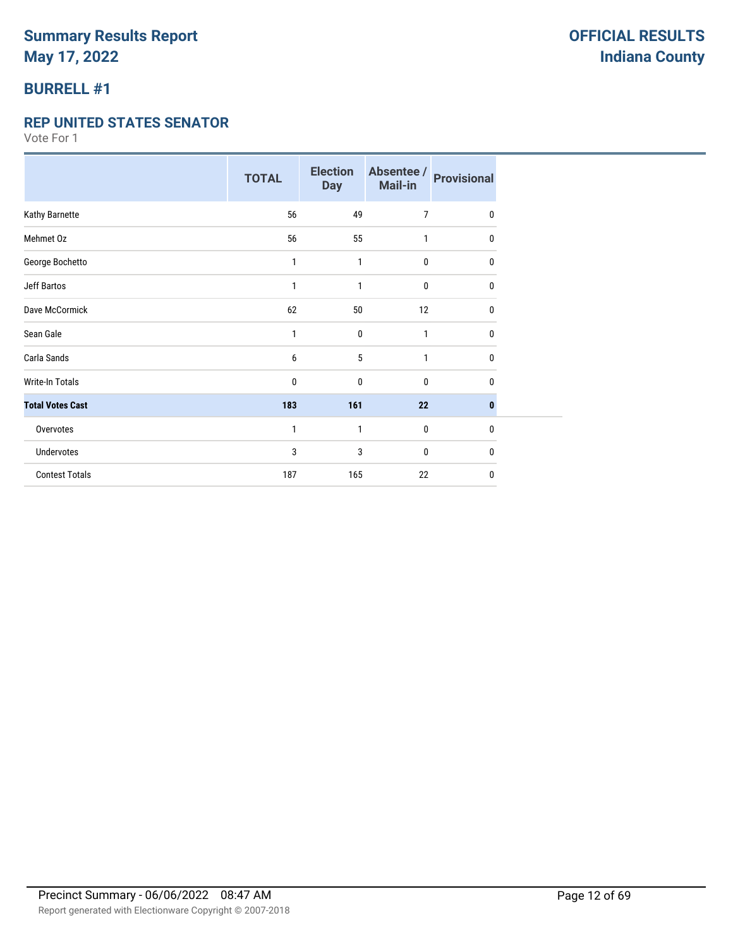## **BURRELL #1**

#### **REP UNITED STATES SENATOR**

|                         | <b>TOTAL</b> | <b>Election</b><br><b>Day</b> | Absentee /<br>Mail-in | <b>Provisional</b> |
|-------------------------|--------------|-------------------------------|-----------------------|--------------------|
| Kathy Barnette          | 56           | 49                            | 7                     | $\mathbf 0$        |
| Mehmet Oz               | 56           | 55                            | $\mathbf{1}$          | 0                  |
| George Bochetto         | 1            | 1                             | 0                     | $\mathbf{0}$       |
| Jeff Bartos             | 1            | 1                             | 0                     | 0                  |
| Dave McCormick          | 62           | 50                            | 12                    | 0                  |
| Sean Gale               | 1            | $\mathbf 0$                   | $\mathbf{1}$          | 0                  |
| Carla Sands             | 6            | 5                             | 1                     | $\mathbf{0}$       |
| <b>Write-In Totals</b>  | 0            | 0                             | 0                     | 0                  |
| <b>Total Votes Cast</b> | 183          | 161                           | 22                    | $\bf{0}$           |
| Overvotes               | 1            | 1                             | 0                     | $\mathbf{0}$       |
| <b>Undervotes</b>       | 3            | 3                             | 0                     | 0                  |
| <b>Contest Totals</b>   | 187          | 165                           | 22                    | $\mathbf 0$        |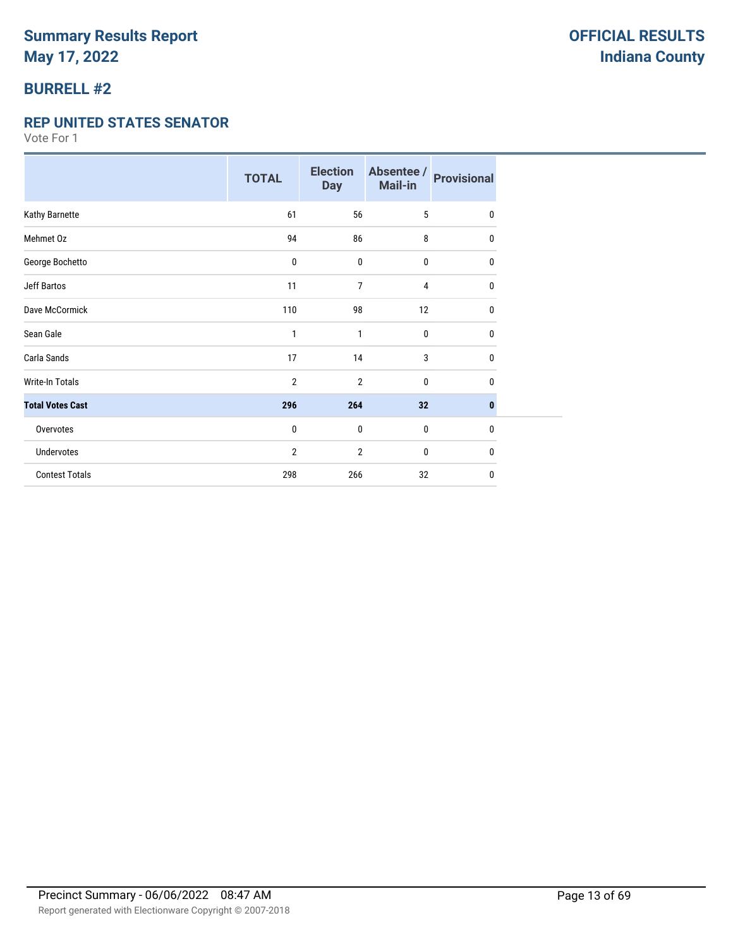### **BURRELL #2**

#### **REP UNITED STATES SENATOR**

|                         | <b>TOTAL</b> | <b>Election</b><br><b>Day</b> | Absentee /<br><b>Mail-in</b> | <b>Provisional</b> |
|-------------------------|--------------|-------------------------------|------------------------------|--------------------|
| Kathy Barnette          | 61           | 56                            | 5                            | $\mathbf{0}$       |
| Mehmet Oz               | 94           | 86                            | 8                            | 0                  |
| George Bochetto         | 0            | 0                             | 0                            | $\mathbf{0}$       |
| <b>Jeff Bartos</b>      | 11           | 7                             | 4                            | 0                  |
| Dave McCormick          | 110          | 98                            | 12                           | 0                  |
| Sean Gale               | 1            | 1                             | 0                            | 0                  |
| Carla Sands             | 17           | 14                            | 3                            | $\mathbf{0}$       |
| <b>Write-In Totals</b>  | 2            | 2                             | $\mathbf{0}$                 | $\mathbf{0}$       |
| <b>Total Votes Cast</b> | 296          | 264                           | 32                           | $\mathbf{0}$       |
| Overvotes               | 0            | $\mathbf 0$                   | 0                            | 0                  |
| <b>Undervotes</b>       | 2            | 2                             | 0                            | 0                  |
| <b>Contest Totals</b>   | 298          | 266                           | 32                           | $\mathbf{0}$       |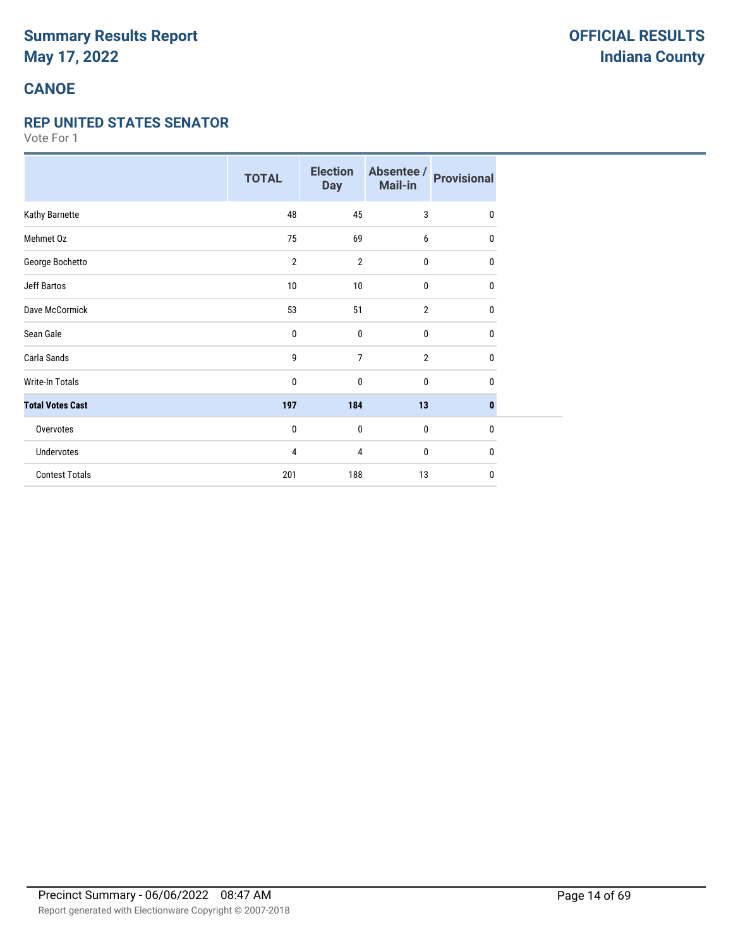# **CANOE**

#### **REP UNITED STATES SENATOR**

|                         | <b>TOTAL</b>   | <b>Election</b><br><b>Day</b> | Absentee /<br>Mail-in | <b>Provisional</b> |
|-------------------------|----------------|-------------------------------|-----------------------|--------------------|
| Kathy Barnette          | 48             | 45                            | 3                     | $\mathbf 0$        |
| Mehmet Oz               | 75             | 69                            | 6                     | 0                  |
| George Bochetto         | $\overline{2}$ | $\overline{2}$                | 0                     | 0                  |
| <b>Jeff Bartos</b>      | 10             | 10                            | 0                     | 0                  |
| Dave McCormick          | 53             | 51                            | $\overline{2}$        | 0                  |
| Sean Gale               | 0              | 0                             | 0                     | 0                  |
| Carla Sands             | 9              | $\overline{7}$                | $\overline{2}$        | $\mathbf 0$        |
| <b>Write-In Totals</b>  | 0              | $\mathbf{0}$                  | 0                     | 0                  |
| <b>Total Votes Cast</b> | 197            | 184                           | 13                    | $\bf{0}$           |
| Overvotes               | 0              | 0                             | 0                     | $\mathbf{0}$       |
| Undervotes              | 4              | 4                             | 0                     | 0                  |
| <b>Contest Totals</b>   | 201            | 188                           | 13                    | $\mathbf{0}$       |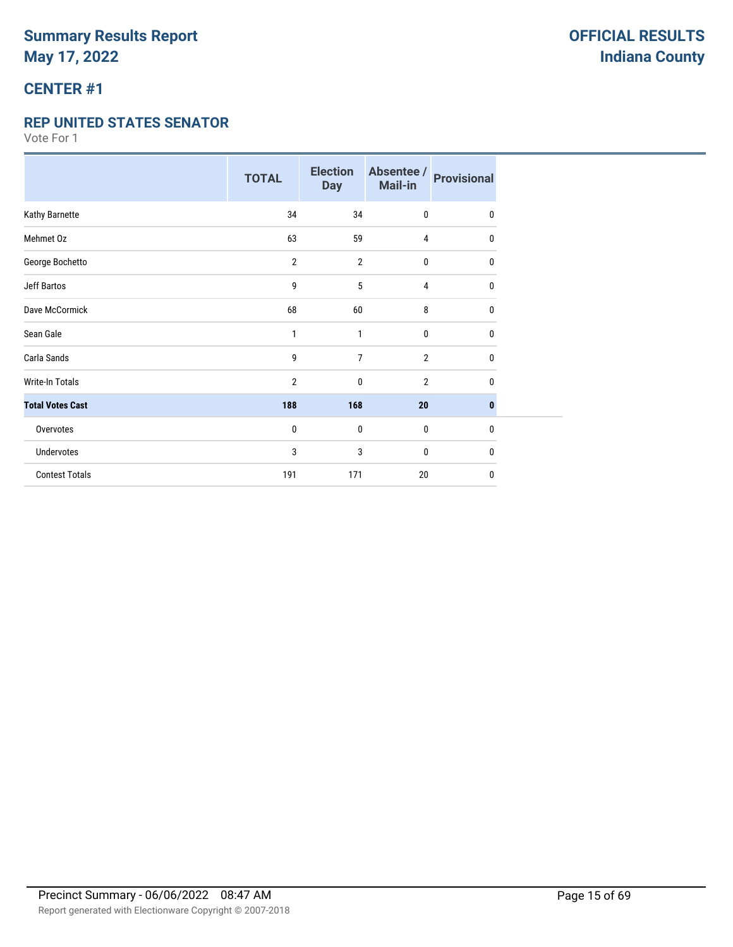# **CENTER #1**

#### **REP UNITED STATES SENATOR**

|                         | <b>TOTAL</b>   | <b>Election</b><br><b>Day</b> | Absentee /<br>Mail-in | <b>Provisional</b> |
|-------------------------|----------------|-------------------------------|-----------------------|--------------------|
| Kathy Barnette          | 34             | 34                            | 0                     | $\mathbf{0}$       |
| Mehmet Oz               | 63             | 59                            | $\overline{4}$        | 0                  |
| George Bochetto         | $\overline{2}$ | $\overline{2}$                | 0                     | 0                  |
| <b>Jeff Bartos</b>      | 9              | 5                             | 4                     | 0                  |
| Dave McCormick          | 68             | 60                            | 8                     | $\mathbf 0$        |
| Sean Gale               | $\mathbf{1}$   | 1                             | 0                     | $\mathbf{0}$       |
| Carla Sands             | 9              | $\overline{7}$                | $\overline{2}$        | $\mathbf 0$        |
| <b>Write-In Totals</b>  | $\overline{2}$ | $\mathbf 0$                   | $\overline{2}$        | $\mathbf{0}$       |
| <b>Total Votes Cast</b> | 188            | 168                           | 20                    | $\bf{0}$           |
| Overvotes               | $\pmb{0}$      | $\mathbf 0$                   | $\bf{0}$              | $\mathbf{0}$       |
| <b>Undervotes</b>       | 3              | 3                             | 0                     | $\mathbf{0}$       |
| <b>Contest Totals</b>   | 191            | 171                           | 20                    | 0                  |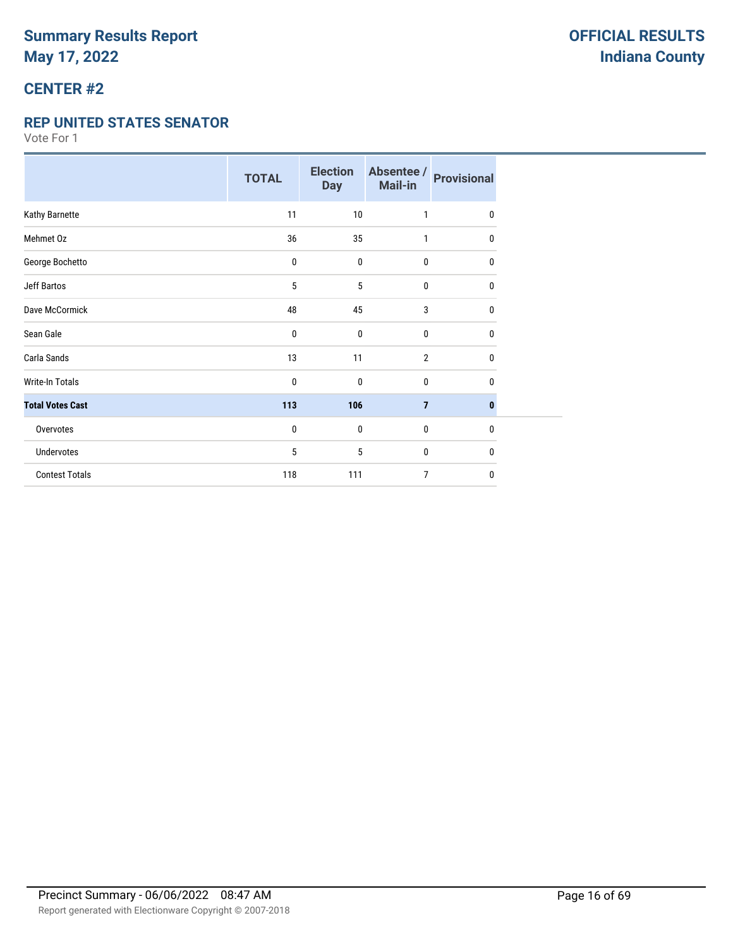# **CENTER #2**

#### **REP UNITED STATES SENATOR**

|                         | <b>TOTAL</b> | <b>Election</b><br><b>Day</b> | Absentee /<br>Mail-in | <b>Provisional</b> |
|-------------------------|--------------|-------------------------------|-----------------------|--------------------|
| Kathy Barnette          | 11           | 10                            | 1                     | $\mathbf{0}$       |
| Mehmet Oz               | 36           | 35                            | 1                     | 0                  |
| George Bochetto         | $\pmb{0}$    | $\mathbf{0}$                  | $\pmb{0}$             | 0                  |
| Jeff Bartos             | 5            | 5                             | 0                     | 0                  |
| Dave McCormick          | 48           | 45                            | 3                     | 0                  |
| Sean Gale               | 0            | $\mathbf 0$                   | $\mathbf 0$           | 0                  |
| Carla Sands             | 13           | 11                            | $\overline{2}$        | $\mathbf{0}$       |
| <b>Write-In Totals</b>  | 0            | 0                             | $\bf{0}$              | 0                  |
| <b>Total Votes Cast</b> | 113          | 106                           | $\overline{7}$        | $\mathbf{0}$       |
| Overvotes               | 0            | $\bf{0}$                      | $\bf{0}$              | $\mathbf{0}$       |
| Undervotes              | 5            | 5                             | $\bf{0}$              | 0                  |
| <b>Contest Totals</b>   | 118          | 111                           | $\overline{7}$        | $\mathbf{0}$       |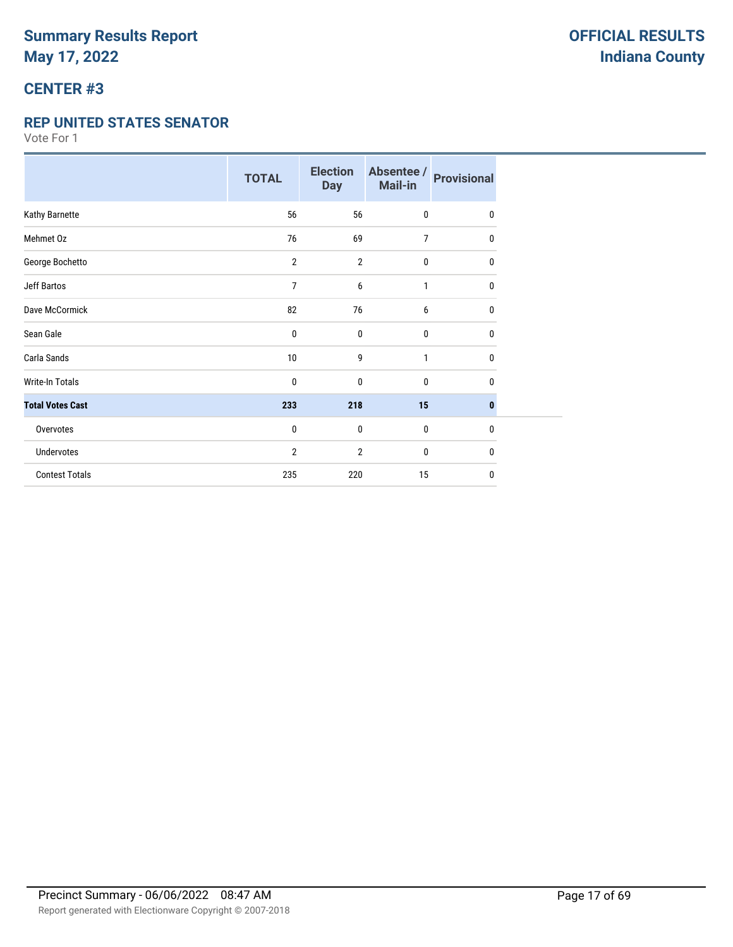# **CENTER #3**

#### **REP UNITED STATES SENATOR**

|                         | <b>TOTAL</b>   | <b>Election</b><br><b>Day</b> | Absentee /<br>Mail-in | <b>Provisional</b> |
|-------------------------|----------------|-------------------------------|-----------------------|--------------------|
| Kathy Barnette          | 56             | 56                            | $\mathbf 0$           | $\mathbf{0}$       |
| Mehmet Oz               | 76             | 69                            | 7                     | 0                  |
| George Bochetto         | $\overline{2}$ | $\overline{2}$                | $\bf{0}$              | $\mathbf{0}$       |
| <b>Jeff Bartos</b>      | 7              | 6                             | 1                     | 0                  |
| Dave McCormick          | 82             | 76                            | 6                     | 0                  |
| Sean Gale               | 0              | $\mathbf{0}$                  | $\mathbf 0$           | 0                  |
| Carla Sands             | 10             | 9                             | 1                     | $\mathbf{0}$       |
| Write-In Totals         | 0              | 0                             | $\mathbf 0$           | 0                  |
| <b>Total Votes Cast</b> | 233            | 218                           | 15                    | $\bf{0}$           |
| Overvotes               | 0              | $\bf{0}$                      | $\pmb{0}$             | $\mathbf 0$        |
| Undervotes              | $\overline{2}$ | 2                             | 0                     | $\mathbf{0}$       |
| <b>Contest Totals</b>   | 235            | 220                           | 15                    | 0                  |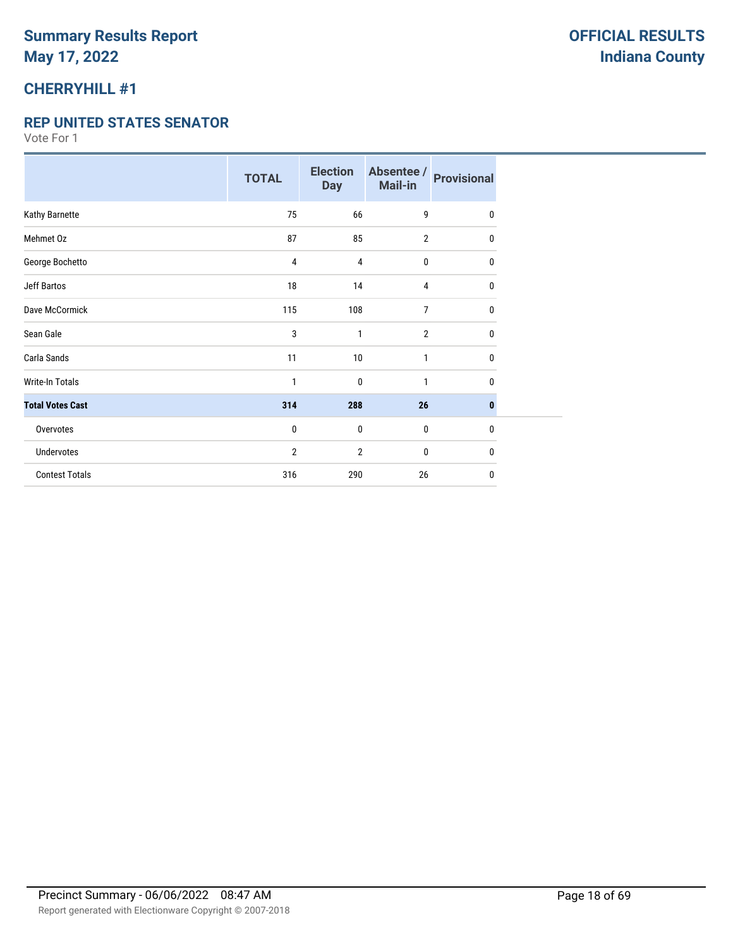### **CHERRYHILL #1**

#### **REP UNITED STATES SENATOR**

|                         | <b>TOTAL</b> | <b>Election</b><br><b>Day</b> | Absentee /<br>Mail-in | <b>Provisional</b> |
|-------------------------|--------------|-------------------------------|-----------------------|--------------------|
| Kathy Barnette          | 75           | 66                            | 9                     | 0                  |
| Mehmet Oz               | 87           | 85                            | $\overline{2}$        | 0                  |
| George Bochetto         | 4            | 4                             | 0                     | 0                  |
| <b>Jeff Bartos</b>      | 18           | 14                            | 4                     | 0                  |
| Dave McCormick          | 115          | 108                           | 7                     | 0                  |
| Sean Gale               | 3            | $\mathbf{1}$                  | $\overline{2}$        | 0                  |
| Carla Sands             | 11           | 10                            | 1                     | 0                  |
| <b>Write-In Totals</b>  | 1            | $\mathbf{0}$                  | 1                     | 0                  |
| <b>Total Votes Cast</b> | 314          | 288                           | 26                    | $\mathbf{0}$       |
| Overvotes               | $\pmb{0}$    | $\mathbf{0}$                  | $\pmb{0}$             | $\mathbf{0}$       |
| <b>Undervotes</b>       | 2            | $\overline{2}$                | 0                     | 0                  |
| <b>Contest Totals</b>   | 316          | 290                           | 26                    | 0                  |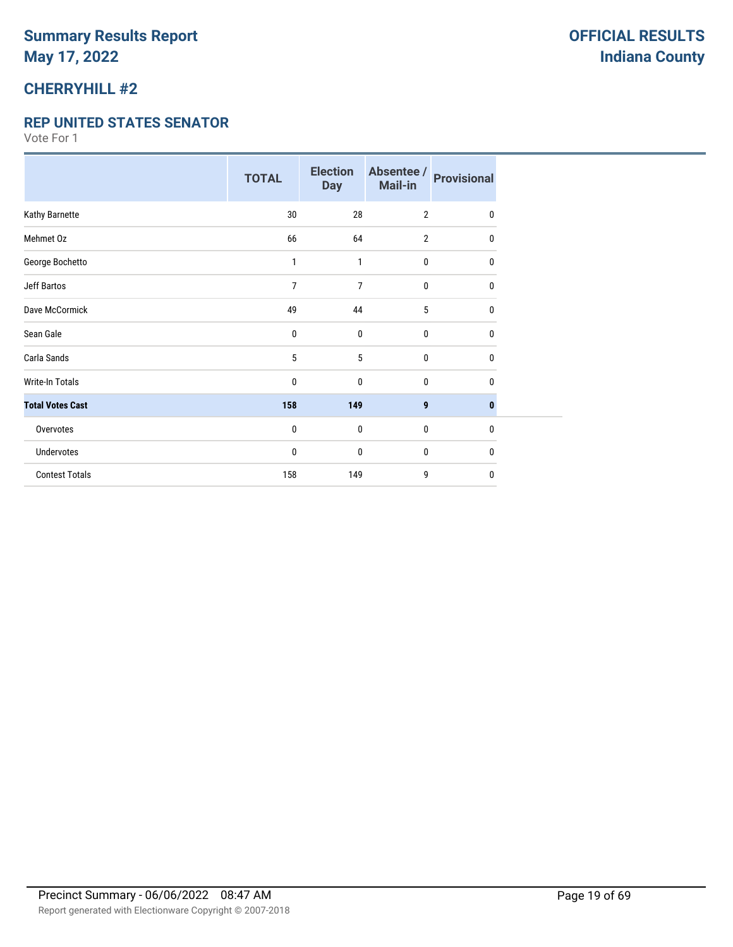### **CHERRYHILL #2**

#### **REP UNITED STATES SENATOR**

|                         | <b>TOTAL</b> | <b>Election</b><br><b>Day</b> | Absentee /<br>Mail-in | <b>Provisional</b> |
|-------------------------|--------------|-------------------------------|-----------------------|--------------------|
| Kathy Barnette          | 30           | 28                            | $\overline{2}$        | 0                  |
| Mehmet Oz               | 66           | 64                            | $\overline{2}$        | 0                  |
| George Bochetto         | 1            | 1                             | $\bf{0}$              | 0                  |
| <b>Jeff Bartos</b>      | 7            | 7                             | $\mathbf 0$           | 0                  |
| Dave McCormick          | 49           | 44                            | 5                     | 0                  |
| Sean Gale               | 0            | $\mathbf{0}$                  | 0                     | $\mathbf{0}$       |
| Carla Sands             | 5            | 5                             | $\mathbf 0$           | 0                  |
| <b>Write-In Totals</b>  | 0            | $\mathbf{0}$                  | $\mathbf 0$           | 0                  |
| <b>Total Votes Cast</b> | 158          | 149                           | 9                     | $\mathbf{0}$       |
| Overvotes               | 0            | $\mathbf 0$                   | $\pmb{0}$             | $\mathbf{0}$       |
| <b>Undervotes</b>       | 0            | $\mathbf{0}$                  | $\mathbf 0$           | 0                  |
| <b>Contest Totals</b>   | 158          | 149                           | 9                     | $\mathbf{0}$       |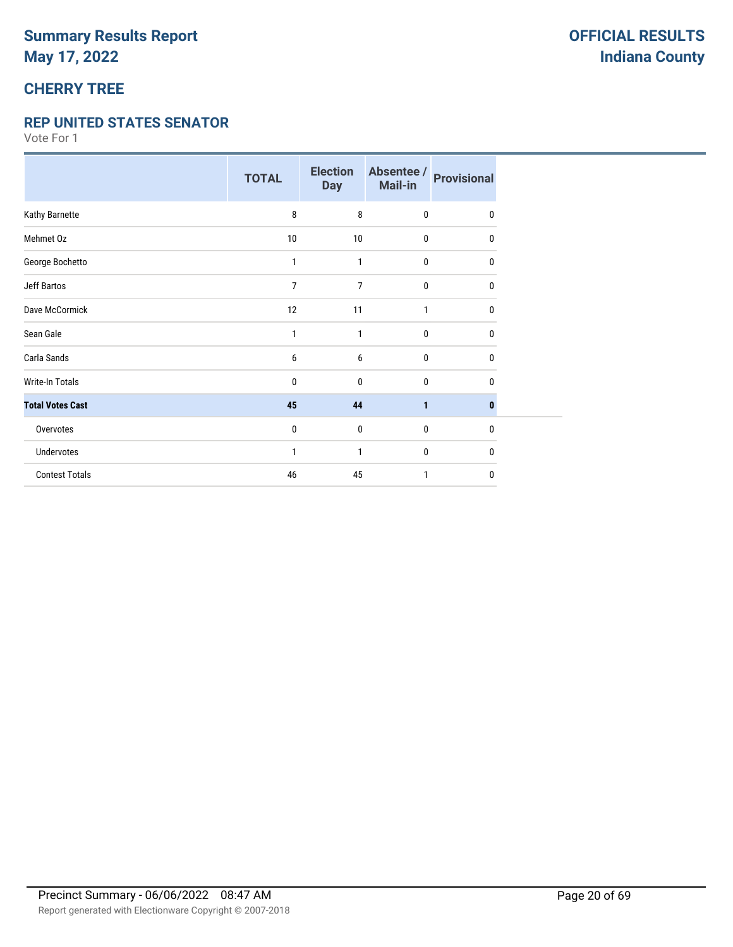# **CHERRY TREE**

#### **REP UNITED STATES SENATOR**

|                         | <b>TOTAL</b> | <b>Election</b><br><b>Day</b> | Absentee /<br><b>Mail-in</b> | <b>Provisional</b> |
|-------------------------|--------------|-------------------------------|------------------------------|--------------------|
| Kathy Barnette          | 8            | 8                             | $\mathbf 0$                  | $\mathbf{0}$       |
| Mehmet Oz               | 10           | 10                            | 0                            | $\mathbf{0}$       |
| George Bochetto         | 1            | 1                             | $\bf{0}$                     | 0                  |
| Jeff Bartos             | 7            | 7                             | $\mathbf 0$                  | 0                  |
| Dave McCormick          | 12           | 11                            | 1                            | 0                  |
| Sean Gale               | 1            | 1                             | $\mathbf{0}$                 | $\mathbf{0}$       |
| Carla Sands             | 6            | 6                             | $\pmb{0}$                    | 0                  |
| <b>Write-In Totals</b>  | 0            | $\mathbf{0}$                  | $\mathbf 0$                  | 0                  |
| <b>Total Votes Cast</b> | 45           | 44                            | $\mathbf{1}$                 | $\bf{0}$           |
| Overvotes               | 0            | $\mathbf 0$                   | $\mathbf 0$                  | $\mathbf{0}$       |
| Undervotes              | 1            | 1                             | 0                            | 0                  |
| <b>Contest Totals</b>   | 46           | 45                            | 1                            | 0                  |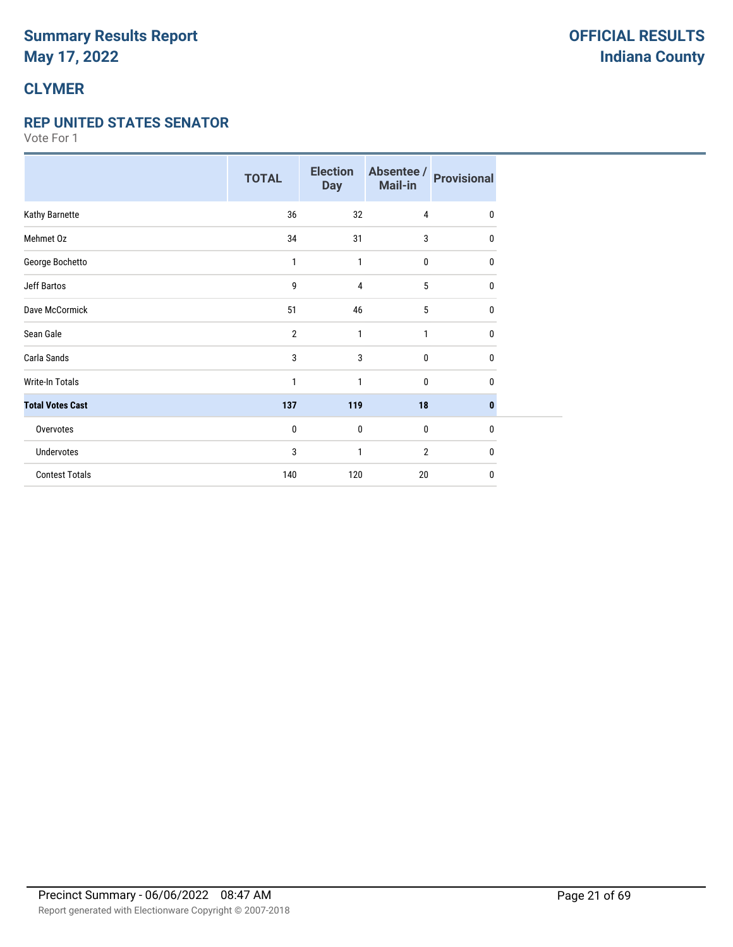# **CLYMER**

#### **REP UNITED STATES SENATOR**

|                         | <b>TOTAL</b>   | <b>Election</b><br><b>Day</b> | Absentee /<br>Mail-in | <b>Provisional</b> |
|-------------------------|----------------|-------------------------------|-----------------------|--------------------|
| Kathy Barnette          | 36             | 32                            | 4                     | 0                  |
| Mehmet Oz               | 34             | 31                            | 3                     | 0                  |
| George Bochetto         | 1              | 1                             | $\bf{0}$              | 0                  |
| <b>Jeff Bartos</b>      | 9              | 4                             | 5                     | 0                  |
| Dave McCormick          | 51             | 46                            | 5                     | 0                  |
| Sean Gale               | $\overline{2}$ | 1                             | 1                     | $\mathbf{0}$       |
| Carla Sands             | 3              | 3                             | $\bf{0}$              | 0                  |
| <b>Write-In Totals</b>  | 1              | 1                             | $\bf{0}$              | 0                  |
| <b>Total Votes Cast</b> | 137            | 119                           | 18                    | $\mathbf{0}$       |
| Overvotes               | 0              | $\pmb{0}$                     | $\mathbf 0$           | $\mathbf{0}$       |
| <b>Undervotes</b>       | 3              | 1                             | $\overline{2}$        | 0                  |
| <b>Contest Totals</b>   | 140            | 120                           | 20                    | 0                  |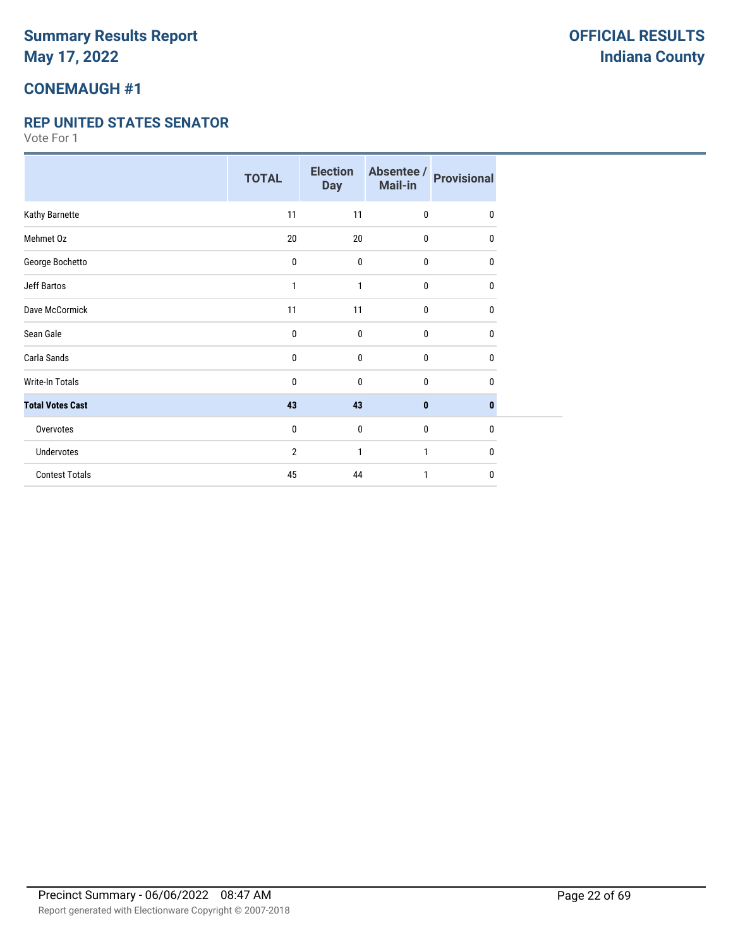### **CONEMAUGH #1**

#### **REP UNITED STATES SENATOR**

|                         | <b>TOTAL</b> | <b>Election</b><br><b>Day</b> | Absentee /<br>Mail-in | <b>Provisional</b> |
|-------------------------|--------------|-------------------------------|-----------------------|--------------------|
| Kathy Barnette          | 11           | 11                            | 0                     | $\mathbf{0}$       |
| Mehmet Oz               | 20           | 20                            | 0                     | 0                  |
| George Bochetto         | 0            | 0                             | 0                     | 0                  |
| Jeff Bartos             | 1            | 1                             | 0                     | 0                  |
| Dave McCormick          | 11           | 11                            | 0                     | 0                  |
| Sean Gale               | 0            | 0                             | 0                     | $\mathbf{0}$       |
| Carla Sands             | $\pmb{0}$    | 0                             | $\pmb{0}$             | $\mathbf{0}$       |
| <b>Write-In Totals</b>  | 0            | 0                             | 0                     | 0                  |
| <b>Total Votes Cast</b> | 43           | 43                            | 0                     | $\bf{0}$           |
| Overvotes               | 0            | 0                             | $\bf{0}$              | $\mathbf 0$        |
| Undervotes              | 2            | 1                             | 1                     | $\mathbf{0}$       |
| <b>Contest Totals</b>   | 45           | 44                            | 1                     | 0                  |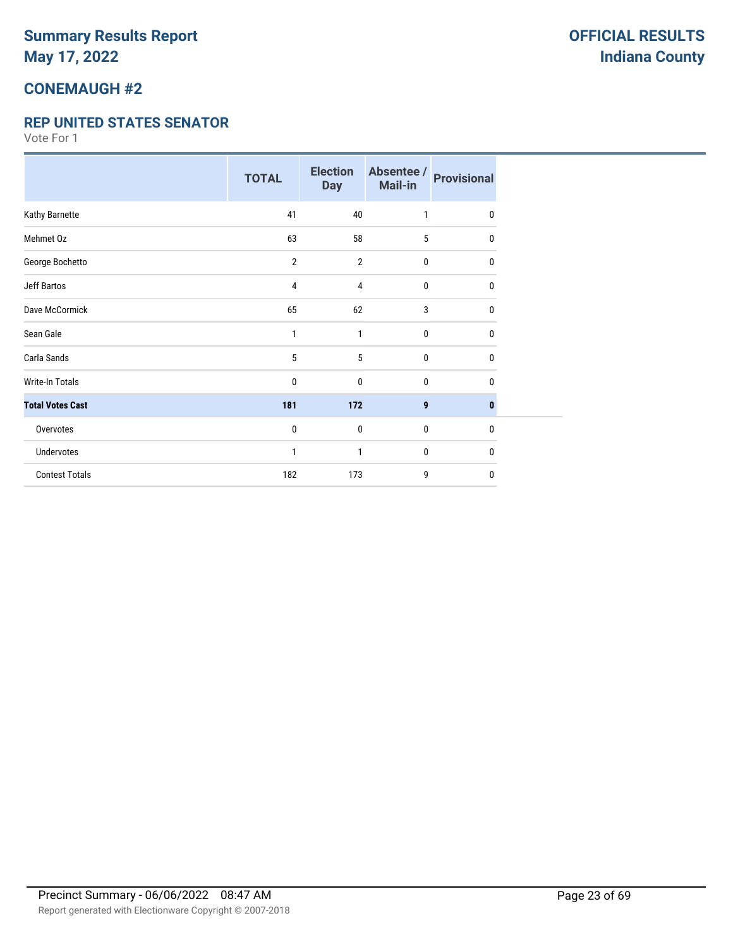### **CONEMAUGH #2**

#### **REP UNITED STATES SENATOR**

|                         | <b>TOTAL</b>   | <b>Election</b><br><b>Day</b> | Absentee /<br>Mail-in | <b>Provisional</b> |
|-------------------------|----------------|-------------------------------|-----------------------|--------------------|
| Kathy Barnette          | 41             | 40                            | 1                     | $\mathbf{0}$       |
| Mehmet Oz               | 63             | 58                            | 5                     | 0                  |
| George Bochetto         | $\overline{2}$ | $\overline{2}$                | $\pmb{0}$             | 0                  |
| <b>Jeff Bartos</b>      | 4              | 4                             | 0                     | 0                  |
| Dave McCormick          | 65             | 62                            | 3                     | 0                  |
| Sean Gale               | $\mathbf{1}$   | 1                             | $\pmb{0}$             | $\mathbf{0}$       |
| Carla Sands             | 5              | 5                             | $\pmb{0}$             | 0                  |
| Write-In Totals         | 0              | 0                             | $\mathbf{0}$          | $\mathbf{0}$       |
| <b>Total Votes Cast</b> | 181            | 172                           | 9                     | $\mathbf{0}$       |
| Overvotes               | 0              | $\mathbf 0$                   | $\mathbf 0$           | $\mathbf 0$        |
| Undervotes              | 1              | 1                             | $\bf{0}$              | 0                  |
| <b>Contest Totals</b>   | 182            | 173                           | 9                     | $\mathbf{0}$       |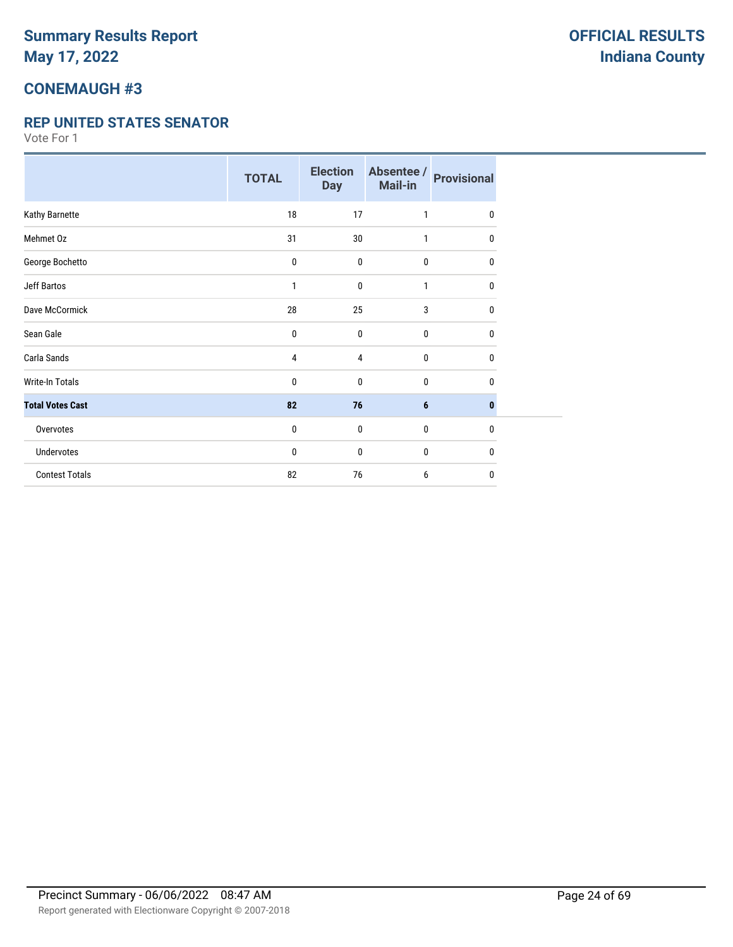### **CONEMAUGH #3**

#### **REP UNITED STATES SENATOR**

|                         | <b>TOTAL</b> | <b>Election</b><br><b>Day</b> | Absentee /<br>Mail-in | <b>Provisional</b> |
|-------------------------|--------------|-------------------------------|-----------------------|--------------------|
| Kathy Barnette          | 18           | 17                            | 1                     | 0                  |
| Mehmet Oz               | 31           | 30                            | 1                     | 0                  |
| George Bochetto         | 0            | $\bf{0}$                      | $\bf{0}$              | 0                  |
| Jeff Bartos             | 1            | $\mathbf 0$                   | 1                     | 0                  |
| Dave McCormick          | 28           | 25                            | 3                     | $\mathbf{0}$       |
| Sean Gale               | 0            | $\mathbf 0$                   | $\bf{0}$              | 0                  |
| Carla Sands             | 4            | 4                             | $\bf{0}$              | 0                  |
| Write-In Totals         | 0            | $\mathbf 0$                   | $\bf{0}$              | 0                  |
| <b>Total Votes Cast</b> | 82           | 76                            | $6\phantom{1}6$       | $\bf{0}$           |
| Overvotes               | 0            | $\boldsymbol{0}$              | $\bf{0}$              | $\mathbf{0}$       |
| Undervotes              | 0            | 0                             | $\bf{0}$              | 0                  |
| <b>Contest Totals</b>   | 82           | 76                            | 6                     | $\mathbf 0$        |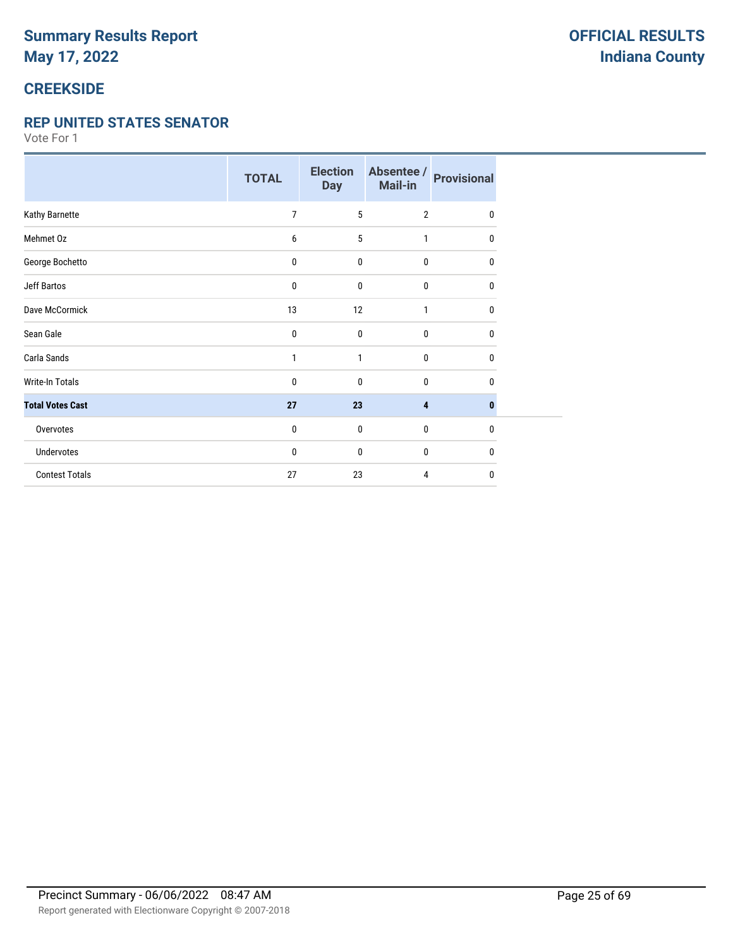# **CREEKSIDE**

#### **REP UNITED STATES SENATOR**

|                         | <b>TOTAL</b> | <b>Election</b><br><b>Day</b> | Absentee /<br>Mail-in | <b>Provisional</b> |
|-------------------------|--------------|-------------------------------|-----------------------|--------------------|
| Kathy Barnette          | 7            | 5                             | $\overline{2}$        | 0                  |
| Mehmet Oz               | 6            | 5                             | 1                     | $\mathbf{0}$       |
| George Bochetto         | 0            | $\mathbf 0$                   | $\bf{0}$              | 0                  |
| <b>Jeff Bartos</b>      | 0            | $\mathbf 0$                   | $\bf{0}$              | 0                  |
| Dave McCormick          | 13           | 12                            | 1                     | 0                  |
| Sean Gale               | 0            | $\mathbf 0$                   | $\mathbf{0}$          | $\mathbf{0}$       |
| Carla Sands             | 1            | 1                             | $\bf{0}$              | 0                  |
| <b>Write-In Totals</b>  | 0            | $\mathbf 0$                   | $\bf{0}$              | $\Omega$           |
| <b>Total Votes Cast</b> | 27           | 23                            | 4                     | $\bf{0}$           |
| Overvotes               | 0            | $\mathbf 0$                   | $\bf{0}$              | $\mathbf{0}$       |
| Undervotes              | 0            | $\mathbf 0$                   | $\bf{0}$              | 0                  |
| <b>Contest Totals</b>   | 27           | 23                            | 4                     | 0                  |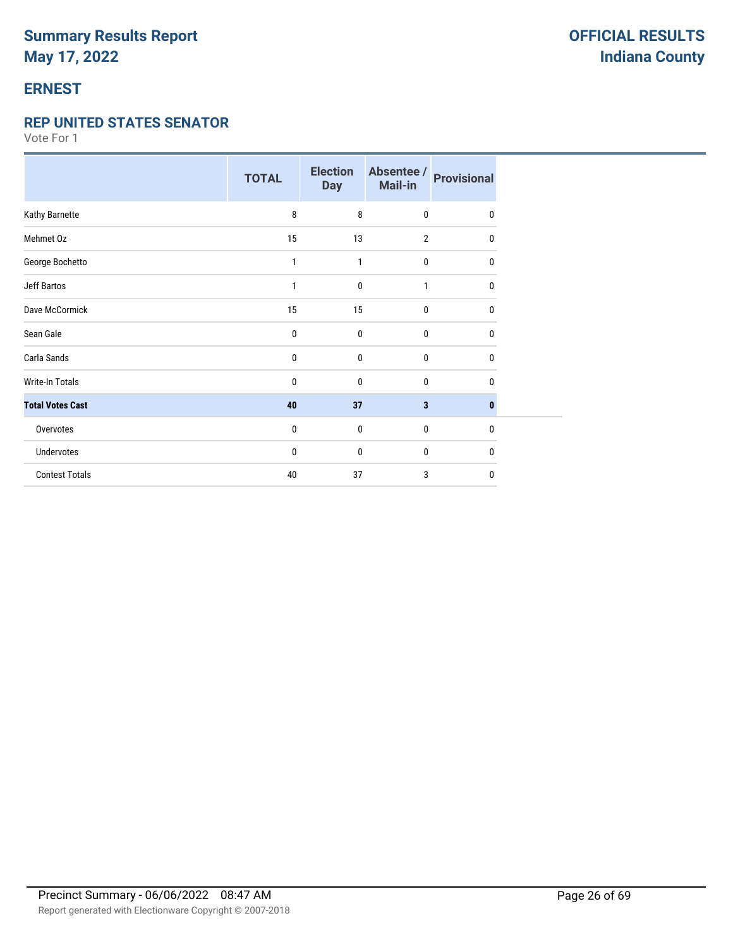### **ERNEST**

#### **REP UNITED STATES SENATOR**

|                         | <b>TOTAL</b> | <b>Election</b><br><b>Day</b> | Absentee /<br>Mail-in | <b>Provisional</b> |
|-------------------------|--------------|-------------------------------|-----------------------|--------------------|
| Kathy Barnette          | 8            | 8                             | $\mathbf 0$           | $\mathbf{0}$       |
| Mehmet Oz               | 15           | 13                            | $\overline{2}$        | 0                  |
| George Bochetto         | 1            | 1                             | $\pmb{0}$             | $\mathbf{0}$       |
| Jeff Bartos             | 1            | 0                             | 1                     | 0                  |
| Dave McCormick          | 15           | 15                            | $\bf{0}$              | 0                  |
| Sean Gale               | 0            | $\mathbf 0$                   | $\mathbf{0}$          | 0                  |
| Carla Sands             | 0            | $\mathbf 0$                   | $\bf{0}$              | 0                  |
| Write-In Totals         | 0            | 0                             | 0                     | 0                  |
| <b>Total Votes Cast</b> | 40           | 37                            | 3                     | $\bf{0}$           |
| Overvotes               | 0            | $\mathbf 0$                   | $\bf{0}$              | $\mathbf{0}$       |
| <b>Undervotes</b>       | 0            | 0                             | 0                     | 0                  |
| <b>Contest Totals</b>   | 40           | 37                            | 3                     | $\mathbf{0}$       |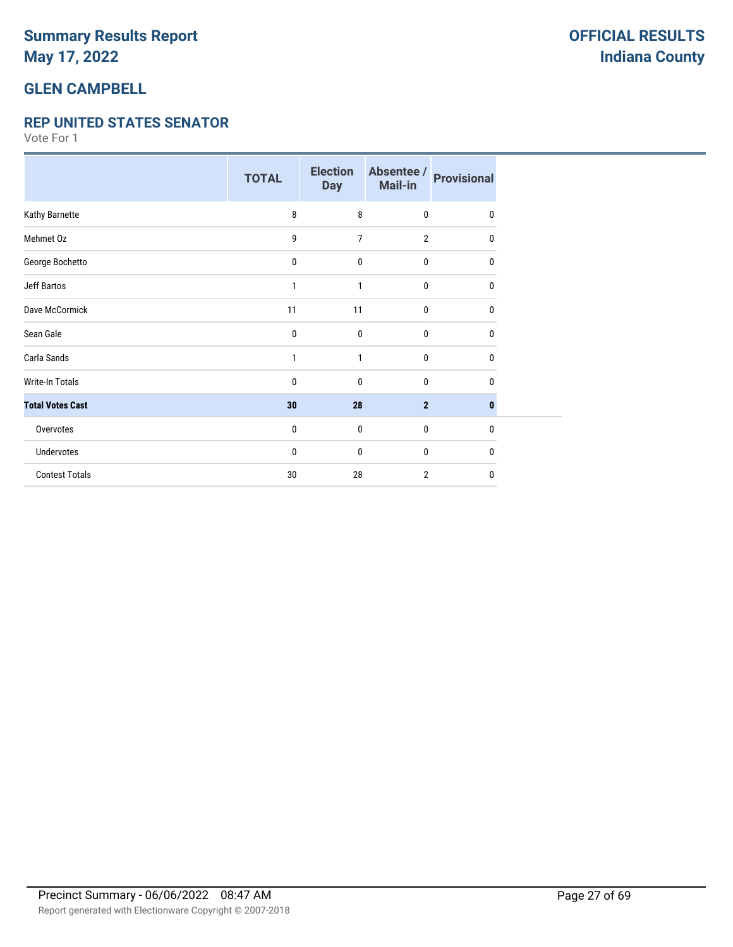### **GLEN CAMPBELL**

#### **REP UNITED STATES SENATOR**

|                         | <b>TOTAL</b> | <b>Election</b><br><b>Day</b> | Absentee /<br>Mail-in | <b>Provisional</b> |
|-------------------------|--------------|-------------------------------|-----------------------|--------------------|
| Kathy Barnette          | 8            | 8                             | $\mathbf{0}$          | $\mathbf{0}$       |
| Mehmet Oz               | 9            | $\overline{7}$                | $\overline{2}$        | $\mathbf 0$        |
| George Bochetto         | 0            | $\mathbf 0$                   | 0                     | 0                  |
| Jeff Bartos             | 1            | 1                             | 0                     | $\mathbf{0}$       |
| Dave McCormick          | 11           | 11                            | $\mathbf{0}$          | $\mathbf{0}$       |
| Sean Gale               | 0            | 0                             | $\mathbf{0}$          | $\mathbf 0$        |
| Carla Sands             | 1            | 1                             | $\mathbf{0}$          | 0                  |
| <b>Write-In Totals</b>  | 0            | $\mathbf 0$                   | 0                     | 0                  |
| <b>Total Votes Cast</b> | 30           | 28                            | $\overline{2}$        | 0                  |
| Overvotes               | 0            | $\mathbf 0$                   | $\mathbf{0}$          | $\mathbf{0}$       |
| Undervotes              | 0            | 0                             | 0                     | $\mathbf 0$        |
| <b>Contest Totals</b>   | 30           | 28                            | $\overline{2}$        | $\mathbf{0}$       |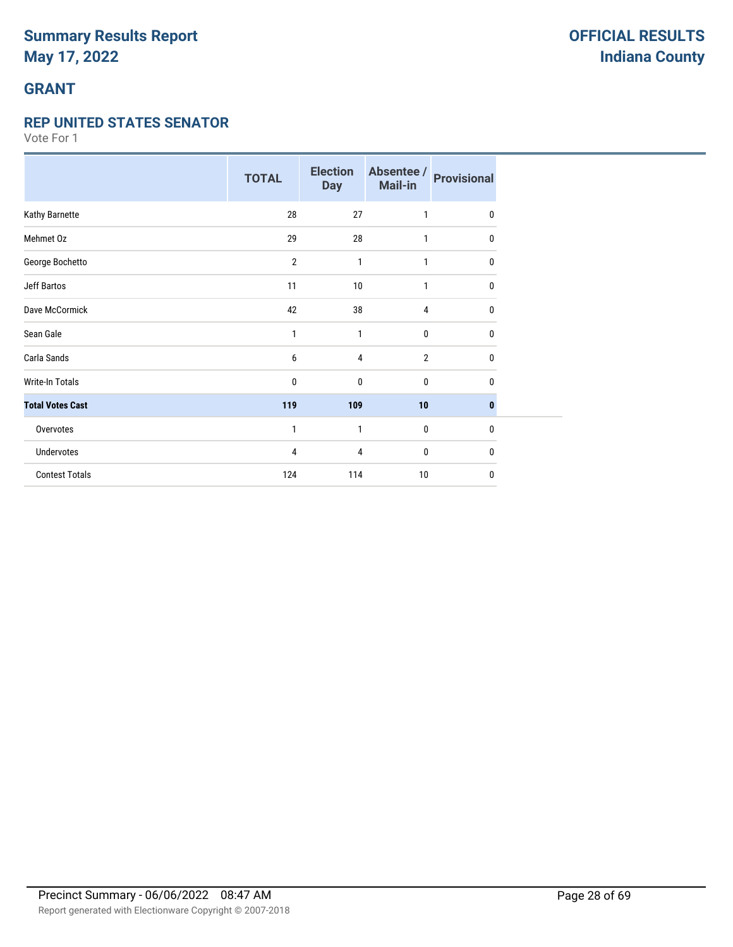# **GRANT**

#### **REP UNITED STATES SENATOR**

|                         | <b>TOTAL</b>   | <b>Election</b><br><b>Day</b> | Absentee /<br>Mail-in | <b>Provisional</b> |
|-------------------------|----------------|-------------------------------|-----------------------|--------------------|
| Kathy Barnette          | 28             | 27                            | 1                     | $\mathbf 0$        |
| Mehmet Oz               | 29             | 28                            | 1                     | 0                  |
| George Bochetto         | $\overline{2}$ | 1                             | $\mathbf{1}$          | 0                  |
| <b>Jeff Bartos</b>      | 11             | 10                            | 1                     | 0                  |
| Dave McCormick          | 42             | 38                            | 4                     | $\mathbf{0}$       |
| Sean Gale               | 1              | 1                             | 0                     | 0                  |
| Carla Sands             | 6              | 4                             | $\overline{2}$        | 0                  |
| Write-In Totals         | 0              | 0                             | 0                     | 0                  |
| <b>Total Votes Cast</b> | 119            | 109                           | 10                    | $\bf{0}$           |
| Overvotes               | 1              | 1                             | 0                     | 0                  |
| Undervotes              | 4              | 4                             | 0                     | 0                  |
| <b>Contest Totals</b>   | 124            | 114                           | 10                    | 0                  |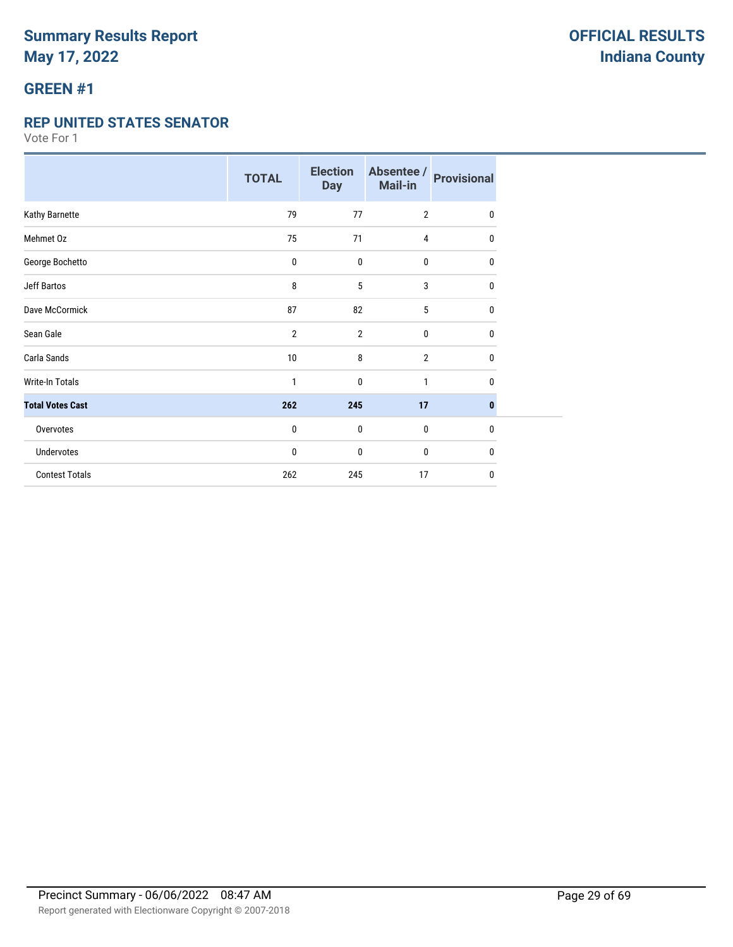# **GREEN #1**

#### **REP UNITED STATES SENATOR**

|                         | <b>TOTAL</b>   | <b>Election</b><br><b>Day</b> | Absentee /<br>Mail-in | <b>Provisional</b> |
|-------------------------|----------------|-------------------------------|-----------------------|--------------------|
| Kathy Barnette          | 79             | 77                            | $\overline{2}$        | $\mathbf{0}$       |
| Mehmet Oz               | 75             | 71                            | 4                     | 0                  |
| George Bochetto         | 0              | $\mathbf 0$                   | 0                     | 0                  |
| <b>Jeff Bartos</b>      | 8              | 5                             | 3                     | 0                  |
| Dave McCormick          | 87             | 82                            | 5                     | 0                  |
| Sean Gale               | $\overline{2}$ | $\overline{2}$                | 0                     | 0                  |
| Carla Sands             | 10             | 8                             | $\overline{2}$        | 0                  |
| <b>Write-In Totals</b>  | 1              | $\mathbf 0$                   | $\mathbf{1}$          | 0                  |
| <b>Total Votes Cast</b> | 262            | 245                           | 17                    | $\bf{0}$           |
| Overvotes               | $\mathbf{0}$   | $\mathbf 0$                   | 0                     | $\mathbf{0}$       |
| Undervotes              | 0              | $\mathbf 0$                   | 0                     | $\mathbf{0}$       |
| <b>Contest Totals</b>   | 262            | 245                           | 17                    | 0                  |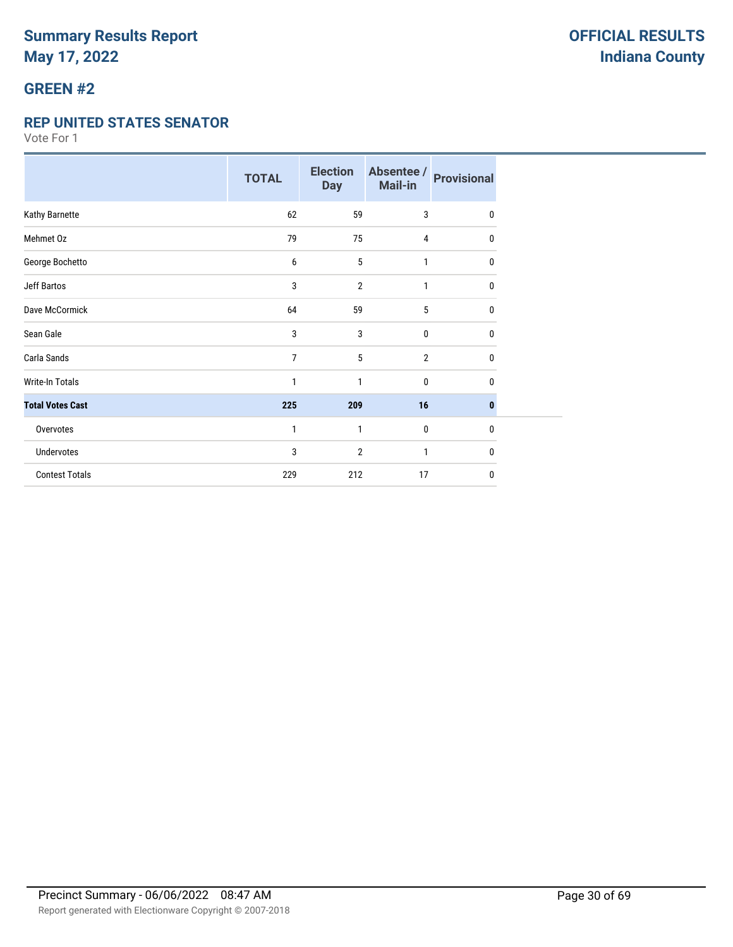# **GREEN #2**

#### **REP UNITED STATES SENATOR**

|                         | <b>TOTAL</b>   | <b>Election</b><br><b>Day</b> | Absentee /<br>Mail-in | <b>Provisional</b> |
|-------------------------|----------------|-------------------------------|-----------------------|--------------------|
| Kathy Barnette          | 62             | 59                            | 3                     | 0                  |
| Mehmet Oz               | 79             | 75                            | 4                     | 0                  |
| George Bochetto         | 6              | 5                             | $\mathbf{1}$          | 0                  |
| <b>Jeff Bartos</b>      | 3              | $\overline{2}$                | 1                     | 0                  |
| Dave McCormick          | 64             | 59                            | 5                     | $\mathbf{0}$       |
| Sean Gale               | 3              | 3                             | $\mathbf{0}$          | $\mathbf{0}$       |
| Carla Sands             | $\overline{7}$ | 5                             | $\overline{2}$        | $\mathbf{0}$       |
| Write-In Totals         | 1              | 1                             | 0                     | 0                  |
| <b>Total Votes Cast</b> | 225            | 209                           | 16                    | $\bf{0}$           |
| Overvotes               | 1              | 1                             | $\bf{0}$              | $\mathbf{0}$       |
| Undervotes              | 3              | 2                             | 1                     | $\mathbf{0}$       |
| <b>Contest Totals</b>   | 229            | 212                           | 17                    | $\mathbf{0}$       |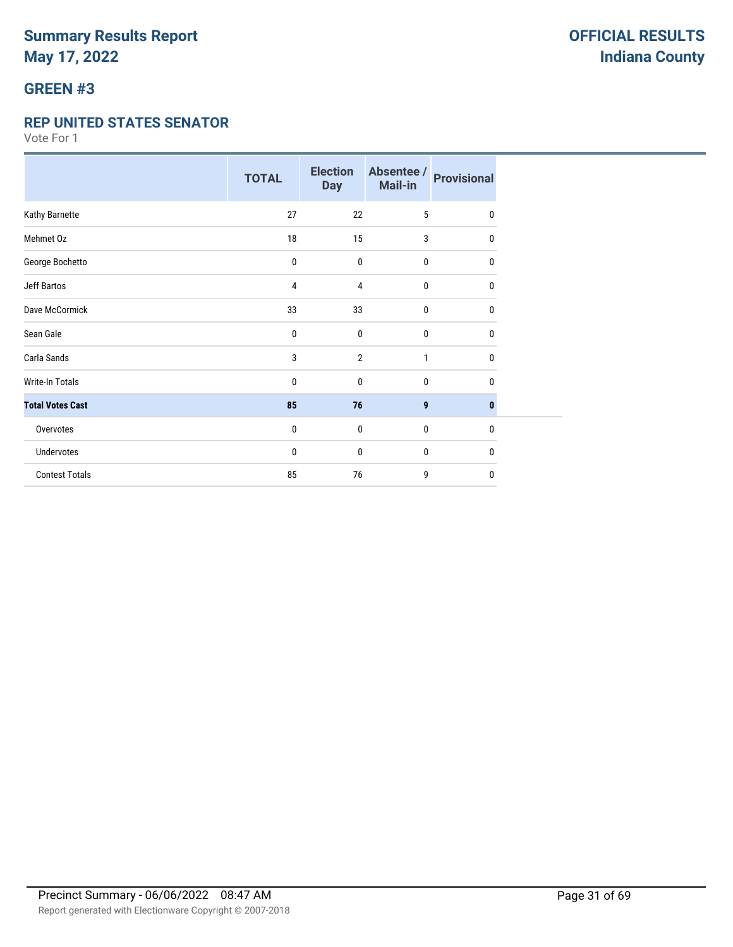# **GREEN #3**

#### **REP UNITED STATES SENATOR**

|                         | <b>TOTAL</b> | <b>Election</b><br><b>Day</b> | Absentee /<br>Mail-in | <b>Provisional</b> |
|-------------------------|--------------|-------------------------------|-----------------------|--------------------|
| Kathy Barnette          | 27           | 22                            | 5                     | $\mathbf{0}$       |
| Mehmet Oz               | 18           | 15                            | 3                     | 0                  |
| George Bochetto         | 0            | $\mathbf 0$                   | $\bf{0}$              | 0                  |
| <b>Jeff Bartos</b>      | 4            | 4                             | $\mathbf 0$           | 0                  |
| Dave McCormick          | 33           | 33                            | $\mathbf{0}$          | 0                  |
| Sean Gale               | 0            | $\mathbf{0}$                  | $\mathbf{0}$          | 0                  |
| Carla Sands             | 3            | $\overline{2}$                | $\mathbf{1}$          | 0                  |
| <b>Write-In Totals</b>  | 0            | $\mathbf{0}$                  | $\mathbf 0$           | 0                  |
| <b>Total Votes Cast</b> | 85           | 76                            | 9                     | $\bf{0}$           |
| Overvotes               | 0            | $\mathbf 0$                   | $\mathbf 0$           | $\mathbf{0}$       |
| Undervotes              | 0            | $\mathbf{0}$                  | $\mathbf 0$           | 0                  |
| <b>Contest Totals</b>   | 85           | 76                            | 9                     | 0                  |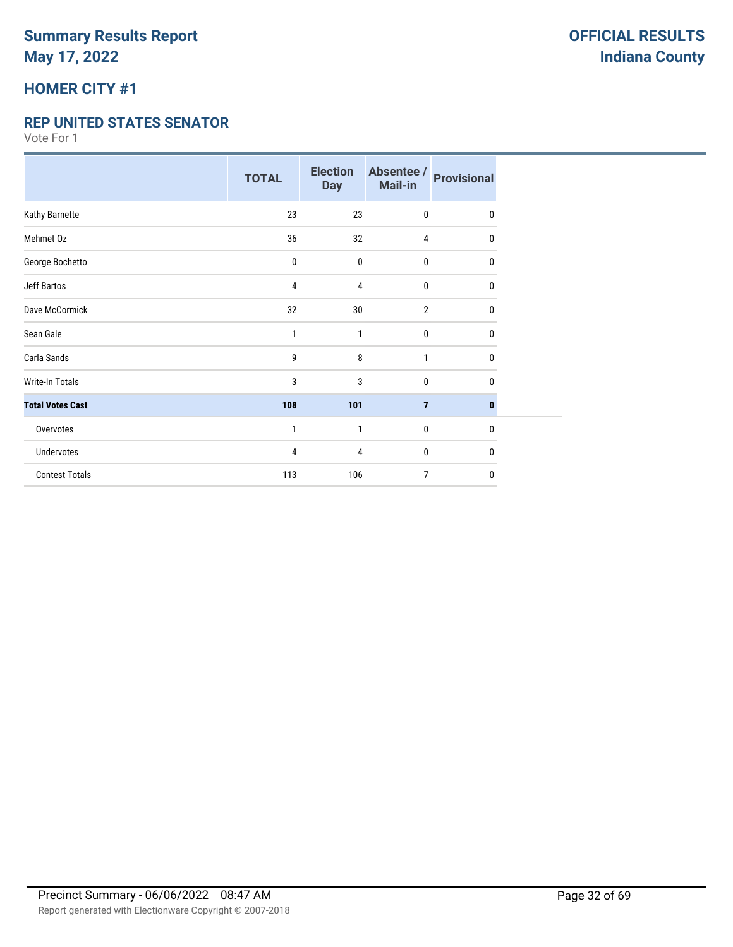## **HOMER CITY #1**

#### **REP UNITED STATES SENATOR**

|                         | <b>TOTAL</b> | <b>Election</b><br><b>Day</b> | Absentee /<br>Mail-in | <b>Provisional</b> |
|-------------------------|--------------|-------------------------------|-----------------------|--------------------|
| Kathy Barnette          | 23           | 23                            | 0                     | $\mathbf{0}$       |
| Mehmet Oz               | 36           | 32                            | $\overline{4}$        | 0                  |
| George Bochetto         | $\pmb{0}$    | $\mathbf 0$                   | 0                     | 0                  |
| <b>Jeff Bartos</b>      | 4            | 4                             | 0                     | 0                  |
| Dave McCormick          | 32           | 30                            | $\overline{2}$        | 0                  |
| Sean Gale               | 1            | 1                             | 0                     | $\mathbf{0}$       |
| Carla Sands             | 9            | 8                             | $\mathbf{1}$          | 0                  |
| <b>Write-In Totals</b>  | 3            | 3                             | 0                     | $\mathbf{0}$       |
| <b>Total Votes Cast</b> | 108          | 101                           | $\overline{7}$        | $\bf{0}$           |
| Overvotes               | 1            | 1                             | 0                     | $\mathbf{0}$       |
| <b>Undervotes</b>       | 4            | 4                             | 0                     | $\mathbf{0}$       |
| <b>Contest Totals</b>   | 113          | 106                           | $\overline{7}$        | 0                  |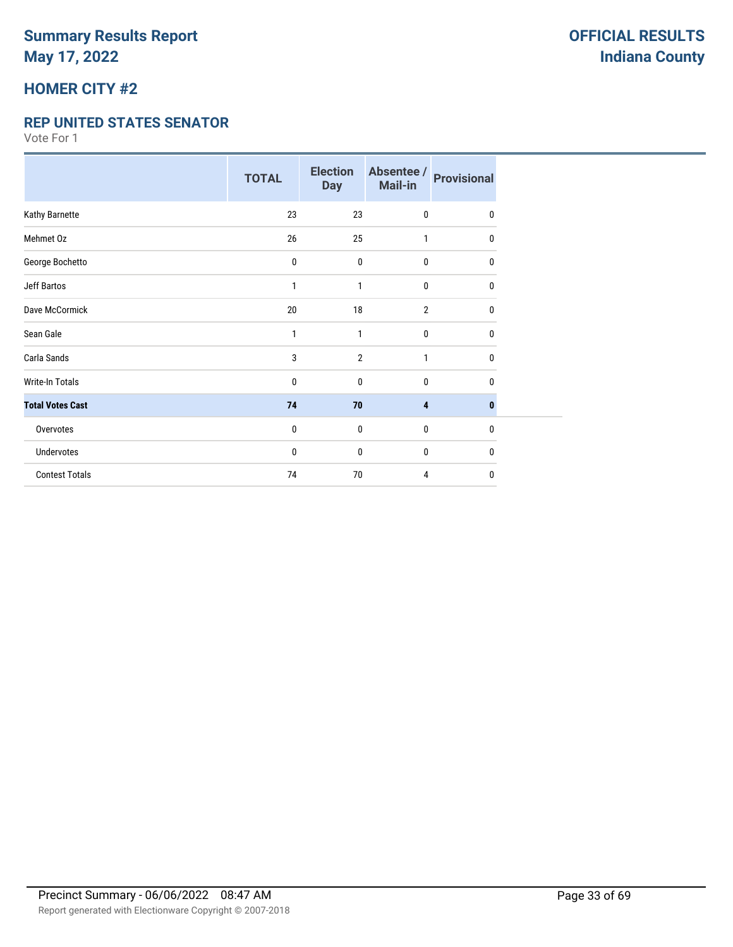## **HOMER CITY #2**

#### **REP UNITED STATES SENATOR**

|                         | <b>TOTAL</b> | <b>Election</b><br><b>Day</b> | Absentee /<br>Mail-in | <b>Provisional</b> |
|-------------------------|--------------|-------------------------------|-----------------------|--------------------|
| Kathy Barnette          | 23           | 23                            | $\mathbf 0$           | $\mathbf{0}$       |
| Mehmet Oz               | 26           | 25                            | 1                     | $\mathbf{0}$       |
| George Bochetto         | 0            | $\mathbf 0$                   | $\bf{0}$              | 0                  |
| <b>Jeff Bartos</b>      | 1            | 1                             | $\bf{0}$              | 0                  |
| Dave McCormick          | 20           | 18                            | $\overline{2}$        | 0                  |
| Sean Gale               | 1            | 1                             | $\mathbf{0}$          | 0                  |
| Carla Sands             | 3            | $\overline{2}$                | $\mathbf{1}$          | 0                  |
| <b>Write-In Totals</b>  | 0            | $\mathbf 0$                   | $\bf{0}$              | 0                  |
| <b>Total Votes Cast</b> | 74           | 70                            | 4                     | $\bf{0}$           |
| Overvotes               | 0            | $\mathbf 0$                   | $\bf{0}$              | $\mathbf{0}$       |
| Undervotes              | 0            | $\mathbf 0$                   | $\bf{0}$              | 0                  |
| <b>Contest Totals</b>   | 74           | 70                            | 4                     | 0                  |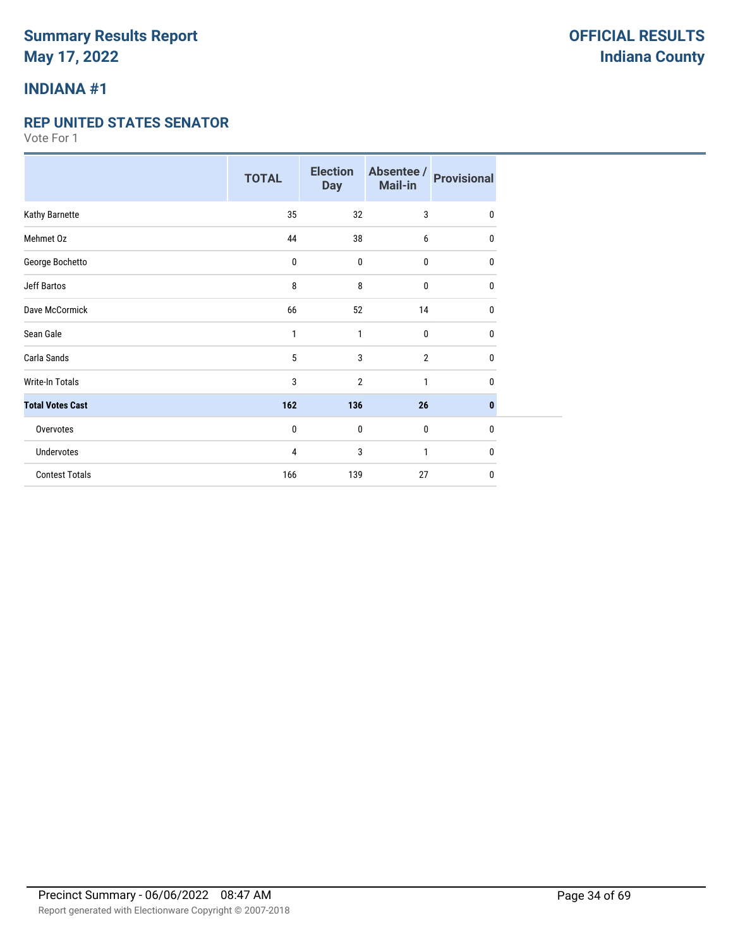## **INDIANA #1**

#### **REP UNITED STATES SENATOR**

|                         | <b>TOTAL</b> | <b>Election</b><br><b>Day</b> | Absentee /<br>Mail-in | <b>Provisional</b> |
|-------------------------|--------------|-------------------------------|-----------------------|--------------------|
| Kathy Barnette          | 35           | 32                            | 3                     | $\mathbf{0}$       |
| Mehmet Oz               | 44           | 38                            | 6                     | 0                  |
| George Bochetto         | $\pmb{0}$    | 0                             | 0                     | 0                  |
| <b>Jeff Bartos</b>      | 8            | 8                             | 0                     | 0                  |
| Dave McCormick          | 66           | 52                            | 14                    | $\mathbf{0}$       |
| Sean Gale               | 1            | 1                             | 0                     | 0                  |
| Carla Sands             | 5            | 3                             | $\overline{2}$        | 0                  |
| Write-In Totals         | 3            | 2                             | 1                     | 0                  |
| <b>Total Votes Cast</b> | 162          | 136                           | 26                    | 0                  |
| Overvotes               | $\pmb{0}$    | $\pmb{0}$                     | 0                     | 0                  |
| Undervotes              | 4            | 3                             | 1                     | 0                  |
| <b>Contest Totals</b>   | 166          | 139                           | 27                    | $\mathbf{0}$       |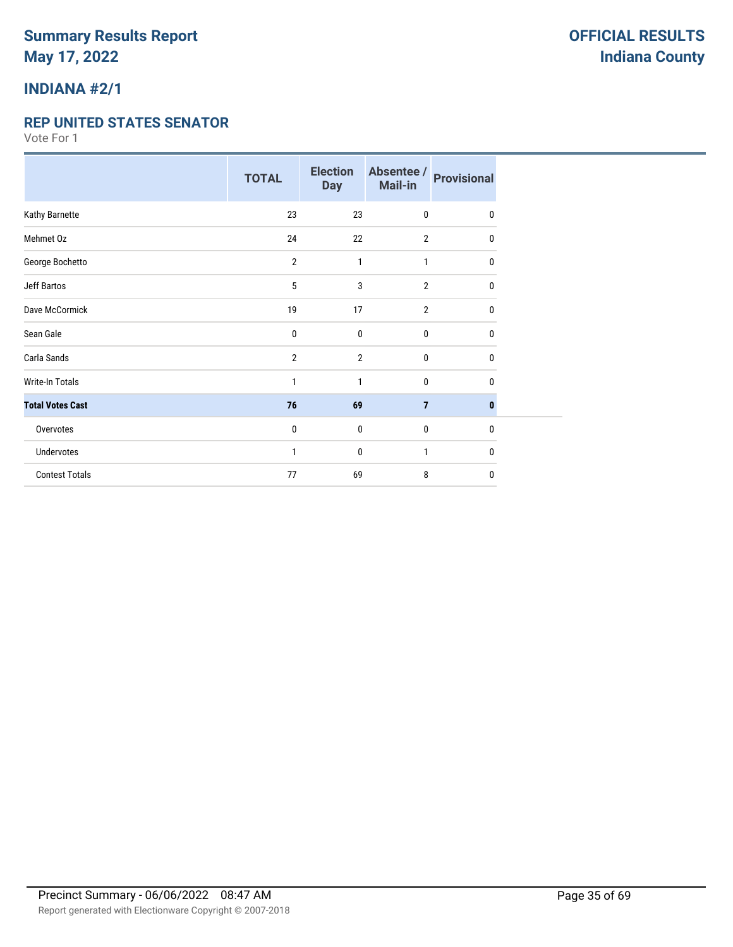## **INDIANA #2/1**

#### **REP UNITED STATES SENATOR**

|                         | <b>TOTAL</b>   | <b>Election</b><br><b>Day</b> | Absentee /<br>Mail-in | <b>Provisional</b> |
|-------------------------|----------------|-------------------------------|-----------------------|--------------------|
| Kathy Barnette          | 23             | 23                            | 0                     | 0                  |
| Mehmet Oz               | 24             | 22                            | $\overline{2}$        | 0                  |
| George Bochetto         | $\overline{2}$ | $\mathbf{1}$                  | 1                     | 0                  |
| <b>Jeff Bartos</b>      | 5              | 3                             | $\overline{2}$        | 0                  |
| Dave McCormick          | 19             | 17                            | $\overline{2}$        | 0                  |
| Sean Gale               | 0              | $\mathbf{0}$                  | 0                     | 0                  |
| Carla Sands             | $\overline{2}$ | $\overline{2}$                | 0                     | 0                  |
| <b>Write-In Totals</b>  | 1              | $\mathbf{1}$                  | 0                     | 0                  |
| <b>Total Votes Cast</b> | 76             | 69                            | $\overline{7}$        | 0                  |
| Overvotes               | $\mathbf 0$    | $\mathbf 0$                   | 0                     | 0                  |
| Undervotes              | 1              | $\mathbf{0}$                  | 1                     | 0                  |
| <b>Contest Totals</b>   | 77             | 69                            | 8                     | 0                  |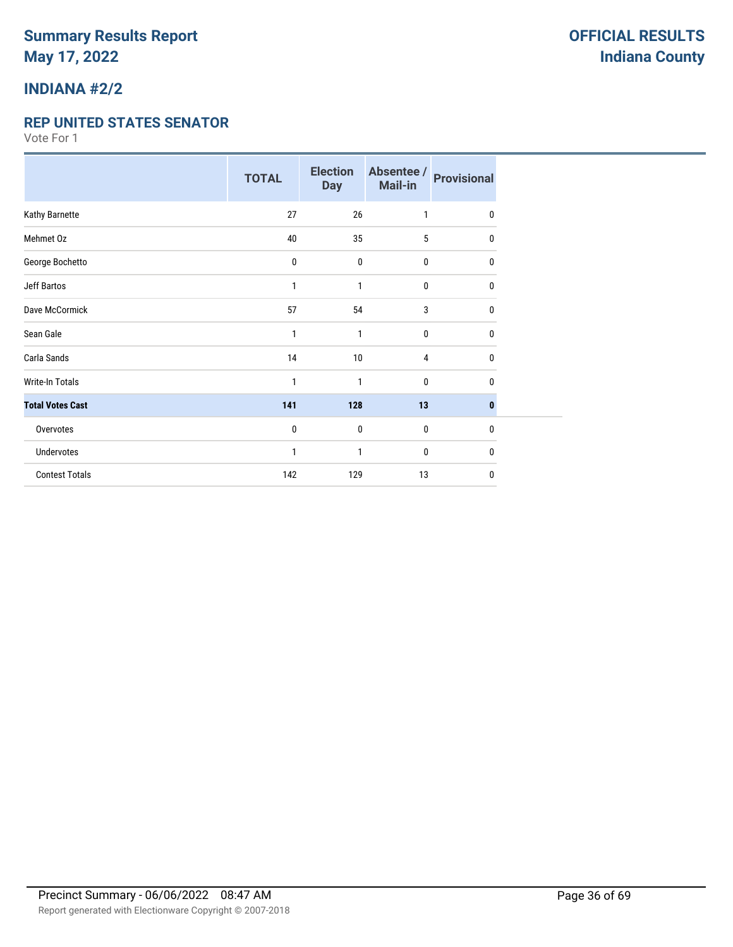## **INDIANA #2/2**

#### **REP UNITED STATES SENATOR**

|                         | <b>TOTAL</b> | <b>Election</b><br><b>Day</b> | Absentee /<br>Mail-in | <b>Provisional</b> |
|-------------------------|--------------|-------------------------------|-----------------------|--------------------|
| Kathy Barnette          | 27           | 26                            | 1                     | 0                  |
| Mehmet Oz               | 40           | 35                            | 5                     | 0                  |
| George Bochetto         | 0            | $\bf{0}$                      | 0                     | $\mathbf{0}$       |
| Jeff Bartos             | 1            | 1                             | 0                     | 0                  |
| Dave McCormick          | 57           | 54                            | 3                     | 0                  |
| Sean Gale               | 1            | 1                             | $\mathbf{0}$          | 0                  |
| Carla Sands             | 14           | 10                            | $\overline{4}$        | $\mathbf{0}$       |
| <b>Write-In Totals</b>  | 1            | 1                             | $\mathbf{0}$          | 0                  |
| <b>Total Votes Cast</b> | 141          | 128                           | 13                    | $\bf{0}$           |
| Overvotes               | 0            | $\bf{0}$                      | $\mathbf{0}$          | $\mathbf{0}$       |
| <b>Undervotes</b>       | 1            | 1                             | 0                     | 0                  |
| <b>Contest Totals</b>   | 142          | 129                           | 13                    | 0                  |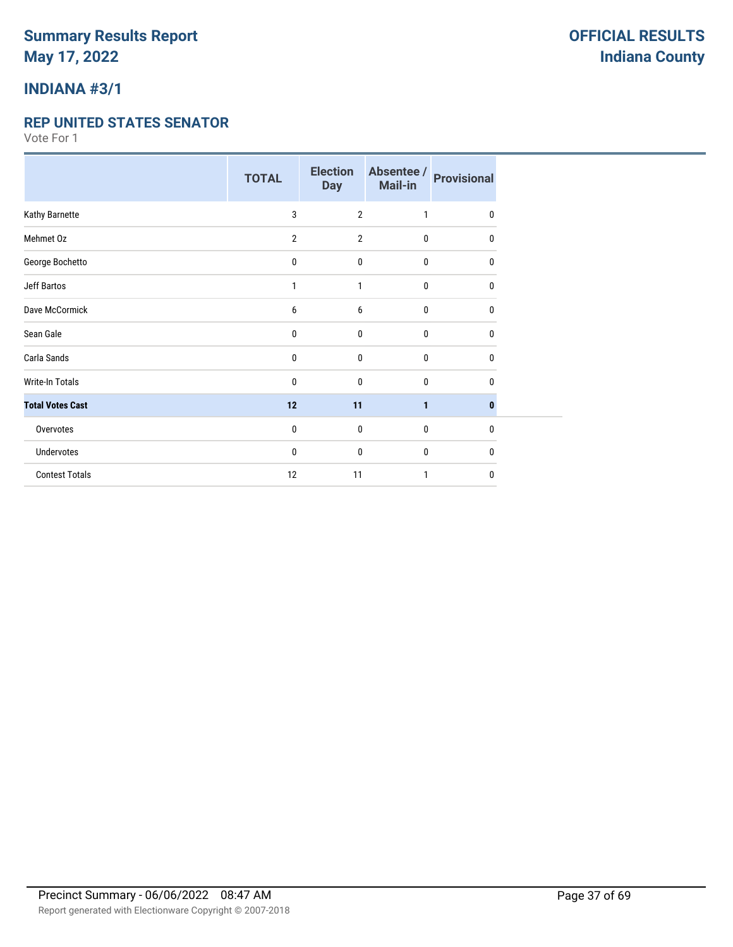## **INDIANA #3/1**

#### **REP UNITED STATES SENATOR**

|                         | <b>TOTAL</b>   | <b>Election</b><br><b>Day</b> | Absentee /<br>Mail-in | <b>Provisional</b> |
|-------------------------|----------------|-------------------------------|-----------------------|--------------------|
| Kathy Barnette          | 3              | $\overline{2}$                | 1                     | 0                  |
| Mehmet Oz               | $\overline{2}$ | $\overline{2}$                | 0                     | 0                  |
| George Bochetto         | 0              | $\mathbf 0$                   | 0                     | 0                  |
| Jeff Bartos             | 1              | 1                             | 0                     | 0                  |
| Dave McCormick          | 6              | 6                             | 0                     | 0                  |
| Sean Gale               | 0              | $\mathbf 0$                   | 0                     | 0                  |
| Carla Sands             | 0              | $\mathbf 0$                   | 0                     | 0                  |
| <b>Write-In Totals</b>  | 0              | $\mathbf 0$                   | 0                     | 0                  |
| <b>Total Votes Cast</b> | 12             | 11                            | $\mathbf{1}$          | 0                  |
| Overvotes               | 0              | 0                             | 0                     | 0                  |
| Undervotes              | 0              | $\mathbf 0$                   | 0                     | 0                  |
| <b>Contest Totals</b>   | 12             | 11                            | 1                     | 0                  |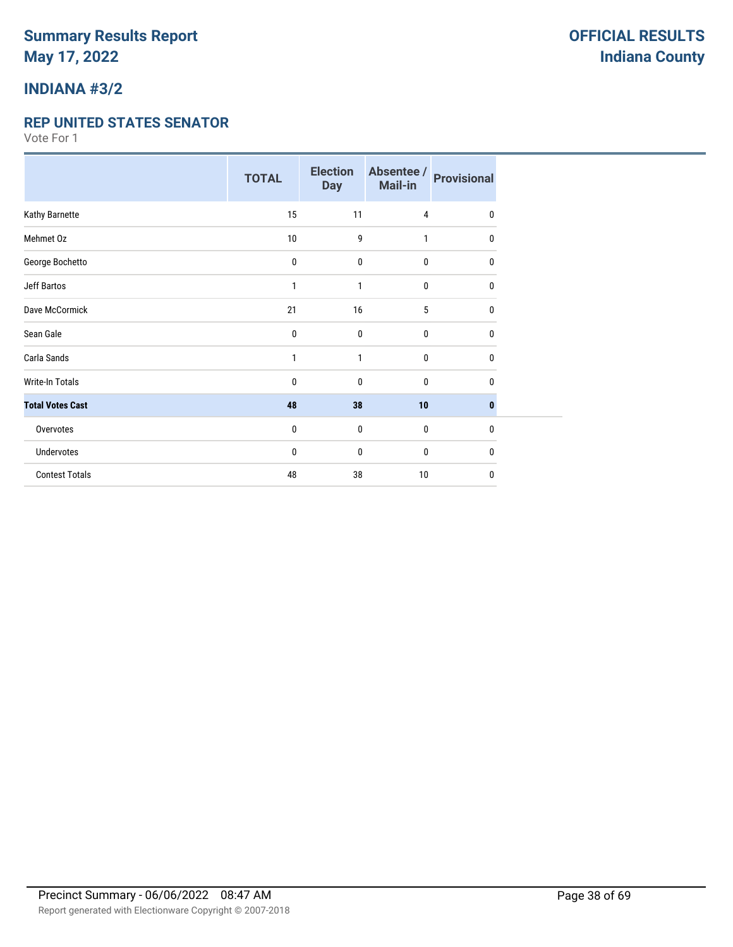### **INDIANA #3/2**

#### **REP UNITED STATES SENATOR**

|                         | <b>TOTAL</b> | <b>Election</b><br><b>Day</b> | Absentee /<br>Mail-in | <b>Provisional</b> |
|-------------------------|--------------|-------------------------------|-----------------------|--------------------|
| Kathy Barnette          | 15           | 11                            | $\overline{4}$        | 0                  |
| Mehmet Oz               | 10           | 9                             | 1                     | 0                  |
| George Bochetto         | 0            | $\bf{0}$                      | $\bf{0}$              | 0                  |
| Jeff Bartos             | 1            | $\mathbf{1}$                  | $\bf{0}$              | 0                  |
| Dave McCormick          | 21           | 16                            | 5                     | 0                  |
| Sean Gale               | 0            | $\mathbf{0}$                  | 0                     | 0                  |
| Carla Sands             | $\mathbf{1}$ | 1                             | $\bf{0}$              | 0                  |
| Write-In Totals         | 0            | 0                             | 0                     | 0                  |
| <b>Total Votes Cast</b> | 48           | 38                            | 10                    | $\bf{0}$           |
| Overvotes               | 0            | $\bf{0}$                      | $\bf{0}$              | $\mathbf{0}$       |
| <b>Undervotes</b>       | 0            | 0                             | $\bf{0}$              | 0                  |
| <b>Contest Totals</b>   | 48           | 38                            | 10                    | 0                  |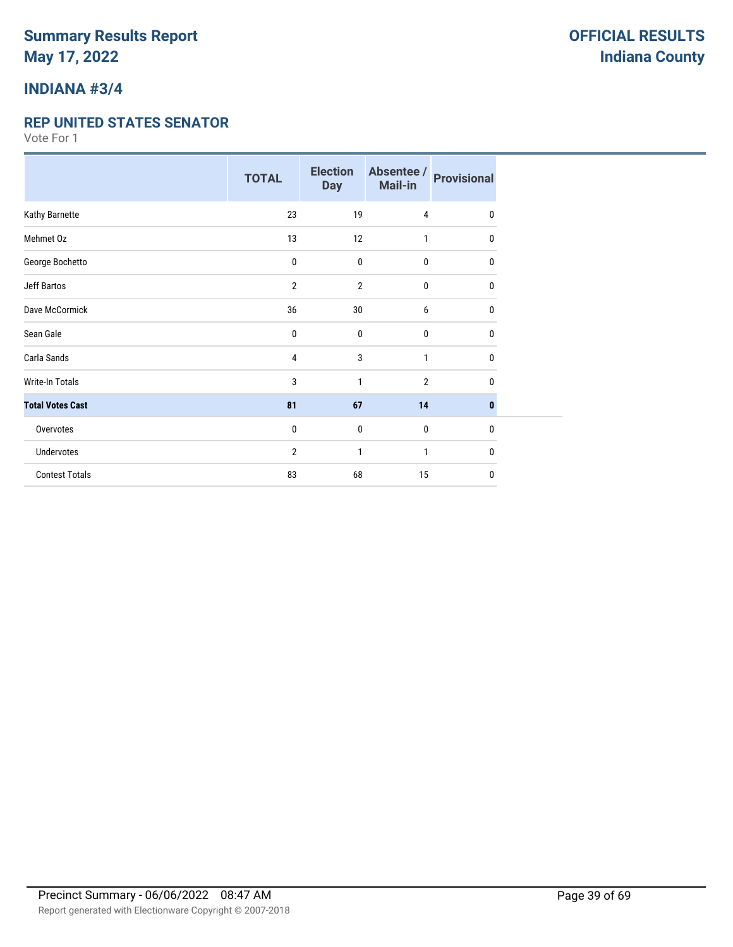## **INDIANA #3/4**

#### **REP UNITED STATES SENATOR**

|                         | <b>TOTAL</b> | <b>Election</b><br><b>Day</b> | Absentee /<br>Mail-in | <b>Provisional</b> |
|-------------------------|--------------|-------------------------------|-----------------------|--------------------|
| Kathy Barnette          | 23           | 19                            | $\overline{4}$        | 0                  |
| Mehmet Oz               | 13           | 12                            | 1                     | 0                  |
| George Bochetto         | 0            | $\bf{0}$                      | $\bf{0}$              | 0                  |
| Jeff Bartos             | 2            | $\overline{2}$                | $\bf{0}$              | 0                  |
| Dave McCormick          | 36           | 30                            | 6                     | 0                  |
| Sean Gale               | 0            | $\mathbf 0$                   | 0                     | 0                  |
| Carla Sands             | 4            | 3                             | $\mathbf{1}$          | 0                  |
| Write-In Totals         | 3            | 1                             | $\overline{2}$        | 0                  |
| <b>Total Votes Cast</b> | 81           | 67                            | 14                    | 0                  |
| Overvotes               | 0            | $\bf{0}$                      | $\bf{0}$              | $\mathbf{0}$       |
| <b>Undervotes</b>       | 2            | 1                             | 1                     | 0                  |
| <b>Contest Totals</b>   | 83           | 68                            | 15                    | $\mathbf{0}$       |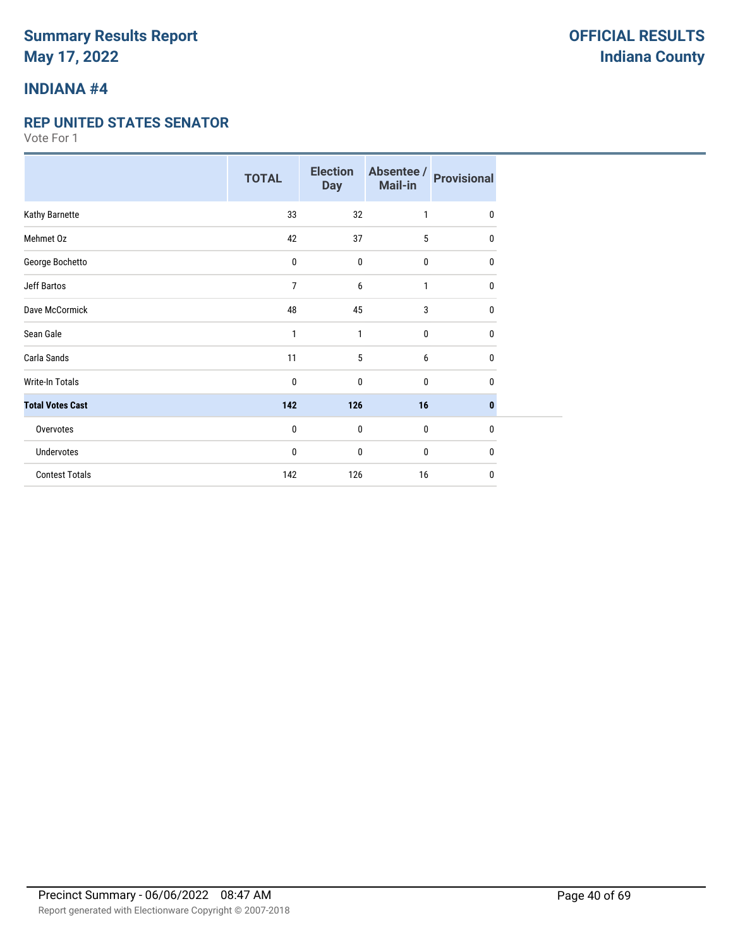## **INDIANA #4**

#### **REP UNITED STATES SENATOR**

|                         | <b>TOTAL</b> | <b>Election</b><br><b>Day</b> | Absentee /<br>Mail-in | <b>Provisional</b> |
|-------------------------|--------------|-------------------------------|-----------------------|--------------------|
| Kathy Barnette          | 33           | 32                            | 1                     | 0                  |
| Mehmet Oz               | 42           | 37                            | 5                     | 0                  |
| George Bochetto         | 0            | $\mathbf 0$                   | 0                     | 0                  |
| <b>Jeff Bartos</b>      | 7            | 6                             | 1                     | 0                  |
| Dave McCormick          | 48           | 45                            | 3                     | 0                  |
| Sean Gale               | 1            | 1                             | 0                     | 0                  |
| Carla Sands             | 11           | 5                             | 6                     | 0                  |
| <b>Write-In Totals</b>  | 0            | $\mathbf 0$                   | 0                     | 0                  |
| <b>Total Votes Cast</b> | 142          | 126                           | 16                    | $\mathbf{0}$       |
| Overvotes               | $\mathbf{0}$ | $\mathbf 0$                   | 0                     | $\mathbf{0}$       |
| Undervotes              | 0            | $\mathbf 0$                   | 0                     | $\mathbf{0}$       |
| <b>Contest Totals</b>   | 142          | 126                           | 16                    | 0                  |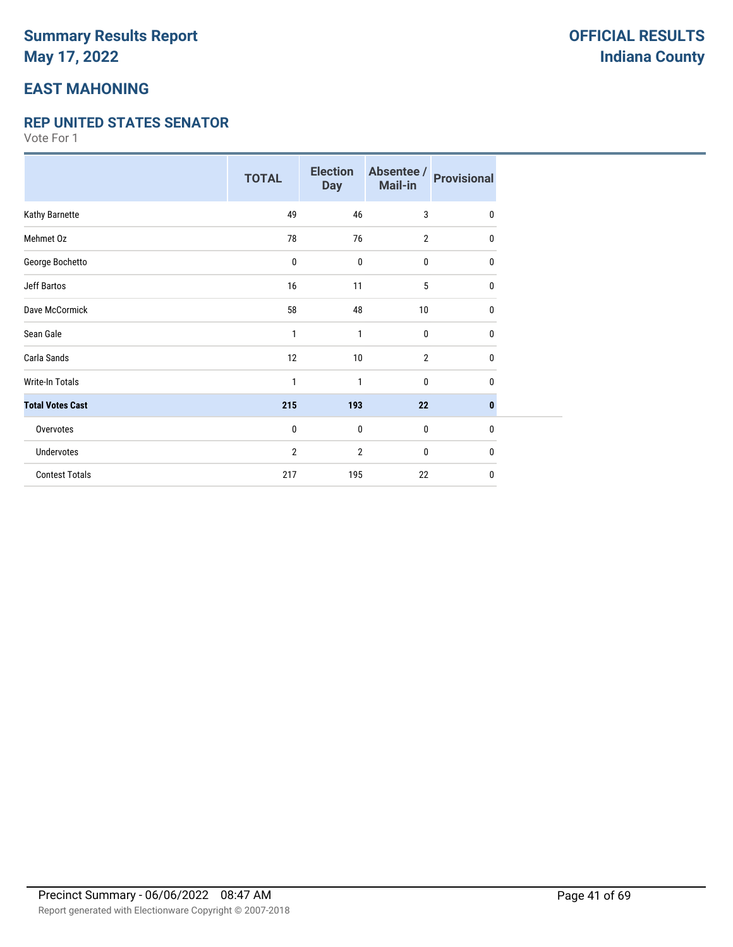## **EAST MAHONING**

#### **REP UNITED STATES SENATOR**

|                         | <b>TOTAL</b>   | <b>Election</b><br><b>Day</b> | Absentee /<br>Mail-in | <b>Provisional</b> |
|-------------------------|----------------|-------------------------------|-----------------------|--------------------|
| Kathy Barnette          | 49             | 46                            | 3                     | 0                  |
| Mehmet Oz               | 78             | 76                            | $\overline{2}$        | $\mathbf{0}$       |
| George Bochetto         | 0              | $\mathbf 0$                   | 0                     | 0                  |
| Jeff Bartos             | 16             | 11                            | 5                     | $\mathbf{0}$       |
| Dave McCormick          | 58             | 48                            | 10                    | 0                  |
| Sean Gale               | 1              | 1                             | 0                     | 0                  |
| Carla Sands             | 12             | 10                            | $\overline{2}$        | 0                  |
| Write-In Totals         | $\mathbf{1}$   | 1                             | 0                     | $\mathbf{0}$       |
| <b>Total Votes Cast</b> | 215            | 193                           | 22                    | $\bf{0}$           |
| Overvotes               | 0              | $\mathbf 0$                   | $\bf{0}$              | $\mathbf{0}$       |
| Undervotes              | $\overline{2}$ | $\overline{2}$                | 0                     | $\mathbf{0}$       |
| <b>Contest Totals</b>   | 217            | 195                           | 22                    | $\mathbf{0}$       |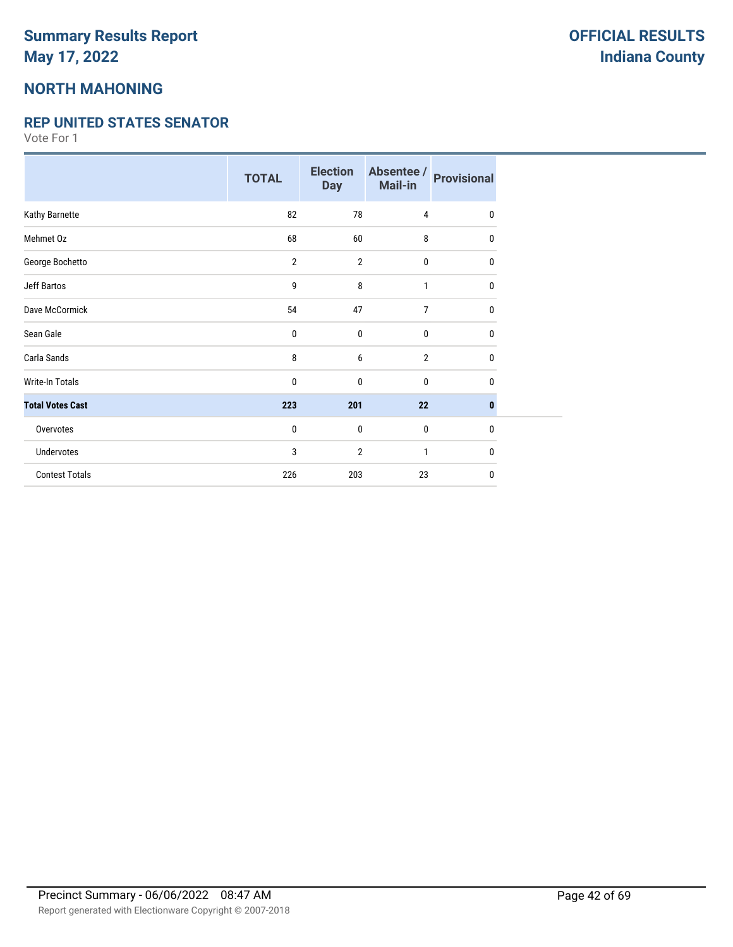## **NORTH MAHONING**

#### **REP UNITED STATES SENATOR**

|                         | <b>TOTAL</b>   | <b>Election</b><br><b>Day</b> | Absentee /<br>Mail-in | <b>Provisional</b> |
|-------------------------|----------------|-------------------------------|-----------------------|--------------------|
| Kathy Barnette          | 82             | 78                            | $\overline{4}$        | $\mathbf{0}$       |
| Mehmet Oz               | 68             | 60                            | 8                     | 0                  |
| George Bochetto         | $\overline{2}$ | $\overline{2}$                | 0                     | 0                  |
| <b>Jeff Bartos</b>      | 9              | 8                             | $\mathbf{1}$          | 0                  |
| Dave McCormick          | 54             | 47                            | $\overline{7}$        | 0                  |
| Sean Gale               | 0              | 0                             | 0                     | 0                  |
| Carla Sands             | 8              | 6                             | $\overline{2}$        | 0                  |
| <b>Write-In Totals</b>  | $\mathbf{0}$   | $\mathbf 0$                   | 0                     | $\mathbf{0}$       |
| <b>Total Votes Cast</b> | 223            | 201                           | 22                    | $\bf{0}$           |
| Overvotes               | $\pmb{0}$      | $\mathbf 0$                   | $\bf{0}$              | $\mathbf{0}$       |
| <b>Undervotes</b>       | 3              | $\overline{2}$                | 1                     | $\mathbf{0}$       |
| <b>Contest Totals</b>   | 226            | 203                           | 23                    | $\mathbf 0$        |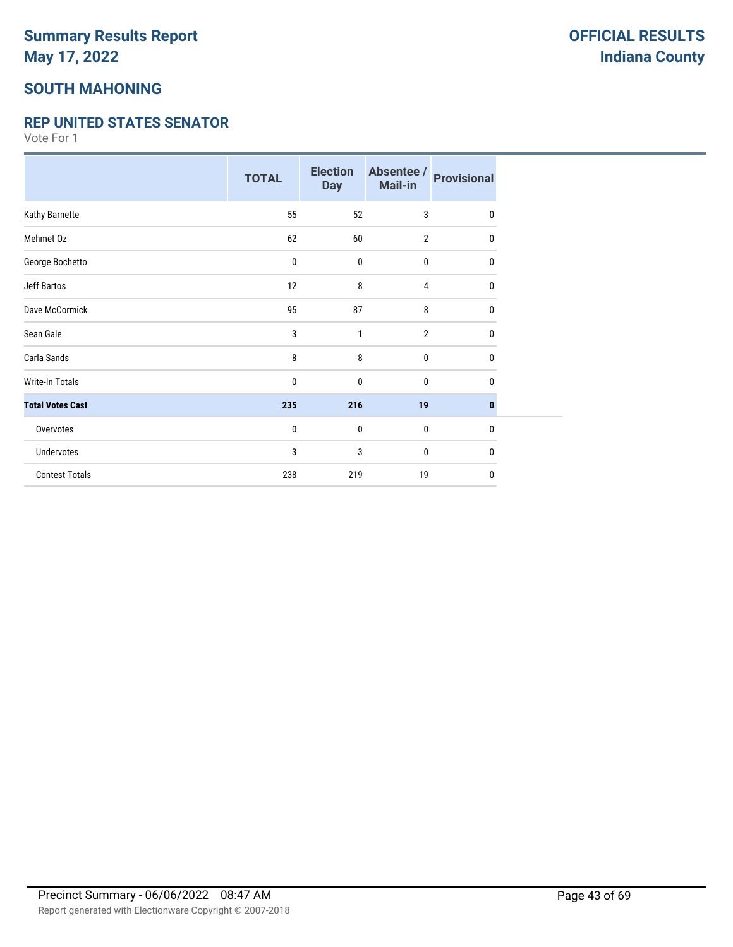### **SOUTH MAHONING**

#### **REP UNITED STATES SENATOR**

|                         | <b>TOTAL</b> | <b>Election</b><br><b>Day</b> | Absentee /<br>Mail-in | <b>Provisional</b> |
|-------------------------|--------------|-------------------------------|-----------------------|--------------------|
| Kathy Barnette          | 55           | 52                            | 3                     | $\mathbf 0$        |
| Mehmet Oz               | 62           | 60                            | $\overline{2}$        | 0                  |
| George Bochetto         | 0            | $\pmb{0}$                     | 0                     | $\mathbf 0$        |
| Jeff Bartos             | 12           | 8                             | 4                     | 0                  |
| Dave McCormick          | 95           | 87                            | 8                     | 0                  |
| Sean Gale               | 3            | 1                             | $\overline{2}$        | $\mathbf 0$        |
| Carla Sands             | 8            | 8                             | 0                     | $\mathbf 0$        |
| <b>Write-In Totals</b>  | 0            | $\mathbf 0$                   | 0                     | 0                  |
| <b>Total Votes Cast</b> | 235          | 216                           | 19                    | $\bf{0}$           |
| Overvotes               | 0            | $\mathbf 0$                   | $\bf{0}$              | $\mathbf{0}$       |
| Undervotes              | 3            | 3                             | 0                     | 0                  |
| <b>Contest Totals</b>   | 238          | 219                           | 19                    | $\mathbf 0$        |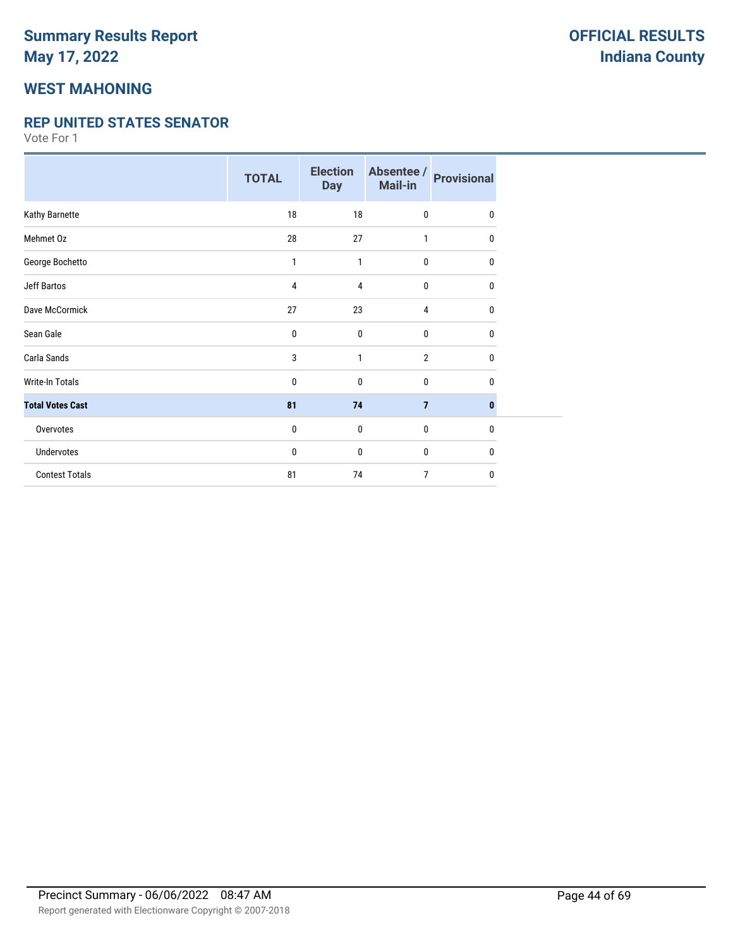### **WEST MAHONING**

#### **REP UNITED STATES SENATOR**

|                         | <b>TOTAL</b> | <b>Election</b><br><b>Day</b> | Absentee /<br>Mail-in | <b>Provisional</b> |
|-------------------------|--------------|-------------------------------|-----------------------|--------------------|
| Kathy Barnette          | 18           | 18                            | $\mathbf{0}$          | 0                  |
| Mehmet Oz               | 28           | 27                            | 1                     | 0                  |
| George Bochetto         | 1            | 1                             | $\bf{0}$              | 0                  |
| <b>Jeff Bartos</b>      | 4            | 4                             | $\bf{0}$              | 0                  |
| Dave McCormick          | 27           | 23                            | $\overline{4}$        | 0                  |
| Sean Gale               | 0            | $\mathbf 0$                   | $\mathbf{0}$          | 0                  |
| Carla Sands             | 3            | 1                             | $\overline{2}$        | 0                  |
| <b>Write-In Totals</b>  | 0            | $\mathbf{0}$                  | $\mathbf{0}$          | 0                  |
| <b>Total Votes Cast</b> | 81           | 74                            | $\overline{7}$        | $\mathbf{0}$       |
| Overvotes               | 0            | $\mathbf 0$                   | $\mathbf 0$           | $\mathbf{0}$       |
| Undervotes              | 0            | $\mathbf 0$                   | $\bf{0}$              | $\mathbf{0}$       |
| <b>Contest Totals</b>   | 81           | 74                            | 7                     | $\mathbf{0}$       |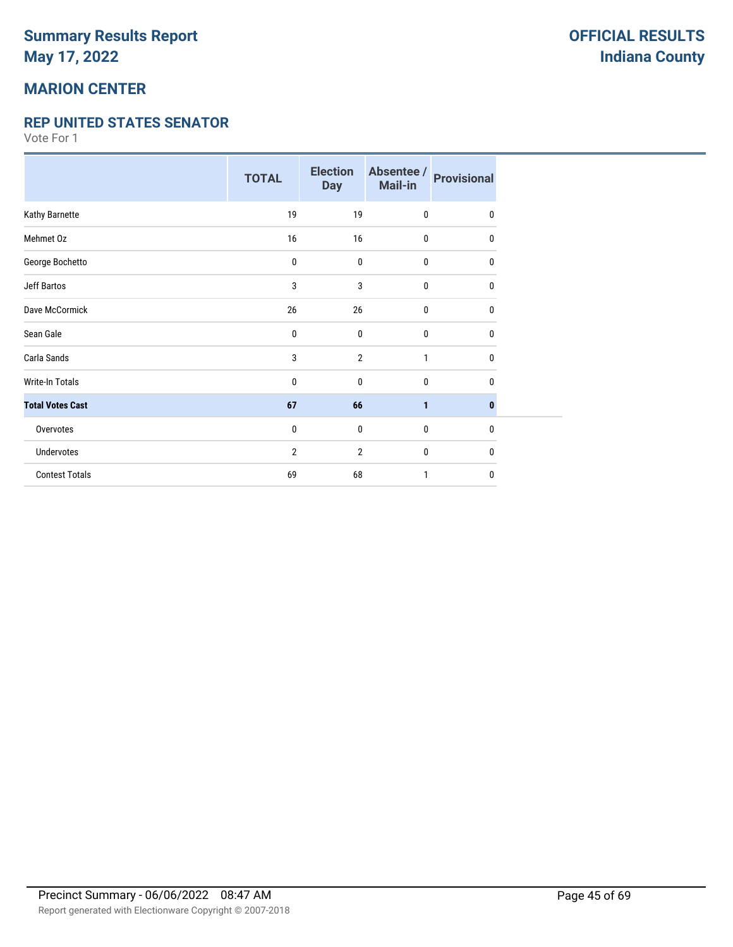## **MARION CENTER**

#### **REP UNITED STATES SENATOR**

|                         | <b>TOTAL</b>   | <b>Election</b><br><b>Day</b> | Absentee /<br>Mail-in | <b>Provisional</b> |
|-------------------------|----------------|-------------------------------|-----------------------|--------------------|
| Kathy Barnette          | 19             | 19                            | $\mathbf{0}$          | 0                  |
| Mehmet Oz               | 16             | 16                            | $\mathbf{0}$          | 0                  |
| George Bochetto         | $\pmb{0}$      | $\pmb{0}$                     | 0                     | 0                  |
| <b>Jeff Bartos</b>      | 3              | 3                             | $\mathbf{0}$          | 0                  |
| Dave McCormick          | 26             | 26                            | $\mathbf{0}$          | 0                  |
| Sean Gale               | 0              | 0                             | $\mathbf{0}$          | 0                  |
| Carla Sands             | 3              | $\overline{2}$                | 1                     | 0                  |
| Write-In Totals         | 0              | 0                             | 0                     | 0                  |
| <b>Total Votes Cast</b> | 67             | 66                            | $\mathbf{1}$          | 0                  |
| Overvotes               | 0              | $\mathbf 0$                   | $\mathbf{0}$          | $\mathbf{0}$       |
| <b>Undervotes</b>       | $\overline{2}$ | 2                             | $\mathbf{0}$          | 0                  |
| <b>Contest Totals</b>   | 69             | 68                            | 1                     | 0                  |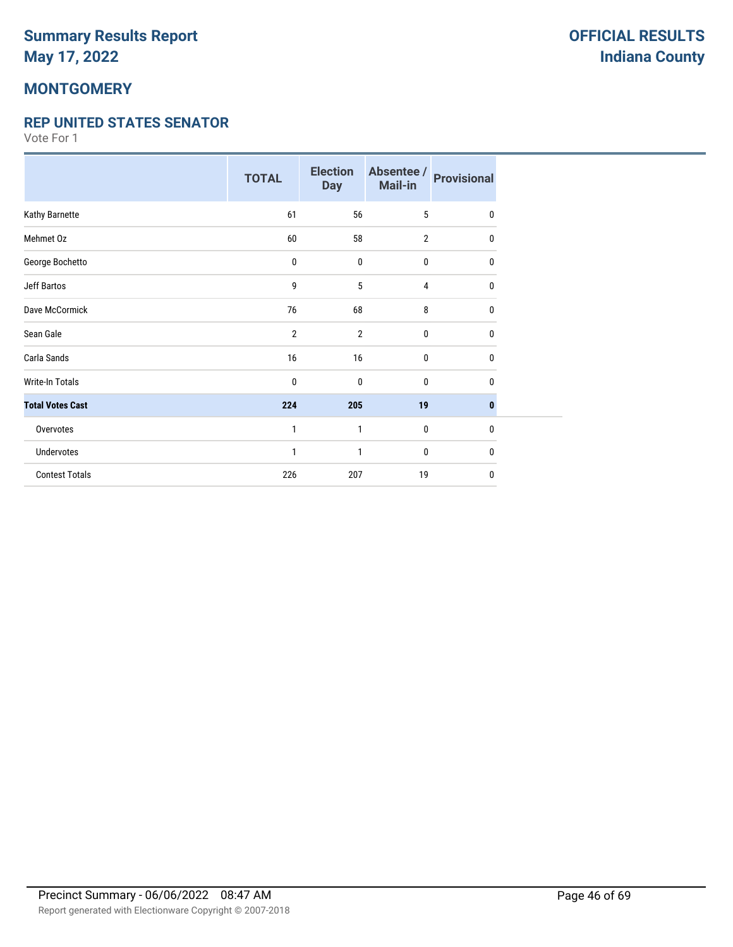## **MONTGOMERY**

#### **REP UNITED STATES SENATOR**

|                         | <b>TOTAL</b>   | <b>Election</b><br><b>Day</b> | Absentee /<br>Mail-in | <b>Provisional</b> |
|-------------------------|----------------|-------------------------------|-----------------------|--------------------|
| Kathy Barnette          | 61             | 56                            | 5                     | $\mathbf{0}$       |
| Mehmet Oz               | 60             | 58                            | $\overline{2}$        | 0                  |
| George Bochetto         | 0              | $\pmb{0}$                     | 0                     | 0                  |
| Jeff Bartos             | 9              | 5                             | 4                     | 0                  |
| Dave McCormick          | 76             | 68                            | 8                     | 0                  |
| Sean Gale               | $\overline{2}$ | $\overline{2}$                | 0                     | 0                  |
| Carla Sands             | 16             | 16                            | 0                     | 0                  |
| <b>Write-In Totals</b>  | 0              | 0                             | 0                     | $\mathbf{0}$       |
| <b>Total Votes Cast</b> | 224            | 205                           | 19                    | $\bf{0}$           |
| Overvotes               | 1              | 1                             | $\bf{0}$              | $\mathbf{0}$       |
| Undervotes              | 1              | $\mathbf{1}$                  | 0                     | 0                  |
| <b>Contest Totals</b>   | 226            | 207                           | 19                    | 0                  |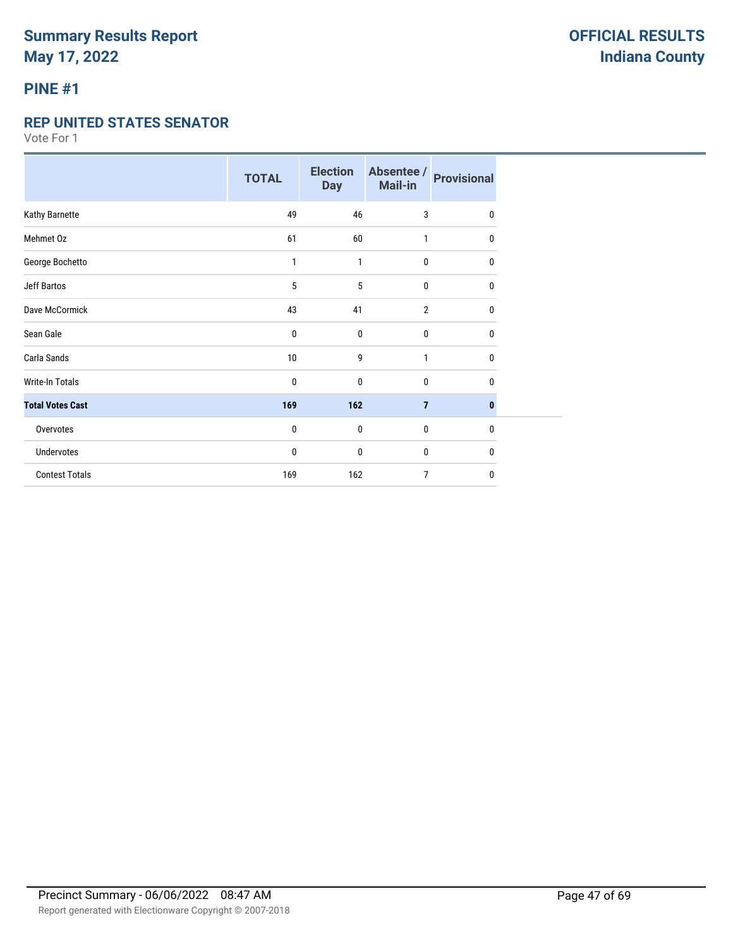### **PINE #1**

#### **REP UNITED STATES SENATOR**

|                         | <b>TOTAL</b> | <b>Election</b><br><b>Day</b> | Absentee /<br><b>Mail-in</b> | <b>Provisional</b> |
|-------------------------|--------------|-------------------------------|------------------------------|--------------------|
| Kathy Barnette          | 49           | 46                            | 3                            | 0                  |
| Mehmet Oz               | 61           | 60                            | 1                            | 0                  |
| George Bochetto         | 1            | 1                             | $\mathbf{0}$                 | 0                  |
| <b>Jeff Bartos</b>      | 5            | 5                             | $\mathbf{0}$                 | 0                  |
| Dave McCormick          | 43           | 41                            | $\overline{2}$               | $\mathbf{0}$       |
| Sean Gale               | 0            | $\bf{0}$                      | 0                            | 0                  |
| Carla Sands             | 10           | 9                             | 1                            | 0                  |
| Write-In Totals         | 0            | $\bf{0}$                      | 0                            | 0                  |
| <b>Total Votes Cast</b> | 169          | 162                           | $\overline{7}$               | $\mathbf{0}$       |
| Overvotes               | 0            | $\bf{0}$                      | 0                            | 0                  |
| Undervotes              | 0            | $\bf{0}$                      | 0                            | 0                  |
| <b>Contest Totals</b>   | 169          | 162                           | $\overline{7}$               | 0                  |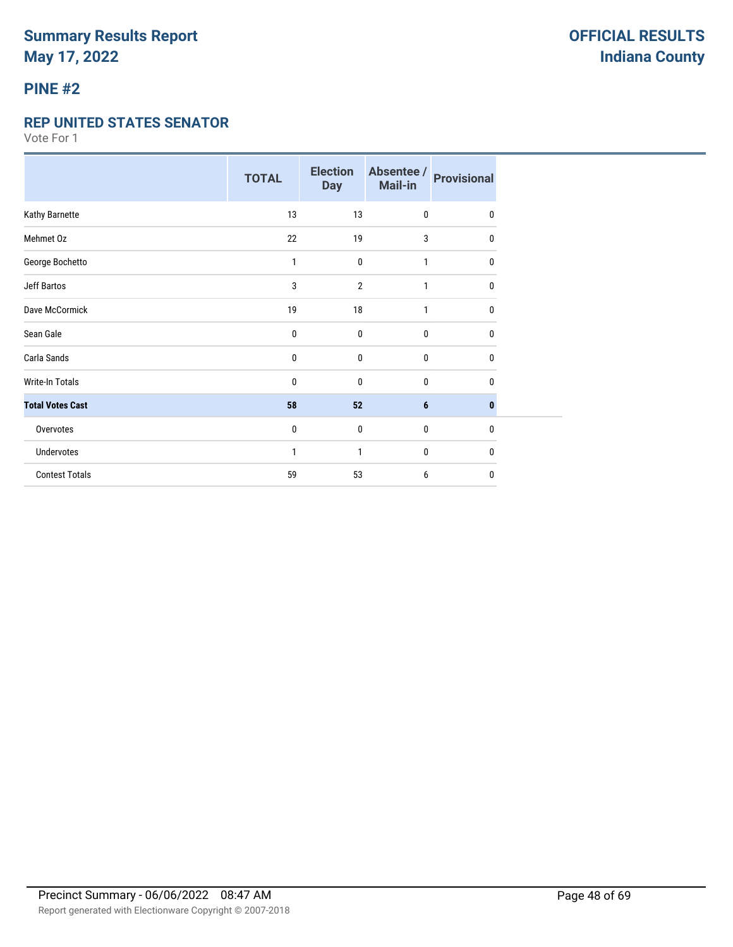### **PINE #2**

#### **REP UNITED STATES SENATOR**

|                         | <b>TOTAL</b> | <b>Election</b><br><b>Day</b> | Absentee /<br>Mail-in | <b>Provisional</b> |
|-------------------------|--------------|-------------------------------|-----------------------|--------------------|
| Kathy Barnette          | 13           | 13                            | $\mathbf 0$           | 0                  |
| Mehmet Oz               | 22           | 19                            | 3                     | 0                  |
| George Bochetto         | 1            | $\mathbf 0$                   | 1                     | 0                  |
| Jeff Bartos             | 3            | $\overline{2}$                | 1                     | 0                  |
| Dave McCormick          | 19           | 18                            | 1                     | $\mathbf{0}$       |
| Sean Gale               | 0            | $\boldsymbol{0}$              | $\pmb{0}$             | $\mathbf{0}$       |
| Carla Sands             | 0            | $\mathbf 0$                   | $\bf{0}$              | $\mathbf{0}$       |
| <b>Write-In Totals</b>  | 0            | $\mathbf{0}$                  | $\bf{0}$              | 0                  |
| <b>Total Votes Cast</b> | 58           | 52                            | $6\phantom{1}6$       | $\bf{0}$           |
| Overvotes               | 0            | $\mathbf{0}$                  | $\bf{0}$              | $\mathbf{0}$       |
| Undervotes              | 1            | 1                             | $\bf{0}$              | 0                  |
| <b>Contest Totals</b>   | 59           | 53                            | 6                     | $\mathbf{0}$       |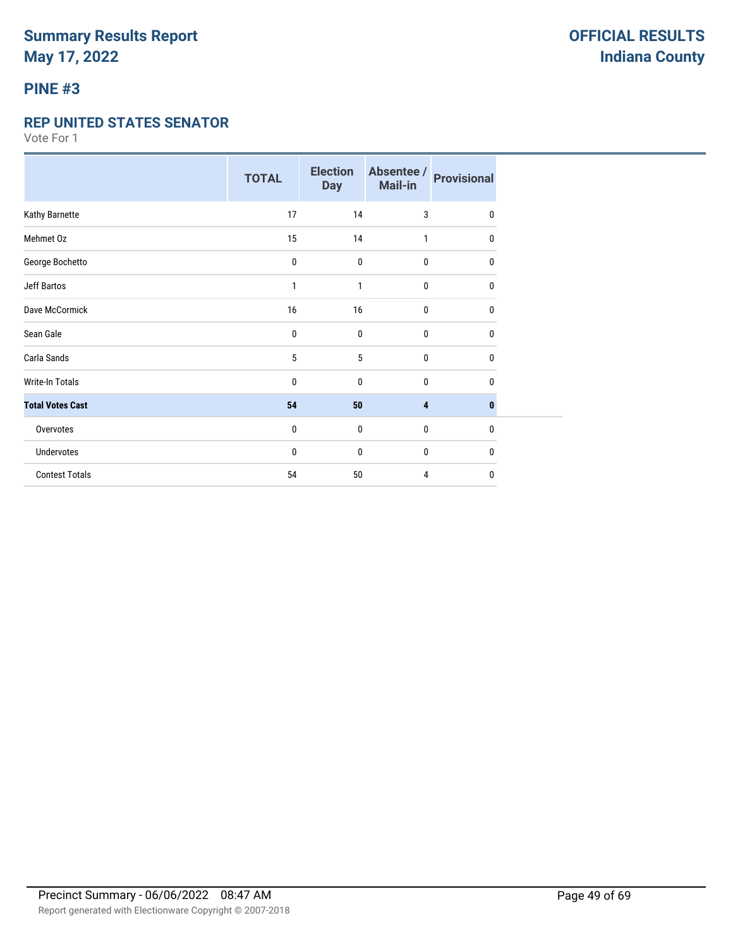### **PINE #3**

#### **REP UNITED STATES SENATOR**

|                         | <b>TOTAL</b> | <b>Election</b><br><b>Day</b> | Absentee /<br>Mail-in | <b>Provisional</b> |
|-------------------------|--------------|-------------------------------|-----------------------|--------------------|
| Kathy Barnette          | 17           | 14                            | 3                     | 0                  |
| Mehmet Oz               | 15           | 14                            | 1                     | 0                  |
| George Bochetto         | 0            | $\pmb{0}$                     | $\mathbf 0$           | 0                  |
| Jeff Bartos             | 1            | 1                             | $\bf{0}$              | 0                  |
| Dave McCormick          | 16           | 16                            | 0                     | 0                  |
| Sean Gale               | 0            | $\mathbf{0}$                  | 0                     | $\mathbf{0}$       |
| Carla Sands             | 5            | 5                             | $\mathbf 0$           | $\mathbf{0}$       |
| <b>Write-In Totals</b>  | 0            | 0                             | $\bf{0}$              | 0                  |
| <b>Total Votes Cast</b> | 54           | 50                            | 4                     | $\bf{0}$           |
| Overvotes               | 0            | $\mathbf{0}$                  | $\mathbf 0$           | 0                  |
| Undervotes              | 0            | 0                             | $\bf{0}$              | 0                  |
| <b>Contest Totals</b>   | 54           | 50                            | 4                     | 0                  |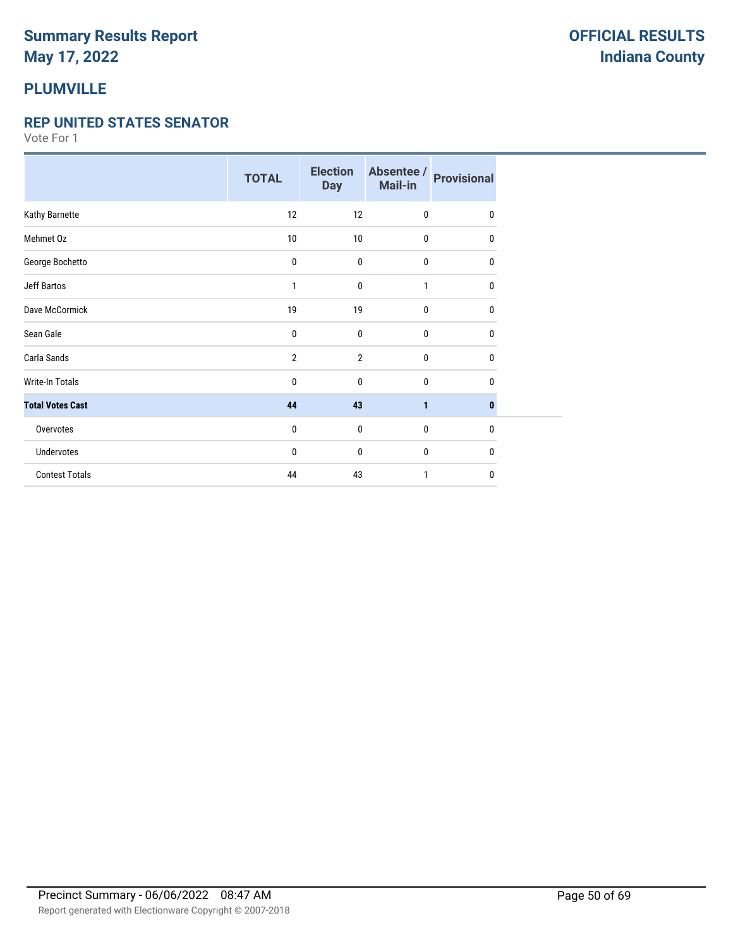# **PLUMVILLE**

#### **REP UNITED STATES SENATOR**

|                         | <b>TOTAL</b>   | <b>Election</b><br><b>Day</b> | Absentee /<br>Mail-in | <b>Provisional</b> |
|-------------------------|----------------|-------------------------------|-----------------------|--------------------|
| Kathy Barnette          | 12             | 12                            | $\mathbf 0$           | $\mathbf{0}$       |
| Mehmet Oz               | $10\,$         | 10                            | 0                     | 0                  |
| George Bochetto         | 0              | $\bf{0}$                      | $\bf{0}$              | $\mathbf{0}$       |
| Jeff Bartos             | 1              | $\bf{0}$                      | 1                     | 0                  |
| Dave McCormick          | 19             | 19                            | 0                     | 0                  |
| Sean Gale               | 0              | $\mathbf{0}$                  | 0                     | 0                  |
| Carla Sands             | $\overline{2}$ | $\overline{2}$                | $\bf{0}$              | $\mathbf{0}$       |
| <b>Write-In Totals</b>  | 0              | 0                             | $\bf{0}$              | 0                  |
| <b>Total Votes Cast</b> | 44             | 43                            | 1                     | 0                  |
| Overvotes               | 0              | $\bf{0}$                      | $\mathbf 0$           | 0                  |
| <b>Undervotes</b>       | 0              | 0                             | $\mathbf 0$           | 0                  |
| <b>Contest Totals</b>   | 44             | 43                            | 1                     | 0                  |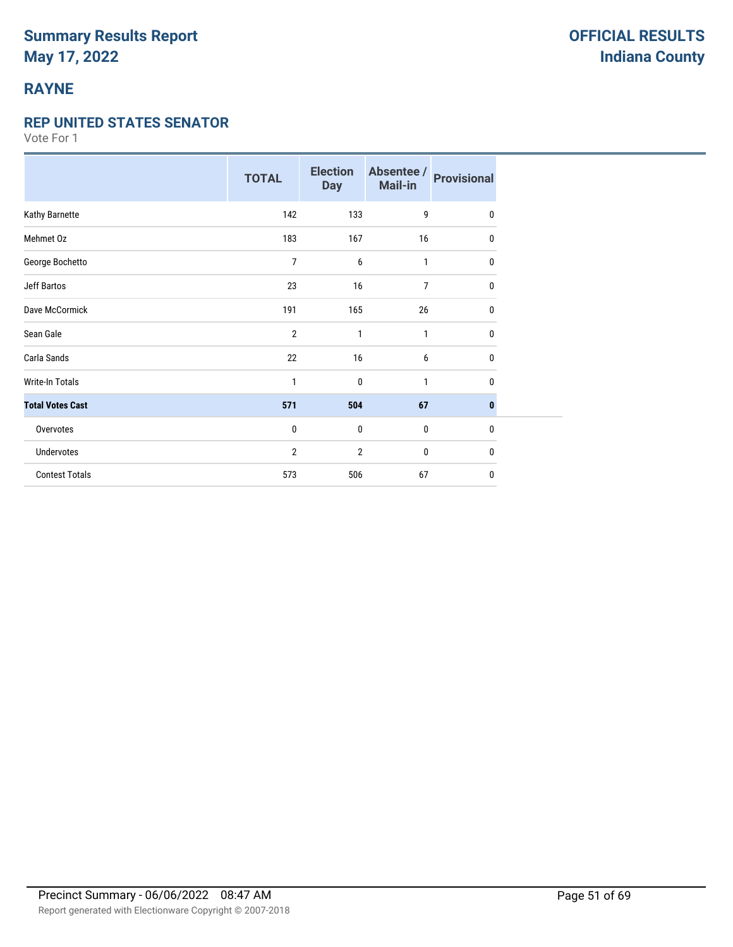# **RAYNE**

#### **REP UNITED STATES SENATOR**

|                         | <b>TOTAL</b>   | <b>Election</b><br><b>Day</b> | Absentee /<br>Mail-in | <b>Provisional</b> |
|-------------------------|----------------|-------------------------------|-----------------------|--------------------|
| Kathy Barnette          | 142            | 133                           | 9                     | $\mathbf{0}$       |
| Mehmet Oz               | 183            | 167                           | 16                    | 0                  |
| George Bochetto         | 7              | 6                             | 1                     | 0                  |
| <b>Jeff Bartos</b>      | 23             | 16                            | $\overline{7}$        | 0                  |
| Dave McCormick          | 191            | 165                           | 26                    | 0                  |
| Sean Gale               | $\overline{2}$ | 1                             | $\mathbf{1}$          | 0                  |
| Carla Sands             | 22             | 16                            | 6                     | $\mathbf 0$        |
| <b>Write-In Totals</b>  | 1              | 0                             | 1                     | $\mathbf{0}$       |
| <b>Total Votes Cast</b> | 571            | 504                           | 67                    | $\bf{0}$           |
| Overvotes               | $\mathbf{0}$   | $\mathbf 0$                   | $\mathbf 0$           | $\mathbf{0}$       |
| Undervotes              | 2              | 2                             | 0                     | 0                  |
| <b>Contest Totals</b>   | 573            | 506                           | 67                    | $\mathbf{0}$       |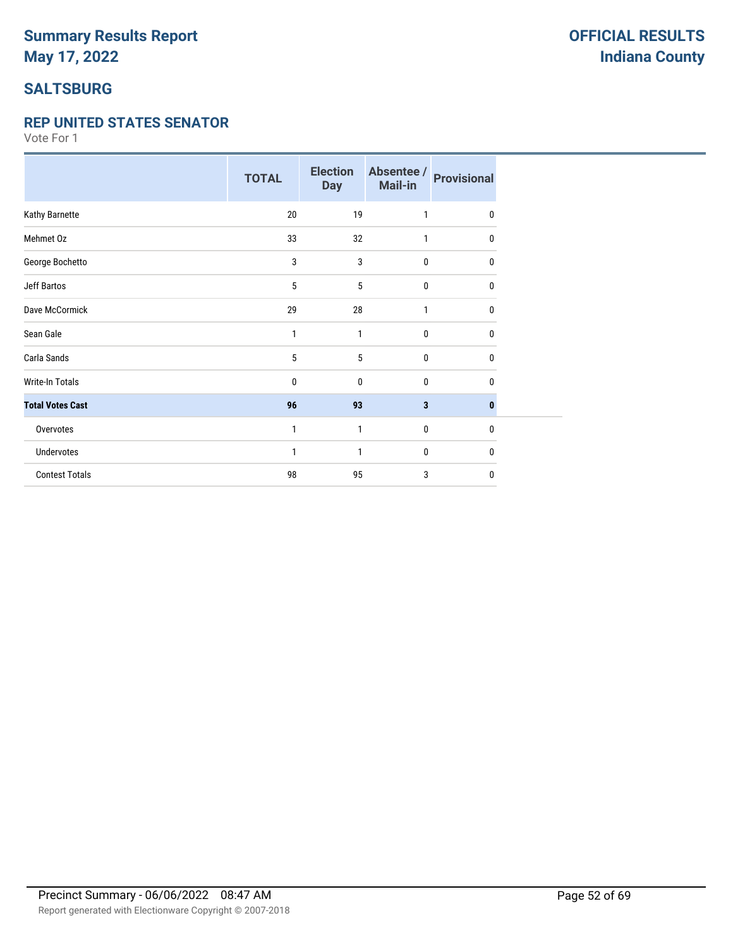# **SALTSBURG**

#### **REP UNITED STATES SENATOR**

|                         | <b>TOTAL</b> | <b>Election</b><br><b>Day</b> | Absentee /<br><b>Mail-in</b> | <b>Provisional</b> |
|-------------------------|--------------|-------------------------------|------------------------------|--------------------|
| Kathy Barnette          | 20           | 19                            | 1                            | $\mathbf{0}$       |
| Mehmet Oz               | 33           | 32                            | 1                            | 0                  |
| George Bochetto         | 3            | 3                             | $\bf{0}$                     | 0                  |
| Jeff Bartos             | 5            | 5                             | $\mathbf 0$                  | 0                  |
| Dave McCormick          | 29           | 28                            | 1                            | 0                  |
| Sean Gale               | 1            | 1                             | $\mathbf{0}$                 | $\mathbf{0}$       |
| Carla Sands             | 5            | 5                             | $\pmb{0}$                    | $\mathbf{0}$       |
| <b>Write-In Totals</b>  | 0            | $\mathbf{0}$                  | $\mathbf 0$                  | 0                  |
| <b>Total Votes Cast</b> | 96           | 93                            | $\overline{\mathbf{3}}$      | $\bf{0}$           |
| Overvotes               | 1            | 1                             | $\mathbf 0$                  | $\mathbf{0}$       |
| Undervotes              | 1            | 1                             | 0                            | 0                  |
| <b>Contest Totals</b>   | 98           | 95                            | 3                            | $\mathbf 0$        |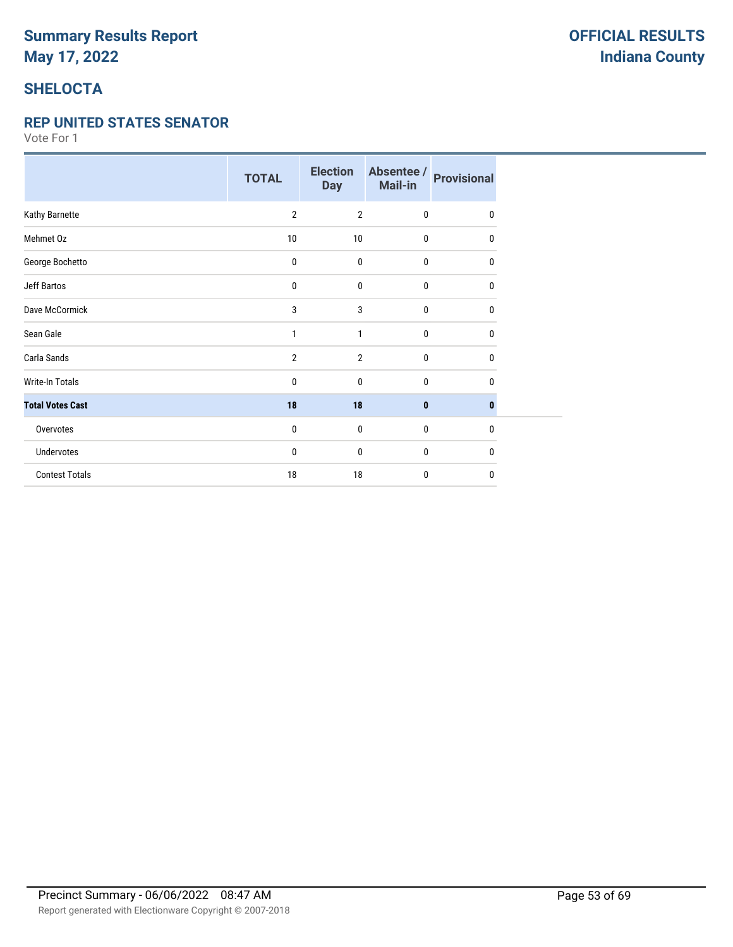# **SHELOCTA**

#### **REP UNITED STATES SENATOR**

|                         | <b>TOTAL</b>   | <b>Election</b><br><b>Day</b> | Absentee /<br>Mail-in | <b>Provisional</b> |
|-------------------------|----------------|-------------------------------|-----------------------|--------------------|
| Kathy Barnette          | $\overline{2}$ | $\overline{2}$                | $\mathbf 0$           | $\mathbf{0}$       |
| Mehmet Oz               | 10             | 10                            | 0                     | 0                  |
| George Bochetto         | 0              | $\bf{0}$                      | $\bf{0}$              | 0                  |
| Jeff Bartos             | 0              | 0                             | $\mathbf 0$           | 0                  |
| Dave McCormick          | 3              | 3                             | $\mathbf{0}$          | 0                  |
| Sean Gale               | 1              | 1                             | $\mathbf{0}$          | $\mathbf{0}$       |
| Carla Sands             | $\overline{2}$ | $\overline{2}$                | $\pmb{0}$             | 0                  |
| <b>Write-In Totals</b>  | 0              | $\mathbf{0}$                  | $\mathbf 0$           | 0                  |
| <b>Total Votes Cast</b> | 18             | 18                            | $\bf{0}$              | $\bf{0}$           |
| Overvotes               | 0              | $\mathbf 0$                   | $\mathbf 0$           | $\mathbf{0}$       |
| Undervotes              | 0              | $\mathbf{0}$                  | 0                     | 0                  |
| <b>Contest Totals</b>   | 18             | 18                            | $\mathbf{0}$          | $\mathbf{0}$       |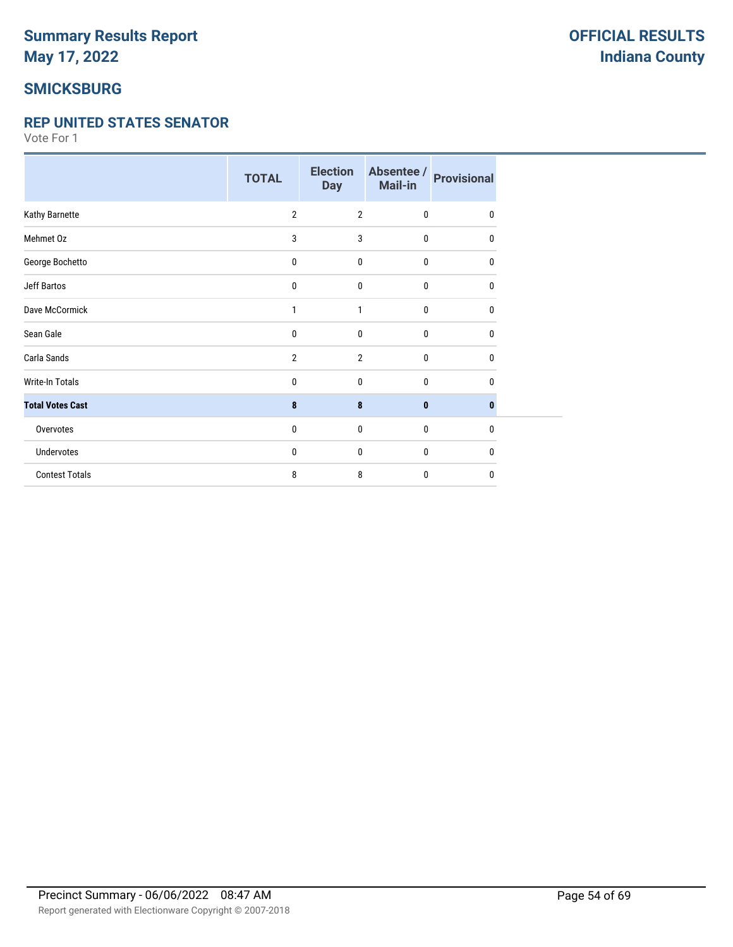## **SMICKSBURG**

#### **REP UNITED STATES SENATOR**

|                         | <b>TOTAL</b>   | <b>Election</b><br><b>Day</b> | Absentee /<br>Mail-in | <b>Provisional</b> |
|-------------------------|----------------|-------------------------------|-----------------------|--------------------|
| Kathy Barnette          | $\overline{2}$ | $\overline{2}$                | $\mathbf 0$           | 0                  |
| Mehmet Oz               | 3              | 3                             | 0                     | 0                  |
| George Bochetto         | 0              | $\mathbf 0$                   | $\bf{0}$              | 0                  |
| Jeff Bartos             | 0              | 0                             | $\mathbf 0$           | 0                  |
| Dave McCormick          | 1              | 1                             | $\mathbf{0}$          | 0                  |
| Sean Gale               | 0              | $\mathbf{0}$                  | $\mathbf{0}$          | 0                  |
| Carla Sands             | $\overline{2}$ | $\overline{2}$                | $\pmb{0}$             | 0                  |
| <b>Write-In Totals</b>  | 0              | $\mathbf{0}$                  | $\mathbf{0}$          | 0                  |
| <b>Total Votes Cast</b> | 8              | 8                             | $\bf{0}$              | $\bf{0}$           |
| Overvotes               | 0              | $\mathbf 0$                   | $\mathbf 0$           | 0                  |
| Undervotes              | 0              | $\mathbf{0}$                  | 0                     | 0                  |
| <b>Contest Totals</b>   | 8              | 8                             | $\mathbf{0}$          | 0                  |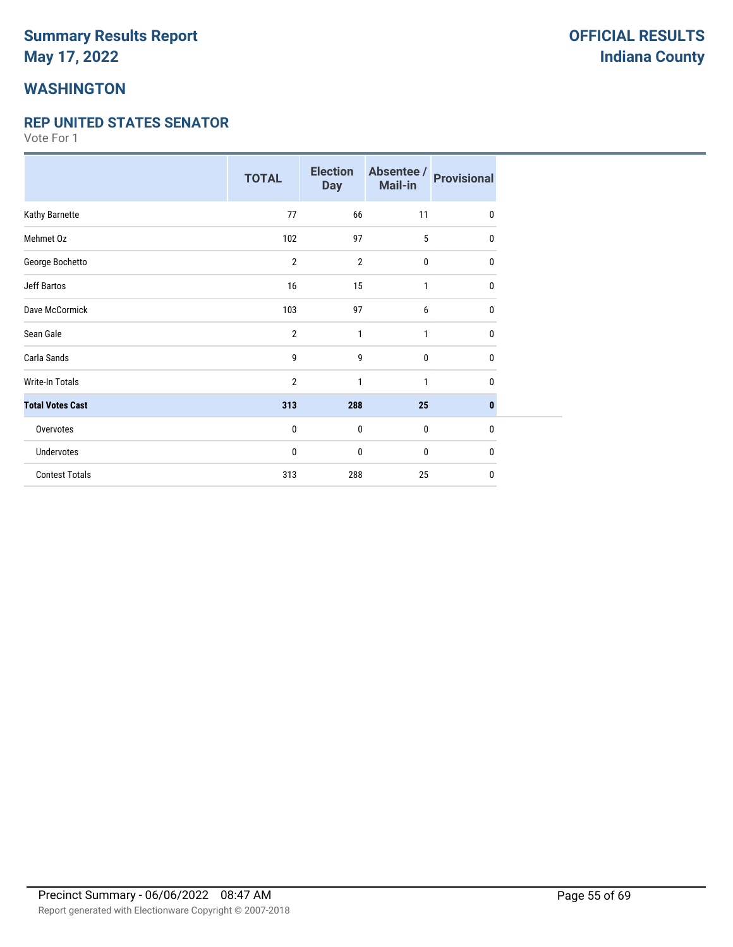## **WASHINGTON**

#### **REP UNITED STATES SENATOR**

|                         | <b>TOTAL</b>   | <b>Election</b><br><b>Day</b> | Absentee /<br>Mail-in | <b>Provisional</b> |
|-------------------------|----------------|-------------------------------|-----------------------|--------------------|
| Kathy Barnette          | 77             | 66                            | 11                    | 0                  |
| Mehmet Oz               | 102            | 97                            | 5                     | 0                  |
| George Bochetto         | $\overline{2}$ | $\overline{2}$                | 0                     | 0                  |
| <b>Jeff Bartos</b>      | 16             | 15                            | 1                     | 0                  |
| Dave McCormick          | 103            | 97                            | 6                     | 0                  |
| Sean Gale               | $\overline{2}$ | 1                             | $\mathbf{1}$          | 0                  |
| Carla Sands             | 9              | 9                             | 0                     | 0                  |
| <b>Write-In Totals</b>  | $\overline{2}$ | 1                             | 1                     | 0                  |
| <b>Total Votes Cast</b> | 313            | 288                           | 25                    | $\bf{0}$           |
| Overvotes               | $\bf{0}$       | $\mathbf 0$                   | 0                     | $\mathbf{0}$       |
| Undervotes              | 0              | $\mathbf 0$                   | 0                     | $\mathbf{0}$       |
| <b>Contest Totals</b>   | 313            | 288                           | 25                    | $\mathbf{0}$       |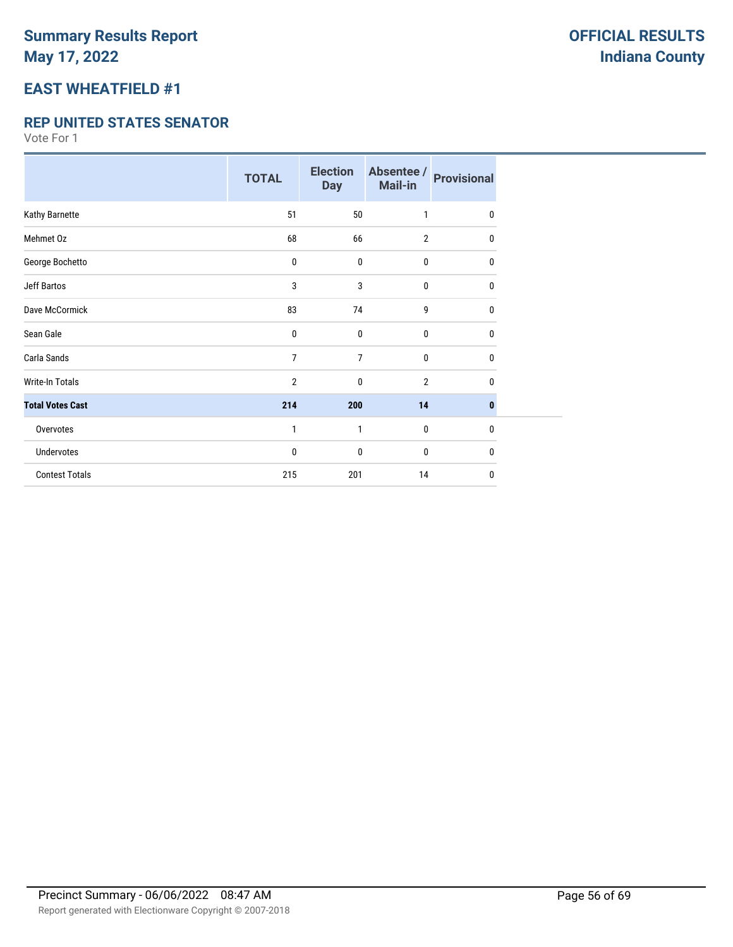## **EAST WHEATFIELD #1**

#### **REP UNITED STATES SENATOR**

|                         | <b>TOTAL</b>   | <b>Election</b><br><b>Day</b> | Absentee /<br>Mail-in | <b>Provisional</b> |
|-------------------------|----------------|-------------------------------|-----------------------|--------------------|
| Kathy Barnette          | 51             | 50                            | 1                     | 0                  |
| Mehmet Oz               | 68             | 66                            | $\overline{2}$        | 0                  |
| George Bochetto         | 0              | 0                             | 0                     | 0                  |
| <b>Jeff Bartos</b>      | 3              | 3                             | 0                     | 0                  |
| Dave McCormick          | 83             | 74                            | 9                     | 0                  |
| Sean Gale               | $\mathbf 0$    | $\mathbf 0$                   | 0                     | 0                  |
| Carla Sands             | $\overline{7}$ | $\overline{7}$                | 0                     | 0                  |
| <b>Write-In Totals</b>  | $\overline{2}$ | $\mathbf 0$                   | $\overline{2}$        | 0                  |
| <b>Total Votes Cast</b> | 214            | 200                           | 14                    | $\bf{0}$           |
| Overvotes               | 1              | 1                             | $\mathbf 0$           | $\bf{0}$           |
| Undervotes              | 0              | $\mathbf 0$                   | 0                     | 0                  |
| <b>Contest Totals</b>   | 215            | 201                           | 14                    | $\mathbf{0}$       |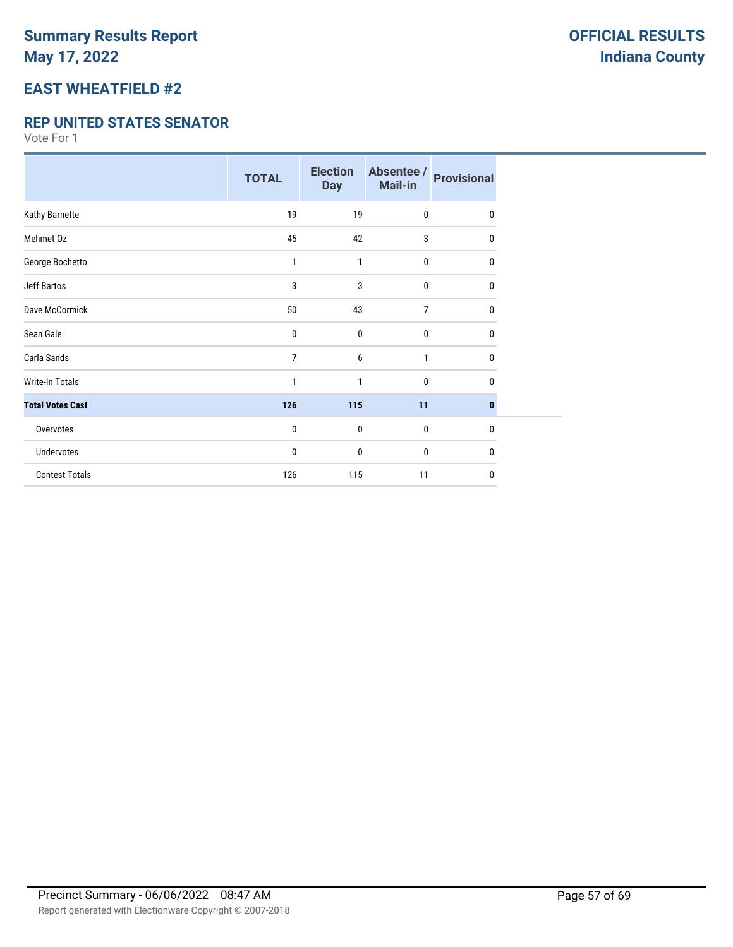# **EAST WHEATFIELD #2**

#### **REP UNITED STATES SENATOR**

|                         | <b>TOTAL</b> | <b>Election</b><br><b>Day</b> | Absentee /<br>Mail-in | <b>Provisional</b> |
|-------------------------|--------------|-------------------------------|-----------------------|--------------------|
| Kathy Barnette          | 19           | 19                            | $\mathbf{0}$          | 0                  |
| Mehmet Oz               | 45           | 42                            | 3                     | 0                  |
| George Bochetto         | 1            | 1                             | $\bf{0}$              | 0                  |
| <b>Jeff Bartos</b>      | 3            | 3                             | 0                     | 0                  |
| Dave McCormick          | 50           | 43                            | 7                     | 0                  |
| Sean Gale               | 0            | $\mathbf 0$                   | $\mathbf{0}$          | $\mathbf{0}$       |
| Carla Sands             | 7            | 6                             | $\mathbf{1}$          | 0                  |
| <b>Write-In Totals</b>  | 1            | 1                             | $\mathbf{0}$          | 0                  |
| <b>Total Votes Cast</b> | 126          | 115                           | 11                    | $\bf{0}$           |
| Overvotes               | 0            | 0                             | $\pmb{0}$             | $\mathbf{0}$       |
| <b>Undervotes</b>       | 0            | 0                             | 0                     | 0                  |
| <b>Contest Totals</b>   | 126          | 115                           | 11                    | 0                  |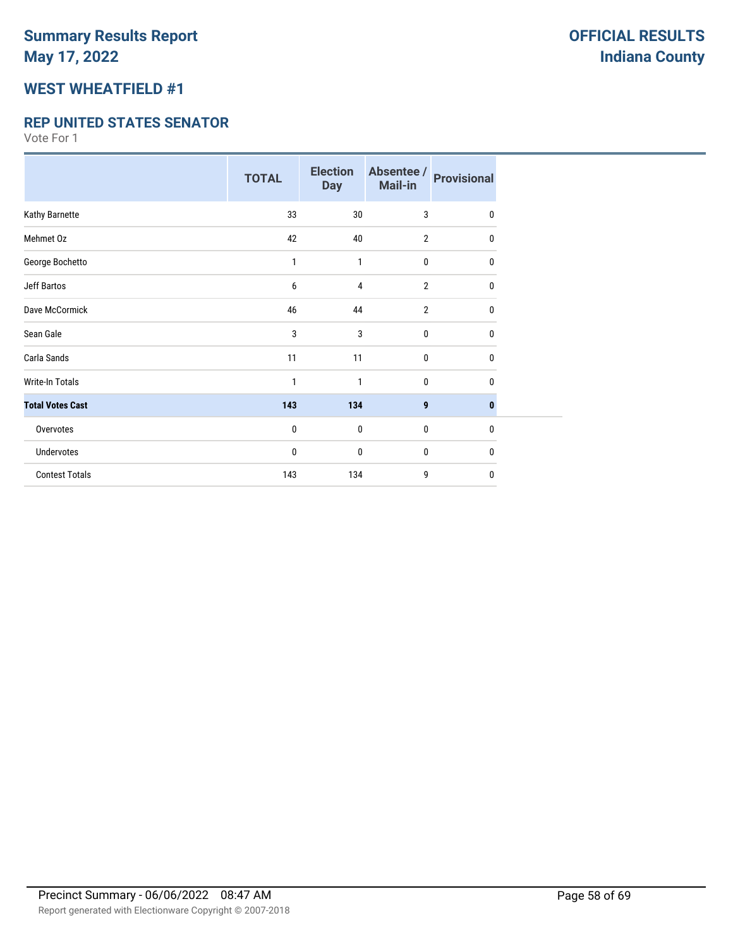## **WEST WHEATFIELD #1**

#### **REP UNITED STATES SENATOR**

|                         | <b>TOTAL</b> | <b>Election</b><br><b>Day</b> | Absentee /<br>Mail-in | <b>Provisional</b> |
|-------------------------|--------------|-------------------------------|-----------------------|--------------------|
| Kathy Barnette          | 33           | 30                            | 3                     | $\mathbf{0}$       |
| Mehmet Oz               | 42           | 40                            | $\overline{2}$        | 0                  |
| George Bochetto         | 1            | 1                             | $\mathbf 0$           | 0                  |
| <b>Jeff Bartos</b>      | 6            | 4                             | $\overline{2}$        | 0                  |
| Dave McCormick          | 46           | 44                            | $\overline{2}$        | 0                  |
| Sean Gale               | 3            | 3                             | $\mathbf 0$           | 0                  |
| Carla Sands             | 11           | 11                            | $\mathbf 0$           | 0                  |
| <b>Write-In Totals</b>  | 1            | 1                             | 0                     | 0                  |
| <b>Total Votes Cast</b> | 143          | 134                           | 9                     | $\bf{0}$           |
| Overvotes               | 0            | $\mathbf{0}$                  | $\mathbf 0$           | $\mathbf{0}$       |
| Undervotes              | 0            | 0                             | 0                     | 0                  |
| <b>Contest Totals</b>   | 143          | 134                           | 9                     | 0                  |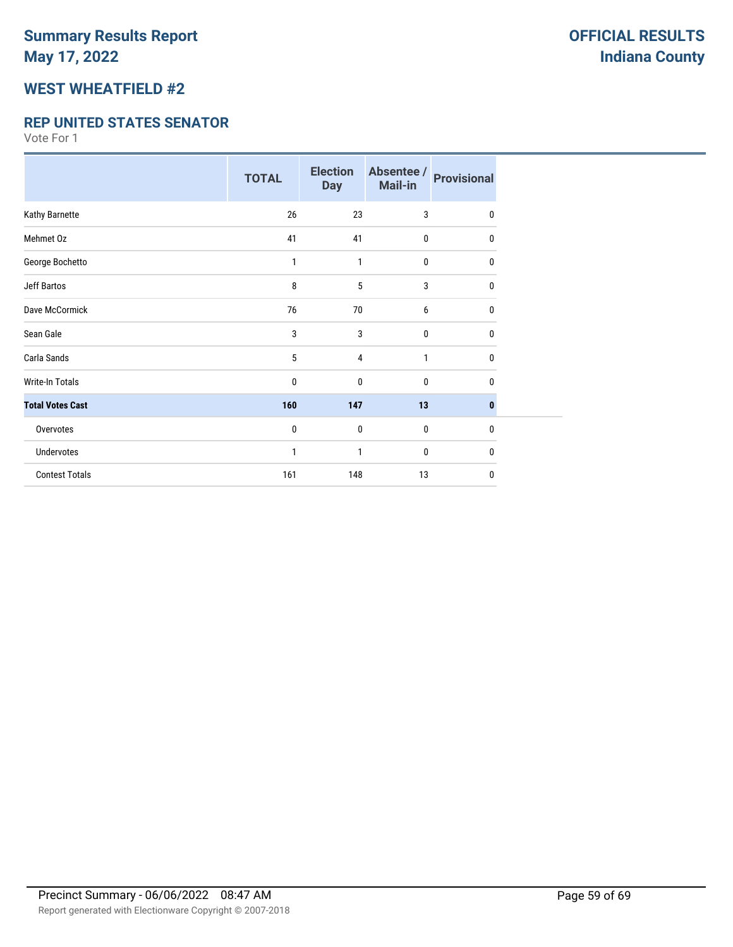### **WEST WHEATFIELD #2**

#### **REP UNITED STATES SENATOR**

|                         | <b>TOTAL</b> | <b>Election</b><br><b>Day</b> | Absentee /<br>Mail-in | <b>Provisional</b> |
|-------------------------|--------------|-------------------------------|-----------------------|--------------------|
| Kathy Barnette          | 26           | 23                            | 3                     | $\mathbf{0}$       |
| Mehmet Oz               | 41           | 41                            | 0                     | 0                  |
| George Bochetto         | 1            | 1                             | $\mathbf 0$           | 0                  |
| <b>Jeff Bartos</b>      | 8            | 5                             | 3                     | 0                  |
| Dave McCormick          | 76           | 70                            | 6                     | 0                  |
| Sean Gale               | 3            | 3                             | 0                     | 0                  |
| Carla Sands             | 5            | 4                             | 1                     | $\mathbf{0}$       |
| Write-In Totals         | 0            | 0                             | $\mathbf{0}$          | 0                  |
| <b>Total Votes Cast</b> | 160          | 147                           | 13                    | $\bf{0}$           |
| Overvotes               | 0            | $\mathbf{0}$                  | $\mathbf 0$           | 0                  |
| Undervotes              | 1            | 1                             | 0                     | $\mathbf{0}$       |
| <b>Contest Totals</b>   | 161          | 148                           | 13                    | $\mathbf{0}$       |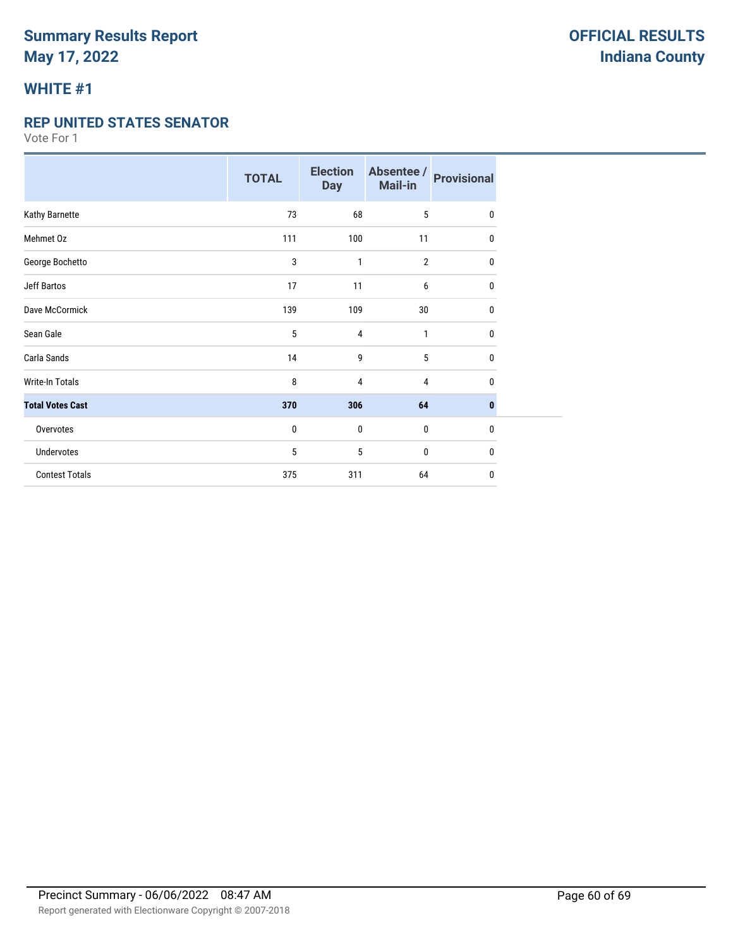### **WHITE #1**

#### **REP UNITED STATES SENATOR**

|                         | <b>TOTAL</b> | <b>Election</b><br><b>Day</b> | Absentee /<br>Mail-in | <b>Provisional</b> |
|-------------------------|--------------|-------------------------------|-----------------------|--------------------|
| Kathy Barnette          | 73           | 68                            | 5                     | $\mathbf 0$        |
| Mehmet Oz               | 111          | 100                           | 11                    | 0                  |
| George Bochetto         | 3            | 1                             | $\overline{2}$        | 0                  |
| <b>Jeff Bartos</b>      | 17           | 11                            | 6                     | 0                  |
| Dave McCormick          | 139          | 109                           | 30                    | $\mathbf 0$        |
| Sean Gale               | 5            | 4                             | 1                     | $\mathbf 0$        |
| Carla Sands             | 14           | 9                             | 5                     | 0                  |
| Write-In Totals         | 8            | 4                             | 4                     | 0                  |
| <b>Total Votes Cast</b> | 370          | 306                           | 64                    | $\bf{0}$           |
| Overvotes               | 0            | 0                             | 0                     | 0                  |
| Undervotes              | 5            | 5                             | 0                     | 0                  |
| <b>Contest Totals</b>   | 375          | 311                           | 64                    | 0                  |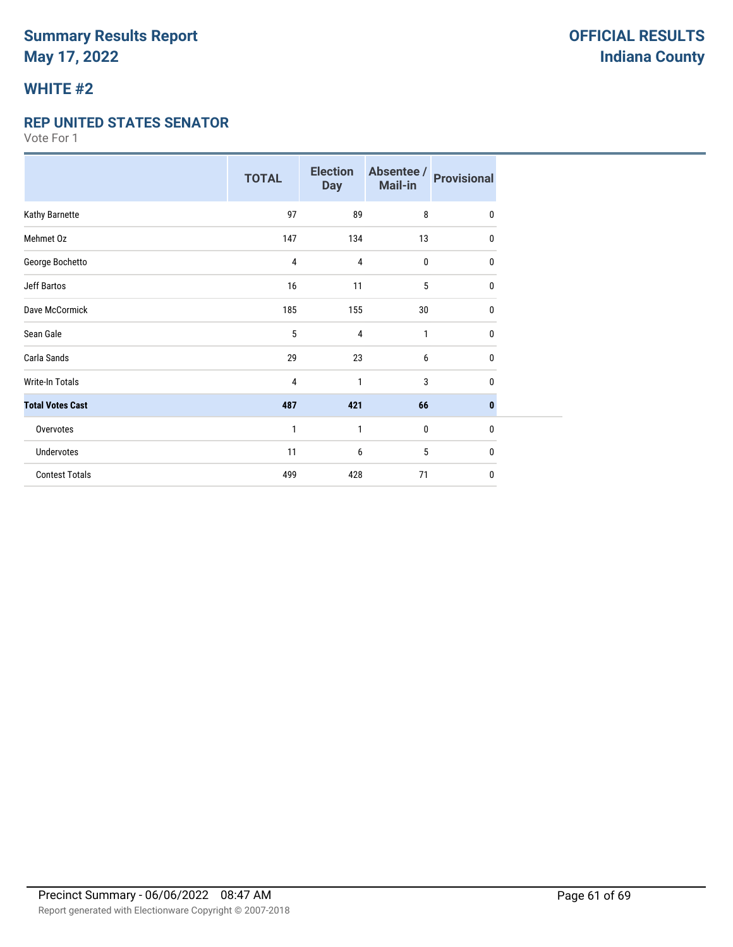## **WHITE #2**

#### **REP UNITED STATES SENATOR**

|                         | <b>TOTAL</b> | <b>Election</b><br><b>Day</b> | Absentee /<br>Mail-in | <b>Provisional</b> |
|-------------------------|--------------|-------------------------------|-----------------------|--------------------|
| Kathy Barnette          | 97           | 89                            | 8                     | $\mathbf{0}$       |
| Mehmet Oz               | 147          | 134                           | 13                    | 0                  |
| George Bochetto         | 4            | 4                             | $\mathbf 0$           | 0                  |
| <b>Jeff Bartos</b>      | 16           | 11                            | 5                     | 0                  |
| Dave McCormick          | 185          | 155                           | 30                    | 0                  |
| Sean Gale               | 5            | 4                             | 1                     | 0                  |
| Carla Sands             | 29           | 23                            | 6                     | 0                  |
| <b>Write-In Totals</b>  | 4            | 1                             | 3                     | 0                  |
| <b>Total Votes Cast</b> | 487          | 421                           | 66                    | $\mathbf{0}$       |
| Overvotes               | $\mathbf{1}$ | 1                             | $\mathbf 0$           | 0                  |
| Undervotes              | 11           | 6                             | 5                     | 0                  |
| <b>Contest Totals</b>   | 499          | 428                           | 71                    | 0                  |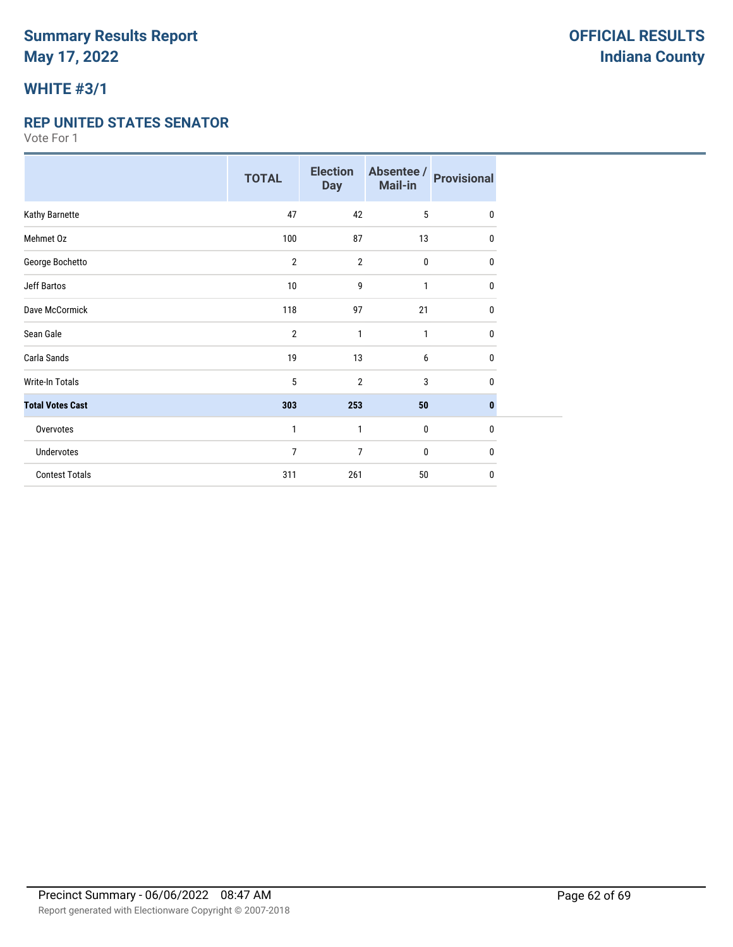# **WHITE #3/1**

#### **REP UNITED STATES SENATOR**

|                         | <b>TOTAL</b>   | <b>Election</b><br><b>Day</b> | Absentee /<br>Mail-in | <b>Provisional</b> |
|-------------------------|----------------|-------------------------------|-----------------------|--------------------|
| Kathy Barnette          | 47             | 42                            | 5                     | 0                  |
| Mehmet Oz               | 100            | 87                            | 13                    | 0                  |
| George Bochetto         | 2              | $\overline{2}$                | $\bf{0}$              | 0                  |
| <b>Jeff Bartos</b>      | 10             | 9                             | 1                     | 0                  |
| Dave McCormick          | 118            | 97                            | 21                    | 0                  |
| Sean Gale               | $\overline{2}$ | 1                             | 1                     | $\mathbf{0}$       |
| Carla Sands             | 19             | 13                            | 6                     | 0                  |
| <b>Write-In Totals</b>  | 5              | $\overline{2}$                | 3                     | 0                  |
| <b>Total Votes Cast</b> | 303            | 253                           | 50                    | $\bf{0}$           |
| Overvotes               | $\mathbf{1}$   | 1                             | $\pmb{0}$             | $\mathbf{0}$       |
| <b>Undervotes</b>       | 7              | 7                             | 0                     | 0                  |
| <b>Contest Totals</b>   | 311            | 261                           | 50                    | 0                  |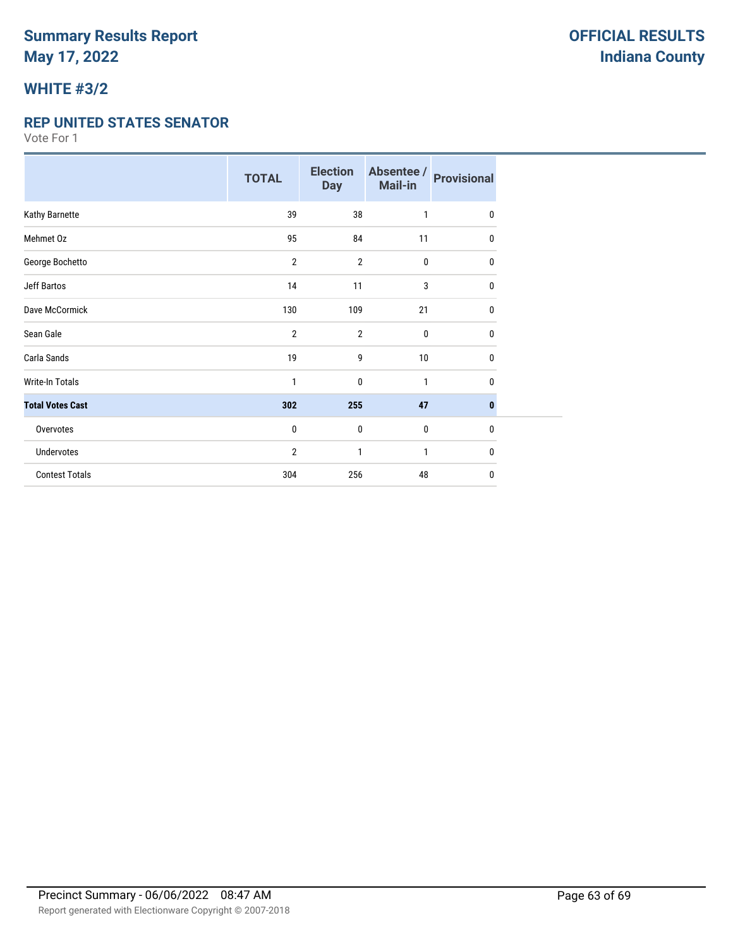# **WHITE #3/2**

#### **REP UNITED STATES SENATOR**

|                         | <b>TOTAL</b>   | <b>Election</b><br><b>Day</b> | Absentee /<br>Mail-in | <b>Provisional</b> |
|-------------------------|----------------|-------------------------------|-----------------------|--------------------|
| Kathy Barnette          | 39             | 38                            | 1                     | $\mathbf{0}$       |
| Mehmet Oz               | 95             | 84                            | 11                    | 0                  |
| George Bochetto         | $\overline{2}$ | $\overline{2}$                | $\pmb{0}$             | 0                  |
| <b>Jeff Bartos</b>      | 14             | 11                            | 3                     | 0                  |
| Dave McCormick          | 130            | 109                           | 21                    | 0                  |
| Sean Gale               | $\overline{2}$ | $\overline{2}$                | $\mathbf 0$           | $\mathbf{0}$       |
| Carla Sands             | 19             | 9                             | 10                    | 0                  |
| Write-In Totals         | 1              | 0                             | 1                     | 0                  |
| <b>Total Votes Cast</b> | 302            | 255                           | 47                    | $\bf{0}$           |
| Overvotes               | 0              | $\mathbf{0}$                  | $\mathbf 0$           | $\mathbf 0$        |
| Undervotes              | 2              | 1                             | 1                     | 0                  |
| <b>Contest Totals</b>   | 304            | 256                           | 48                    | 0                  |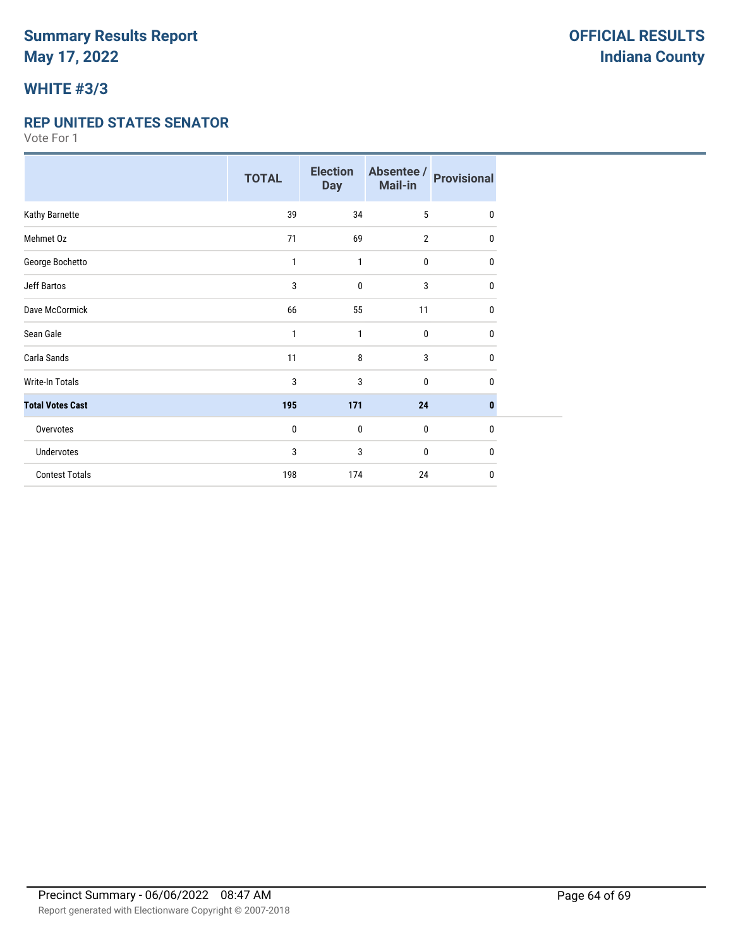# **WHITE #3/3**

#### **REP UNITED STATES SENATOR**

|                         | <b>TOTAL</b> | <b>Election</b><br><b>Day</b> | Absentee /<br>Mail-in | <b>Provisional</b> |
|-------------------------|--------------|-------------------------------|-----------------------|--------------------|
| Kathy Barnette          | 39           | 34                            | 5                     | $\mathbf{0}$       |
| Mehmet Oz               | 71           | 69                            | $\overline{2}$        | 0                  |
| George Bochetto         | 1            | 1                             | 0                     | 0                  |
| <b>Jeff Bartos</b>      | 3            | 0                             | 3                     | 0                  |
| Dave McCormick          | 66           | 55                            | 11                    | 0                  |
| Sean Gale               | 1            | 1                             | 0                     | 0                  |
| Carla Sands             | 11           | 8                             | 3                     | 0                  |
| <b>Write-In Totals</b>  | 3            | 3                             | $\mathbf{0}$          | 0                  |
| <b>Total Votes Cast</b> | 195          | 171                           | 24                    | 0                  |
| Overvotes               | 0            | $\mathbf 0$                   | 0                     | $\mathbf{0}$       |
| <b>Undervotes</b>       | 3            | 3                             | 0                     | 0                  |
| <b>Contest Totals</b>   | 198          | 174                           | 24                    | 0                  |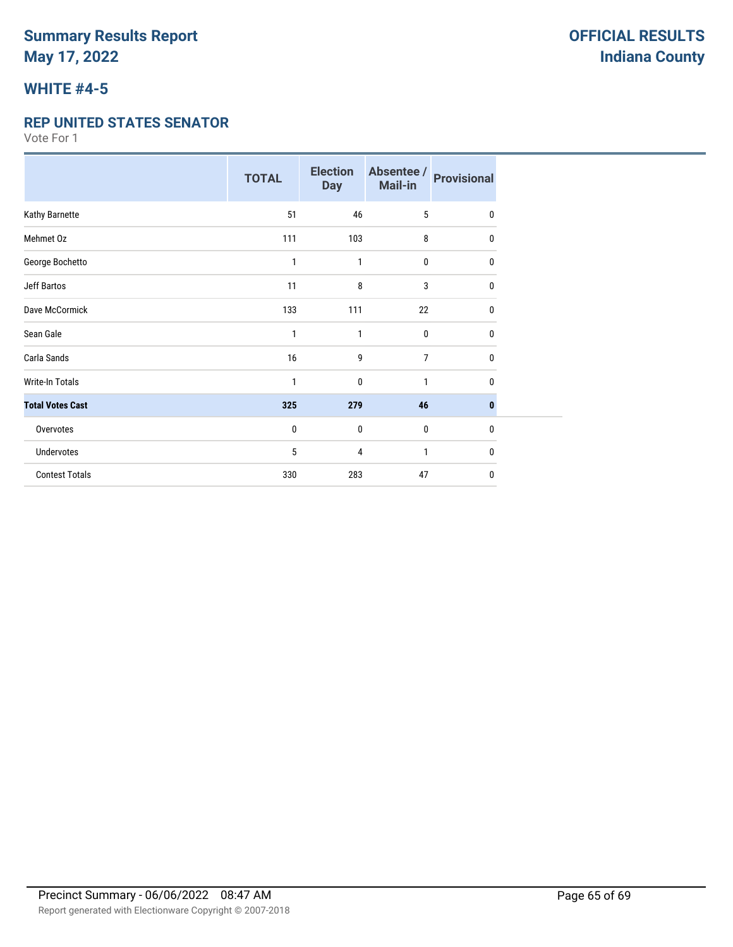## **WHITE #4-5**

#### **REP UNITED STATES SENATOR**

|                         | <b>TOTAL</b> | <b>Election</b><br><b>Day</b> | Absentee /<br>Mail-in | <b>Provisional</b> |
|-------------------------|--------------|-------------------------------|-----------------------|--------------------|
| Kathy Barnette          | 51           | 46                            | 5                     | $\mathbf{0}$       |
| Mehmet Oz               | 111          | 103                           | 8                     | 0                  |
| George Bochetto         | 1            | 1                             | 0                     | 0                  |
| <b>Jeff Bartos</b>      | 11           | 8                             | 3                     | 0                  |
| Dave McCormick          | 133          | 111                           | 22                    | $\mathbf{0}$       |
| Sean Gale               | 1            | 1                             | 0                     | $\mathbf{0}$       |
| Carla Sands             | 16           | 9                             | $\overline{7}$        | 0                  |
| Write-In Totals         | 1            | $\mathbf 0$                   | $\mathbf{1}$          | $\mathbf{0}$       |
| <b>Total Votes Cast</b> | 325          | 279                           | 46                    | $\bf{0}$           |
| Overvotes               | $\mathbf{0}$ | $\mathbf 0$                   | 0                     | $\mathbf{0}$       |
| Undervotes              | 5            | 4                             | 1                     | 0                  |
| <b>Contest Totals</b>   | 330          | 283                           | 47                    | $\mathbf{0}$       |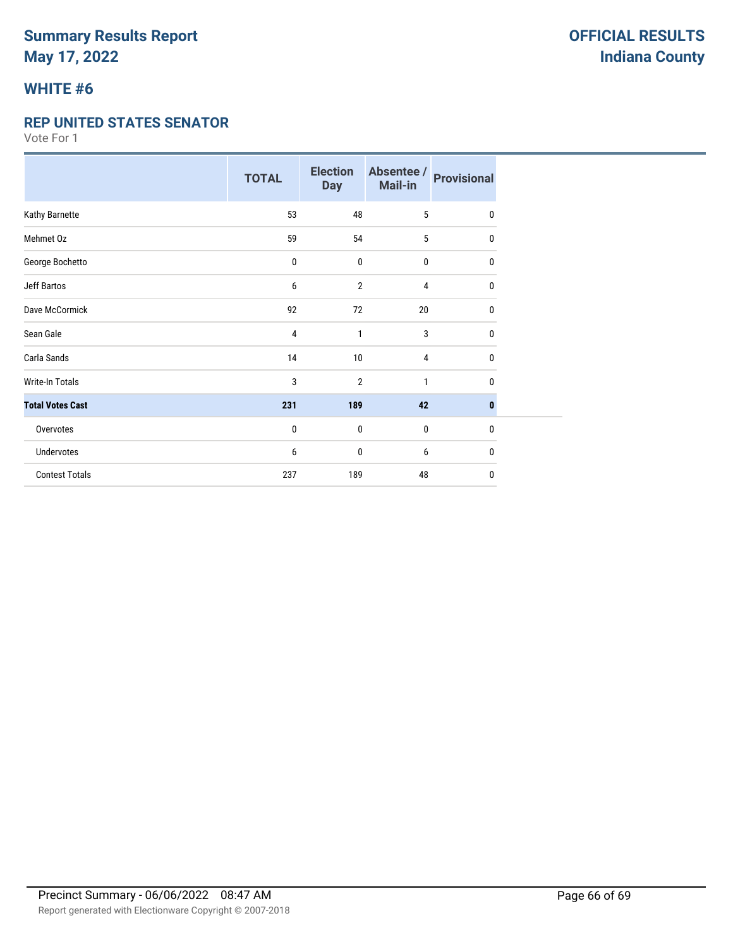# **WHITE #6**

#### **REP UNITED STATES SENATOR**

|                         | <b>TOTAL</b> | <b>Election</b><br><b>Day</b> | Absentee /<br>Mail-in | <b>Provisional</b> |
|-------------------------|--------------|-------------------------------|-----------------------|--------------------|
| Kathy Barnette          | 53           | 48                            | 5                     | $\mathbf{0}$       |
| Mehmet Oz               | 59           | 54                            | 5                     | 0                  |
| George Bochetto         | $\pmb{0}$    | $\pmb{0}$                     | 0                     | 0                  |
| <b>Jeff Bartos</b>      | 6            | $\overline{2}$                | 4                     | 0                  |
| Dave McCormick          | 92           | 72                            | 20                    | 0                  |
| Sean Gale               | 4            | 1                             | 3                     | 0                  |
| Carla Sands             | 14           | 10                            | $\overline{4}$        | 0                  |
| Write-In Totals         | 3            | $\overline{2}$                | $\mathbf{1}$          | $\mathbf{0}$       |
| <b>Total Votes Cast</b> | 231          | 189                           | 42                    | $\bf{0}$           |
| Overvotes               | 0            | $\mathbf 0$                   | $\mathbf 0$           | $\mathbf{0}$       |
| <b>Undervotes</b>       | 6            | 0                             | 6                     | $\mathbf{0}$       |
| <b>Contest Totals</b>   | 237          | 189                           | 48                    | 0                  |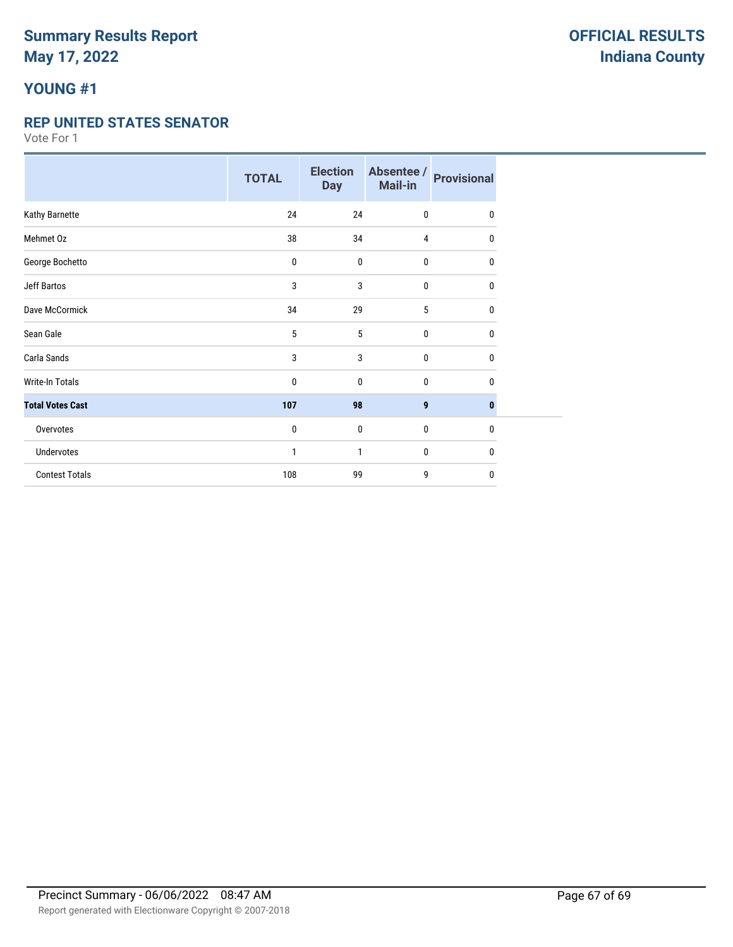# **YOUNG #1**

#### **REP UNITED STATES SENATOR**

|                         | <b>TOTAL</b> | <b>Election</b><br><b>Day</b> | Absentee /<br>Mail-in | <b>Provisional</b> |
|-------------------------|--------------|-------------------------------|-----------------------|--------------------|
| Kathy Barnette          | 24           | 24                            | $\mathbf 0$           | $\mathbf{0}$       |
| Mehmet Oz               | 38           | 34                            | 4                     | 0                  |
| George Bochetto         | 0            | $\mathbf 0$                   | $\pmb{0}$             | 0                  |
| Jeff Bartos             | 3            | 3                             | $\mathbf 0$           | 0                  |
| Dave McCormick          | 34           | 29                            | 5                     | $\mathbf{0}$       |
| Sean Gale               | 5            | 5                             | $\mathbf{0}$          | $\mathbf{0}$       |
| Carla Sands             | 3            | 3                             | $\mathbf 0$           | 0                  |
| <b>Write-In Totals</b>  | 0            | $\mathbf{0}$                  | $\mathbf 0$           | 0                  |
| <b>Total Votes Cast</b> | 107          | 98                            | 9                     | $\mathbf{0}$       |
| Overvotes               | 0            | $\bf{0}$                      | $\bf{0}$              | $\mathbf{0}$       |
| Undervotes              | 1            | 1                             | $\mathbf{0}$          | 0                  |
| <b>Contest Totals</b>   | 108          | 99                            | 9                     | 0                  |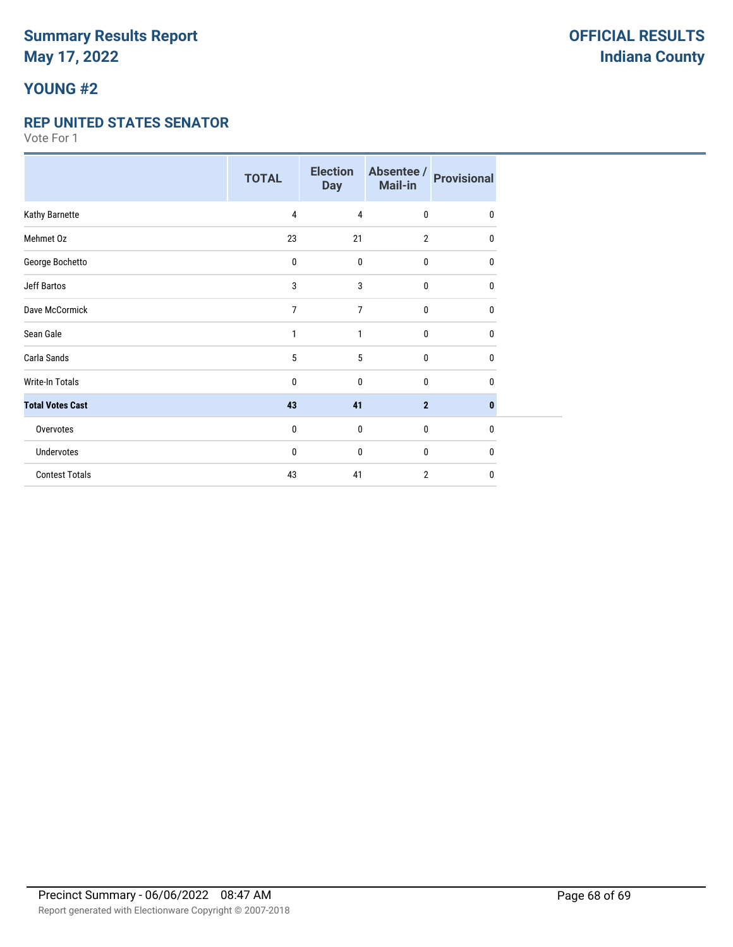# **YOUNG #2**

#### **REP UNITED STATES SENATOR**

|                         | <b>TOTAL</b> | <b>Election</b><br><b>Day</b> | Absentee /<br>Mail-in | <b>Provisional</b> |
|-------------------------|--------------|-------------------------------|-----------------------|--------------------|
| Kathy Barnette          | 4            | 4                             | $\mathbf 0$           | $\Omega$           |
| Mehmet Oz               | 23           | 21                            | $\overline{2}$        | $\mathbf{0}$       |
| George Bochetto         | 0            | $\mathbf 0$                   | $\pmb{0}$             | 0                  |
| <b>Jeff Bartos</b>      | 3            | 3                             | 0                     | 0                  |
| Dave McCormick          | 7            | 7                             | $\mathbf 0$           | 0                  |
| Sean Gale               | 1            | 1                             | $\mathbf 0$           | $\mathbf{0}$       |
| Carla Sands             | 5            | 5                             | $\mathbf 0$           | 0                  |
| <b>Write-In Totals</b>  | 0            | 0                             | $\mathbf 0$           | 0                  |
| <b>Total Votes Cast</b> | 43           | 41                            | $\overline{2}$        | $\mathbf{0}$       |
| Overvotes               | 0            | 0                             | $\mathbf 0$           | $\mathbf{0}$       |
| Undervotes              | 0            | 0                             | $\mathbf 0$           | 0                  |
| <b>Contest Totals</b>   | 43           | 41                            | $\overline{2}$        | $\mathbf{0}$       |